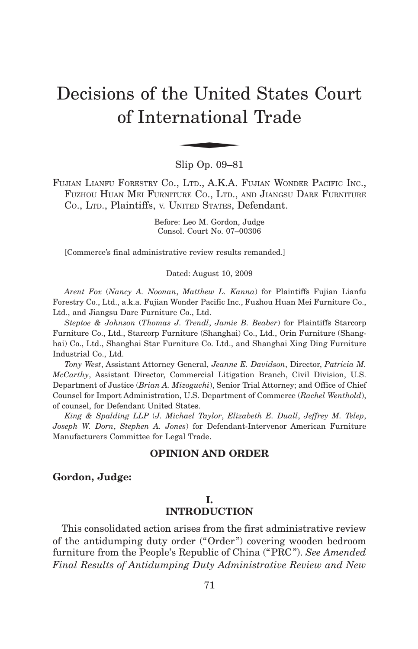# Decisions of the United States Court of International Trade e Unite<br>
mationa

Slip Op. 09–81

FUJIAN LIANFU FORESTRY CO., LTD., A.K.A. FUJIAN WONDER PACIFIC INC., FUZHOU HUAN MEI FURNITURE CO., LTD., AND JIANGSU DARE FURNITURE Co., LTD., Plaintiffs, v. UNITED STATES, Defendant.

> Before: Leo M. Gordon, Judge Consol. Court No. 07–00306

[Commerce's final administrative review results remanded.]

Dated: August 10, 2009

*Arent Fox* (*Nancy A. Noonan*, *Matthew L. Kanna*) for Plaintiffs Fujian Lianfu Forestry Co., Ltd., a.k.a. Fujian Wonder Pacific Inc., Fuzhou Huan Mei Furniture Co., Ltd., and Jiangsu Dare Furniture Co., Ltd.

*Steptoe & Johnson* (*Thomas J. Trendl*, *Jamie B. Beaber*) for Plaintiffs Starcorp Furniture Co., Ltd., Starcorp Furniture (Shanghai) Co., Ltd., Orin Furniture (Shanghai) Co., Ltd., Shanghai Star Furniture Co. Ltd., and Shanghai Xing Ding Furniture Industrial Co., Ltd.

*Tony West*, Assistant Attorney General, *Jeanne E. Davidson*, Director, *Patricia M. McCarthy*, Assistant Director, Commercial Litigation Branch, Civil Division, U.S. Department of Justice (*Brian A. Mizoguchi*), Senior Trial Attorney; and Office of Chief Counsel for Import Administration, U.S. Department of Commerce (*Rachel Wenthold*), of counsel, for Defendant United States.

*King & Spalding LLP* (*J. Michael Taylor*, *Elizabeth E. Duall*, *Jeffrey M. Telep*, *Joseph W. Dorn*, *Stephen A. Jones*) for Defendant-Intervenor American Furniture Manufacturers Committee for Legal Trade.

#### **OPINION AND ORDER**

## **Gordon, Judge:**

# **I. INTRODUCTION**

This consolidated action arises from the first administrative review of the antidumping duty order ("Order ") covering wooden bedroom furniture from the People's Republic of China ("PRC "). *See Amended Final Results of Antidumping Duty Administrative Review and New*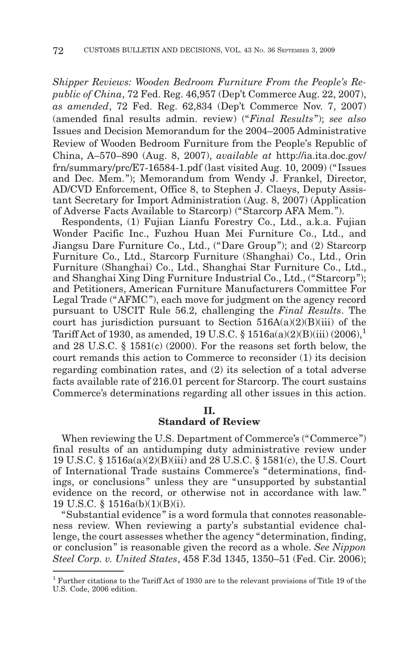*Shipper Reviews: Wooden Bedroom Furniture From the People's Republic of China*, 72 Fed. Reg. 46,957 (Dep't Commerce Aug. 22, 2007), *as amended*, 72 Fed. Reg. 62,834 (Dep't Commerce Nov. 7, 2007) (amended final results admin. review) ("*Final Results*"); *see also* Issues and Decision Memorandum for the 2004–2005 Administrative Review of Wooden Bedroom Furniture from the People's Republic of China, A–570–890 (Aug. 8, 2007), *available at* http://ia.ita.doc.gov/ frn/summary/prc/E7-16584-1.pdf (last visited Aug. 10, 2009) ("Issues and Dec. Mem. "); Memorandum from Wendy J. Frankel, Director, AD/CVD Enforcement, Office 8, to Stephen J. Claeys, Deputy Assistant Secretary for Import Administration (Aug. 8, 2007) (Application of Adverse Facts Available to Starcorp) ("Starcorp AFA Mem. ").

Respondents, (1) Fujian Lianfu Forestry Co., Ltd., a.k.a. Fujian Wonder Pacific Inc., Fuzhou Huan Mei Furniture Co., Ltd., and Jiangsu Dare Furniture Co., Ltd., ("Dare Group "); and (2) Starcorp Furniture Co., Ltd., Starcorp Furniture (Shanghai) Co., Ltd., Orin Furniture (Shanghai) Co., Ltd., Shanghai Star Furniture Co., Ltd., and Shanghai Xing Ding Furniture Industrial Co., Ltd., ("Starcorp "); and Petitioners, American Furniture Manufacturers Committee For Legal Trade ("AFMC "), each move for judgment on the agency record pursuant to USCIT Rule 56.2, challenging the *Final Results*. The court has jurisdiction pursuant to Section  $516A(a)(2)(B)(iii)$  of the Tariff Act of 1930, as amended, 19 U.S.C. § 1516a(a)(2)(B)(iii) (2006),<sup>1</sup> and 28 U.S.C. § 1581(c) (2000). For the reasons set forth below, the court remands this action to Commerce to reconsider (1) its decision regarding combination rates, and (2) its selection of a total adverse facts available rate of 216.01 percent for Starcorp. The court sustains Commerce's determinations regarding all other issues in this action.

# **II.**

## **Standard of Review**

When reviewing the U.S. Department of Commerce's ("Commerce ") final results of an antidumping duty administrative review under 19 U.S.C. § 1516a(a)(2)(B)(iii) and 28 U.S.C. § 1581(c), the U.S. Court of International Trade sustains Commerce's "determinations, findings, or conclusions" unless they are "unsupported by substantial evidence on the record, or otherwise not in accordance with law. " 19 U.S.C. § 1516a(b)(1)(B)(i).

"Substantial evidence " is a word formula that connotes reasonableness review. When reviewing a party's substantial evidence challenge, the court assesses whether the agency "determination, finding, or conclusion " is reasonable given the record as a whole. *See Nippon Steel Corp. v. United States*, 458 F.3d 1345, 1350–51 (Fed. Cir. 2006);

<sup>1</sup> Further citations to the Tariff Act of 1930 are to the relevant provisions of Title 19 of the U.S. Code, 2006 edition.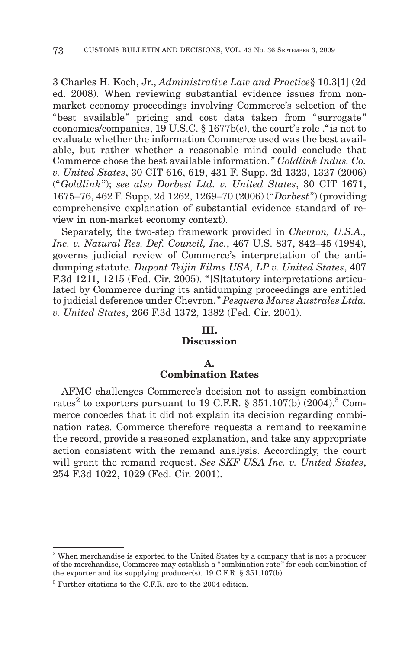3 Charles H. Koch, Jr., *Administrative Law and Practice*§ 10.3[1] (2d ed. 2008). When reviewing substantial evidence issues from nonmarket economy proceedings involving Commerce's selection of the "best available" pricing and cost data taken from "surrogate" economies/companies, 19 U.S.C. § 1677b(c), the court's role ." is not to evaluate whether the information Commerce used was the best available, but rather whether a reasonable mind could conclude that Commerce chose the best available information. " *Goldlink Indus. Co. v. United States*, 30 CIT 616, 619, 431 F. Supp. 2d 1323, 1327 (2006) ("*Goldlink*"); *see also Dorbest Ltd. v. United States*, 30 CIT 1671, 1675–76, 462 F. Supp. 2d 1262, 1269–70 (2006) ("*Dorbest*") (providing comprehensive explanation of substantial evidence standard of review in non-market economy context).

Separately, the two-step framework provided in *Chevron, U.S.A., Inc. v. Natural Res. Def. Council, Inc.*, 467 U.S. 837, 842–45 (1984), governs judicial review of Commerce's interpretation of the antidumping statute. *Dupont Teijin Films USA, LP v. United States*, 407 F.3d 1211, 1215 (Fed. Cir. 2005). " [S]tatutory interpretations articulated by Commerce during its antidumping proceedings are entitled to judicial deference under Chevron. " *Pesquera Mares Australes Ltda. v. United States*, 266 F.3d 1372, 1382 (Fed. Cir. 2001).

#### **III.**

# **Discussion**

#### **A.**

# **Combination Rates**

AFMC challenges Commerce's decision not to assign combination rates<sup>2</sup> to exporters pursuant to 19 C.F.R. § 351.107(b)  $(2004)$ .<sup>3</sup> Commerce concedes that it did not explain its decision regarding combination rates. Commerce therefore requests a remand to reexamine the record, provide a reasoned explanation, and take any appropriate action consistent with the remand analysis. Accordingly, the court will grant the remand request. *See SKF USA Inc. v. United States*, 254 F.3d 1022, 1029 (Fed. Cir. 2001).

<sup>&</sup>lt;sup>2</sup> When merchandise is exported to the United States by a company that is not a producer of the merchandise, Commerce may establish a " combination rate " for each combination of the exporter and its supplying producer(s). 19 C.F.R. § 351.107(b).

 $3$  Further citations to the C.F.R. are to the 2004 edition.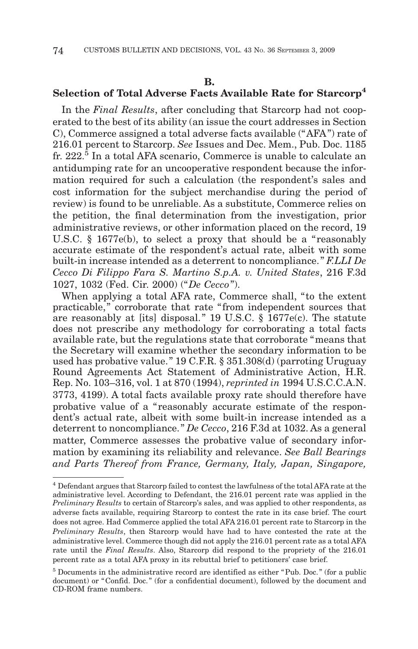## **Selection of Total Adverse Facts Available Rate for Starcorp4**

In the *Final Results*, after concluding that Starcorp had not cooperated to the best of its ability (an issue the court addresses in Section C), Commerce assigned a total adverse facts available ("AFA ") rate of 216.01 percent to Starcorp. *See* Issues and Dec. Mem., Pub. Doc. 1185 fr. 222.<sup>5</sup> In a total AFA scenario, Commerce is unable to calculate an antidumping rate for an uncooperative respondent because the information required for such a calculation (the respondent's sales and cost information for the subject merchandise during the period of review) is found to be unreliable. As a substitute, Commerce relies on the petition, the final determination from the investigation, prior administrative reviews, or other information placed on the record, 19 U.S.C. § 1677e(b), to select a proxy that should be a "reasonably accurate estimate of the respondent's actual rate, albeit with some built-in increase intended as a deterrent to noncompliance. " *F.LLI De Cecco Di Filippo Fara S. Martino S.p.A. v. United States*, 216 F.3d 1027, 1032 (Fed. Cir. 2000) ("*De Cecco*").

When applying a total AFA rate, Commerce shall, "to the extent practicable," corroborate that rate "from independent sources that are reasonably at [its] disposal." 19 U.S.C.  $\S$  1677e(c). The statute does not prescribe any methodology for corroborating a total facts available rate, but the regulations state that corroborate "means that the Secretary will examine whether the secondary information to be used has probative value. " 19 C.F.R. § 351.308(d) (parroting Uruguay Round Agreements Act Statement of Administrative Action, H.R. Rep. No. 103–316, vol. 1 at 870 (1994), *reprinted in* 1994 U.S.C.C.A.N. 3773, 4199). A total facts available proxy rate should therefore have probative value of a "reasonably accurate estimate of the respondent's actual rate, albeit with some built-in increase intended as a deterrent to noncompliance. " *De Cecco*, 216 F.3d at 1032. As a general matter, Commerce assesses the probative value of secondary information by examining its reliability and relevance. *See Ball Bearings and Parts Thereof from France, Germany, Italy, Japan, Singapore,*

<sup>4</sup> Defendant argues that Starcorp failed to contest the lawfulness of the total AFA rate at the administrative level. According to Defendant, the 216.01 percent rate was applied in the *Preliminary Results* to certain of Starcorp's sales, and was applied to other respondents, as adverse facts available, requiring Starcorp to contest the rate in its case brief. The court does not agree. Had Commerce applied the total AFA 216.01 percent rate to Starcorp in the *Preliminary Results*, then Starcorp would have had to have contested the rate at the administrative level. Commerce though did not apply the 216.01 percent rate as a total AFA rate until the *Final Results*. Also, Starcorp did respond to the propriety of the 216.01 percent rate as a total AFA proxy in its rebuttal brief to petitioners' case brief.

 $5$  Documents in the administrative record are identified as either "Pub. Doc." (for a public document) or " Confid. Doc. " (for a confidential document), followed by the document and CD-ROM frame numbers.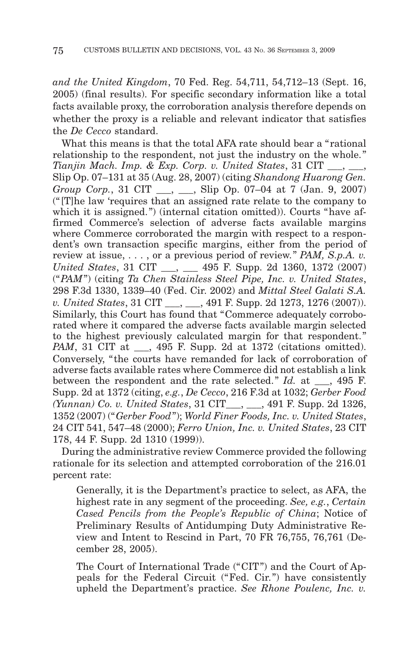*and the United Kingdom*, 70 Fed. Reg. 54,711, 54,712–13 (Sept. 16, 2005) (final results). For specific secondary information like a total facts available proxy, the corroboration analysis therefore depends on whether the proxy is a reliable and relevant indicator that satisfies the *De Cecco* standard.

What this means is that the total AFA rate should bear a "rational relationship to the respondent, not just the industry on the whole. " *Tianjin Mach. Imp. & Exp. Corp. v. United States, 31 CIT*  $\_\_\_\_\_\_\_\_$ *.* Slip Op. 07–131 at 35 (Aug. 28, 2007) (citing *Shandong Huarong Gen. Group Corp.*, 31 CIT \_\_\_, \_\_\_, Slip Op. 07–04 at 7 (Jan. 9, 2007) (" [T]he law 'requires that an assigned rate relate to the company to which it is assigned.") (internal citation omitted)). Courts "have affirmed Commerce's selection of adverse facts available margins where Commerce corroborated the margin with respect to a respondent's own transaction specific margins, either from the period of review at issue, . . . , or a previous period of review. " *PAM, S.p.A. v. United States*, 31 CIT \_\_\_, \_\_\_ 495 F. Supp. 2d 1360, 1372 (2007) ("*PAM*") (citing *Ta Chen Stainless Steel Pipe, Inc. v. United States*, 298 F.3d 1330, 1339–40 (Fed. Cir. 2002) and *Mittal Steel Galati S.A. v. United States*, 31 CIT \_\_\_, \_\_\_, 491 F. Supp. 2d 1273, 1276 (2007)). Similarly, this Court has found that "Commerce adequately corroborated where it compared the adverse facts available margin selected to the highest previously calculated margin for that respondent. " *PAM*, 31 CIT at \_\_\_, 495 F. Supp. 2d at 1372 (citations omitted). Conversely, " the courts have remanded for lack of corroboration of adverse facts available rates where Commerce did not establish a link between the respondent and the rate selected. " *Id.* at \_\_\_, 495 F. Supp. 2d at 1372 (citing, *e.g.*, *De Cecco*, 216 F.3d at 1032; *Gerber Food (Yunnan) Co. v. United States*, 31 CIT\_\_\_, \_\_\_, 491 F. Supp. 2d 1326, 1352 (2007) ("*Gerber Food*"); *World Finer Foods, Inc. v. United States*, 24 CIT 541, 547–48 (2000); *Ferro Union, Inc. v. United States*, 23 CIT 178, 44 F. Supp. 2d 1310 (1999)).

During the administrative review Commerce provided the following rationale for its selection and attempted corroboration of the 216.01 percent rate:

Generally, it is the Department's practice to select, as AFA, the highest rate in any segment of the proceeding. *See, e.g.*, *Certain Cased Pencils from the People's Republic of China*; Notice of Preliminary Results of Antidumping Duty Administrative Review and Intent to Rescind in Part, 70 FR 76,755, 76,761 (December 28, 2005).

The Court of International Trade ("CIT") and the Court of Appeals for the Federal Circuit ("Fed. Cir. ") have consistently upheld the Department's practice. *See Rhone Poulenc, Inc. v.*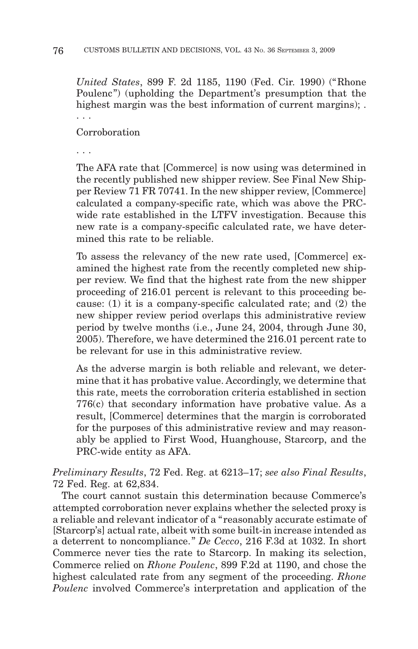*United States*, 899 F. 2d 1185, 1190 (Fed. Cir. 1990) ("Rhone Poulenc") (upholding the Department's presumption that the highest margin was the best information of current margins); . ...

Corroboration

...

The AFA rate that [Commerce] is now using was determined in the recently published new shipper review. See Final New Shipper Review 71 FR 70741. In the new shipper review, [Commerce] calculated a company-specific rate, which was above the PRCwide rate established in the LTFV investigation. Because this new rate is a company-specific calculated rate, we have determined this rate to be reliable.

To assess the relevancy of the new rate used, [Commerce] examined the highest rate from the recently completed new shipper review. We find that the highest rate from the new shipper proceeding of 216.01 percent is relevant to this proceeding because: (1) it is a company-specific calculated rate; and (2) the new shipper review period overlaps this administrative review period by twelve months (i.e., June 24, 2004, through June 30, 2005). Therefore, we have determined the 216.01 percent rate to be relevant for use in this administrative review.

As the adverse margin is both reliable and relevant, we determine that it has probative value. Accordingly, we determine that this rate, meets the corroboration criteria established in section 776(c) that secondary information have probative value. As a result, [Commerce] determines that the margin is corroborated for the purposes of this administrative review and may reasonably be applied to First Wood, Huanghouse, Starcorp, and the PRC-wide entity as AFA.

*Preliminary Results*, 72 Fed. Reg. at 6213–17; *see also Final Results*, 72 Fed. Reg. at 62,834.

The court cannot sustain this determination because Commerce's attempted corroboration never explains whether the selected proxy is a reliable and relevant indicator of a "reasonably accurate estimate of [Starcorp's] actual rate, albeit with some built-in increase intended as a deterrent to noncompliance. " *De Cecco*, 216 F.3d at 1032. In short Commerce never ties the rate to Starcorp. In making its selection, Commerce relied on *Rhone Poulenc*, 899 F.2d at 1190, and chose the highest calculated rate from any segment of the proceeding. *Rhone Poulenc* involved Commerce's interpretation and application of the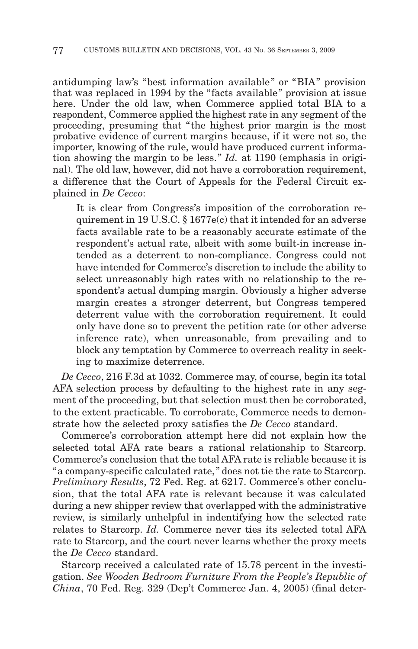antidumping law's "best information available" or "BIA" provision that was replaced in 1994 by the " facts available " provision at issue here. Under the old law, when Commerce applied total BIA to a respondent, Commerce applied the highest rate in any segment of the proceeding, presuming that " the highest prior margin is the most probative evidence of current margins because, if it were not so, the importer, knowing of the rule, would have produced current information showing the margin to be less. " *Id.* at 1190 (emphasis in original). The old law, however, did not have a corroboration requirement, a difference that the Court of Appeals for the Federal Circuit explained in *De Cecco*:

It is clear from Congress's imposition of the corroboration requirement in 19 U.S.C. § 1677e(c) that it intended for an adverse facts available rate to be a reasonably accurate estimate of the respondent's actual rate, albeit with some built-in increase intended as a deterrent to non-compliance. Congress could not have intended for Commerce's discretion to include the ability to select unreasonably high rates with no relationship to the respondent's actual dumping margin. Obviously a higher adverse margin creates a stronger deterrent, but Congress tempered deterrent value with the corroboration requirement. It could only have done so to prevent the petition rate (or other adverse inference rate), when unreasonable, from prevailing and to block any temptation by Commerce to overreach reality in seeking to maximize deterrence.

*De Cecco*, 216 F.3d at 1032. Commerce may, of course, begin its total AFA selection process by defaulting to the highest rate in any segment of the proceeding, but that selection must then be corroborated, to the extent practicable. To corroborate, Commerce needs to demonstrate how the selected proxy satisfies the *De Cecco* standard.

Commerce's corroboration attempt here did not explain how the selected total AFA rate bears a rational relationship to Starcorp. Commerce's conclusion that the total AFA rate is reliable because it is "a company-specific calculated rate, " does not tie the rate to Starcorp. *Preliminary Results*, 72 Fed. Reg. at 6217. Commerce's other conclusion, that the total AFA rate is relevant because it was calculated during a new shipper review that overlapped with the administrative review, is similarly unhelpful in indentifying how the selected rate relates to Starcorp. *Id.* Commerce never ties its selected total AFA rate to Starcorp, and the court never learns whether the proxy meets the *De Cecco* standard.

Starcorp received a calculated rate of 15.78 percent in the investigation. *See Wooden Bedroom Furniture From the People's Republic of China*, 70 Fed. Reg. 329 (Dep't Commerce Jan. 4, 2005) (final deter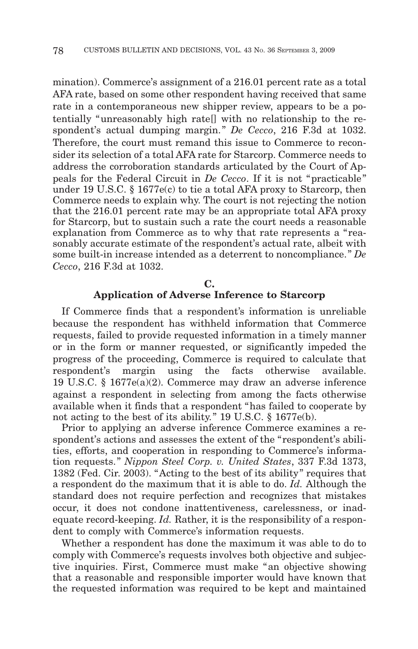mination). Commerce's assignment of a 216.01 percent rate as a total AFA rate, based on some other respondent having received that same rate in a contemporaneous new shipper review, appears to be a potentially "unreasonably high rate[] with no relationship to the respondent's actual dumping margin. " *De Cecco*, 216 F.3d at 1032. Therefore, the court must remand this issue to Commerce to reconsider its selection of a total AFA rate for Starcorp. Commerce needs to address the corroboration standards articulated by the Court of Appeals for the Federal Circuit in *De Cecco*. If it is not "practicable " under 19 U.S.C. § 1677e(c) to tie a total AFA proxy to Starcorp, then Commerce needs to explain why. The court is not rejecting the notion that the 216.01 percent rate may be an appropriate total AFA proxy for Starcorp, but to sustain such a rate the court needs a reasonable explanation from Commerce as to why that rate represents a "reasonably accurate estimate of the respondent's actual rate, albeit with some built-in increase intended as a deterrent to noncompliance. " *De Cecco*, 216 F.3d at 1032.

#### **C.**

# **Application of Adverse Inference to Starcorp**

If Commerce finds that a respondent's information is unreliable because the respondent has withheld information that Commerce requests, failed to provide requested information in a timely manner or in the form or manner requested, or significantly impeded the progress of the proceeding, Commerce is required to calculate that respondent's margin using the facts otherwise available. 19 U.S.C. § 1677e(a)(2). Commerce may draw an adverse inference against a respondent in selecting from among the facts otherwise available when it finds that a respondent "has failed to cooperate by not acting to the best of its ability." 19 U.S.C. § 1677e(b).

Prior to applying an adverse inference Commerce examines a respondent's actions and assesses the extent of the "respondent's abilities, efforts, and cooperation in responding to Commerce's information requests. " *Nippon Steel Corp. v. United States*, 337 F.3d 1373, 1382 (Fed. Cir. 2003). "Acting to the best of its ability " requires that a respondent do the maximum that it is able to do. *Id.* Although the standard does not require perfection and recognizes that mistakes occur, it does not condone inattentiveness, carelessness, or inadequate record-keeping. *Id.* Rather, it is the responsibility of a respondent to comply with Commerce's information requests.

Whether a respondent has done the maximum it was able to do to comply with Commerce's requests involves both objective and subjective inquiries. First, Commerce must make "an objective showing that a reasonable and responsible importer would have known that the requested information was required to be kept and maintained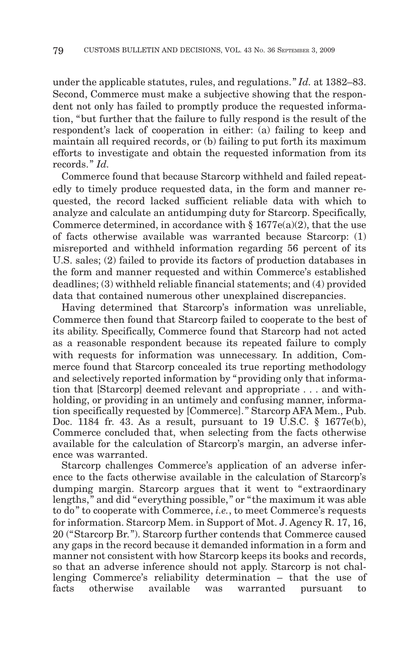under the applicable statutes, rules, and regulations. " *Id.* at 1382–83. Second, Commerce must make a subjective showing that the respondent not only has failed to promptly produce the requested information, "but further that the failure to fully respond is the result of the respondent's lack of cooperation in either: (a) failing to keep and maintain all required records, or (b) failing to put forth its maximum efforts to investigate and obtain the requested information from its records. " *Id.*

Commerce found that because Starcorp withheld and failed repeatedly to timely produce requested data, in the form and manner requested, the record lacked sufficient reliable data with which to analyze and calculate an antidumping duty for Starcorp. Specifically, Commerce determined, in accordance with  $\S 1677e(a)(2)$ , that the use of facts otherwise available was warranted because Starcorp: (1) misreported and withheld information regarding 56 percent of its U.S. sales; (2) failed to provide its factors of production databases in the form and manner requested and within Commerce's established deadlines; (3) withheld reliable financial statements; and (4) provided data that contained numerous other unexplained discrepancies.

Having determined that Starcorp's information was unreliable, Commerce then found that Starcorp failed to cooperate to the best of its ability. Specifically, Commerce found that Starcorp had not acted as a reasonable respondent because its repeated failure to comply with requests for information was unnecessary. In addition, Commerce found that Starcorp concealed its true reporting methodology and selectively reported information by "providing only that information that [Starcorp] deemed relevant and appropriate . . . and withholding, or providing in an untimely and confusing manner, information specifically requested by [Commerce]. " Starcorp AFA Mem., Pub. Doc. 1184 fr. 43. As a result, pursuant to 19 U.S.C.  $\S$  1677e(b), Commerce concluded that, when selecting from the facts otherwise available for the calculation of Starcorp's margin, an adverse inference was warranted.

Starcorp challenges Commerce's application of an adverse inference to the facts otherwise available in the calculation of Starcorp's dumping margin. Starcorp argues that it went to "extraordinary lengths, " and did "everything possible, " or " the maximum it was able to do " to cooperate with Commerce, *i.e.*, to meet Commerce's requests for information. Starcorp Mem. in Support of Mot. J. Agency R. 17, 16, 20 ("Starcorp Br. "). Starcorp further contends that Commerce caused any gaps in the record because it demanded information in a form and manner not consistent with how Starcorp keeps its books and records, so that an adverse inference should not apply. Starcorp is not challenging Commerce's reliability determination – that the use of facts otherwise available was warranted pursuant to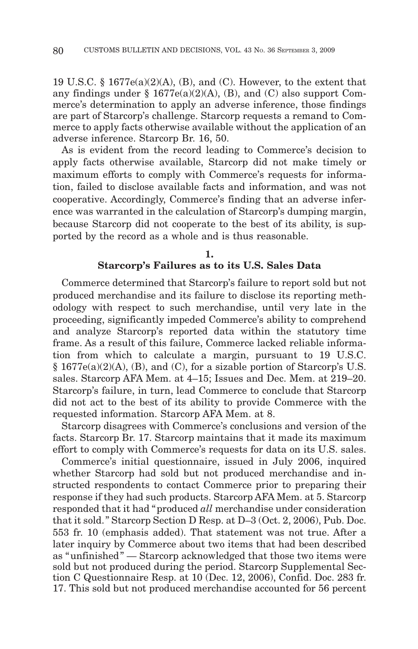19 U.S.C.  $\S$  1677e(a)(2)(A), (B), and (C). However, to the extent that any findings under  $\S$  1677e(a)(2)(A), (B), and (C) also support Commerce's determination to apply an adverse inference, those findings are part of Starcorp's challenge. Starcorp requests a remand to Commerce to apply facts otherwise available without the application of an adverse inference. Starcorp Br. 16, 50.

As is evident from the record leading to Commerce's decision to apply facts otherwise available, Starcorp did not make timely or maximum efforts to comply with Commerce's requests for information, failed to disclose available facts and information, and was not cooperative. Accordingly, Commerce's finding that an adverse inference was warranted in the calculation of Starcorp's dumping margin, because Starcorp did not cooperate to the best of its ability, is supported by the record as a whole and is thus reasonable.

#### **1. Starcorp's Failures as to its U.S. Sales Data**

Commerce determined that Starcorp's failure to report sold but not produced merchandise and its failure to disclose its reporting methodology with respect to such merchandise, until very late in the proceeding, significantly impeded Commerce's ability to comprehend and analyze Starcorp's reported data within the statutory time frame. As a result of this failure, Commerce lacked reliable information from which to calculate a margin, pursuant to 19 U.S.C. § 1677e(a)(2)(A), (B), and (C), for a sizable portion of Starcorp's U.S. sales. Starcorp AFA Mem. at 4–15; Issues and Dec. Mem. at 219–20. Starcorp's failure, in turn, lead Commerce to conclude that Starcorp did not act to the best of its ability to provide Commerce with the requested information. Starcorp AFA Mem. at 8.

Starcorp disagrees with Commerce's conclusions and version of the facts. Starcorp Br. 17. Starcorp maintains that it made its maximum effort to comply with Commerce's requests for data on its U.S. sales.

Commerce's initial questionnaire, issued in July 2006, inquired whether Starcorp had sold but not produced merchandise and instructed respondents to contact Commerce prior to preparing their response if they had such products. Starcorp AFA Mem. at 5. Starcorp responded that it had "produced *all* merchandise under consideration that it sold. " Starcorp Section D Resp. at D–3 (Oct. 2, 2006), Pub. Doc. 553 fr. 10 (emphasis added). That statement was not true. After a later inquiry by Commerce about two items that had been described as "unfinished" — Starcorp acknowledged that those two items were sold but not produced during the period. Starcorp Supplemental Section C Questionnaire Resp. at 10 (Dec. 12, 2006), Confid. Doc. 283 fr. 17. This sold but not produced merchandise accounted for 56 percent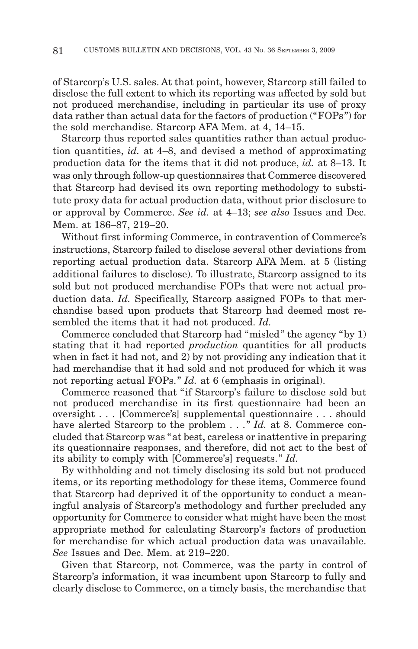of Starcorp's U.S. sales. At that point, however, Starcorp still failed to disclose the full extent to which its reporting was affected by sold but not produced merchandise, including in particular its use of proxy data rather than actual data for the factors of production ("FOPs ") for the sold merchandise. Starcorp AFA Mem. at 4, 14–15.

Starcorp thus reported sales quantities rather than actual production quantities, *id.* at 4–8, and devised a method of approximating production data for the items that it did not produce, *id.* at 8–13. It was only through follow-up questionnaires that Commerce discovered that Starcorp had devised its own reporting methodology to substitute proxy data for actual production data, without prior disclosure to or approval by Commerce. *See id.* at 4–13; *see also* Issues and Dec. Mem. at 186–87, 219–20.

Without first informing Commerce, in contravention of Commerce's instructions, Starcorp failed to disclose several other deviations from reporting actual production data. Starcorp AFA Mem. at 5 (listing additional failures to disclose). To illustrate, Starcorp assigned to its sold but not produced merchandise FOPs that were not actual production data. *Id.* Specifically, Starcorp assigned FOPs to that merchandise based upon products that Starcorp had deemed most resembled the items that it had not produced. *Id.*

Commerce concluded that Starcorp had "misled " the agency "by 1) stating that it had reported *production* quantities for all products when in fact it had not, and 2) by not providing any indication that it had merchandise that it had sold and not produced for which it was not reporting actual FOPs. " *Id.* at 6 (emphasis in original).

Commerce reasoned that "if Starcorp's failure to disclose sold but not produced merchandise in its first questionnaire had been an oversight...[Commerce's] supplemental questionnaire... should have alerted Starcorp to the problem . . ." Id. at 8. Commerce concluded that Starcorp was "at best, careless or inattentive in preparing its questionnaire responses, and therefore, did not act to the best of its ability to comply with [Commerce's] requests. " *Id.*

By withholding and not timely disclosing its sold but not produced items, or its reporting methodology for these items, Commerce found that Starcorp had deprived it of the opportunity to conduct a meaningful analysis of Starcorp's methodology and further precluded any opportunity for Commerce to consider what might have been the most appropriate method for calculating Starcorp's factors of production for merchandise for which actual production data was unavailable. *See* Issues and Dec. Mem. at 219–220.

Given that Starcorp, not Commerce, was the party in control of Starcorp's information, it was incumbent upon Starcorp to fully and clearly disclose to Commerce, on a timely basis, the merchandise that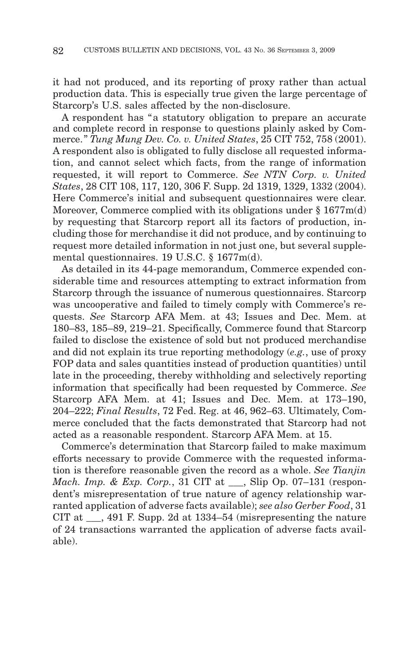it had not produced, and its reporting of proxy rather than actual production data. This is especially true given the large percentage of Starcorp's U.S. sales affected by the non-disclosure.

A respondent has "a statutory obligation to prepare an accurate and complete record in response to questions plainly asked by Commerce. " *Tung Mung Dev. Co. v. United States*, 25 CIT 752, 758 (2001). A respondent also is obligated to fully disclose all requested information, and cannot select which facts, from the range of information requested, it will report to Commerce. *See NTN Corp. v. United States*, 28 CIT 108, 117, 120, 306 F. Supp. 2d 1319, 1329, 1332 (2004). Here Commerce's initial and subsequent questionnaires were clear. Moreover, Commerce complied with its obligations under § 1677m(d) by requesting that Starcorp report all its factors of production, including those for merchandise it did not produce, and by continuing to request more detailed information in not just one, but several supplemental questionnaires. 19 U.S.C. § 1677m(d).

As detailed in its 44-page memorandum, Commerce expended considerable time and resources attempting to extract information from Starcorp through the issuance of numerous questionnaires. Starcorp was uncooperative and failed to timely comply with Commerce's requests. *See* Starcorp AFA Mem. at 43; Issues and Dec. Mem. at 180–83, 185–89, 219–21. Specifically, Commerce found that Starcorp failed to disclose the existence of sold but not produced merchandise and did not explain its true reporting methodology (*e.g.*, use of proxy FOP data and sales quantities instead of production quantities) until late in the proceeding, thereby withholding and selectively reporting information that specifically had been requested by Commerce. *See* Starcorp AFA Mem. at 41; Issues and Dec. Mem. at 173–190, 204–222; *Final Results*, 72 Fed. Reg. at 46, 962–63. Ultimately, Commerce concluded that the facts demonstrated that Starcorp had not acted as a reasonable respondent. Starcorp AFA Mem. at 15.

Commerce's determination that Starcorp failed to make maximum efforts necessary to provide Commerce with the requested information is therefore reasonable given the record as a whole. *See Tianjin Mach. Imp. & Exp. Corp.*, 31 CIT at \_\_\_, Slip Op. 07–131 (respondent's misrepresentation of true nature of agency relationship warranted application of adverse facts available); *see also Gerber Food*, 31 CIT at \_\_\_, 491 F. Supp. 2d at 1334–54 (misrepresenting the nature of 24 transactions warranted the application of adverse facts available).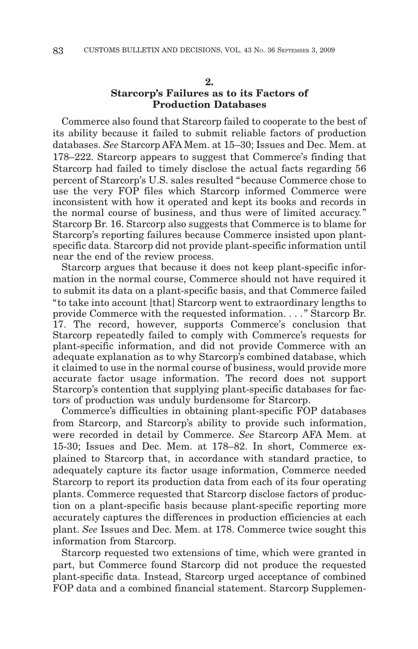#### **2.**

## **Starcorp's Failures as to its Factors of Production Databases**

Commerce also found that Starcorp failed to cooperate to the best of its ability because it failed to submit reliable factors of production databases. *See* Starcorp AFA Mem. at 15–30; Issues and Dec. Mem. at 178–222. Starcorp appears to suggest that Commerce's finding that Starcorp had failed to timely disclose the actual facts regarding 56 percent of Starcorp's U.S. sales resulted "because Commerce chose to use the very FOP files which Starcorp informed Commerce were inconsistent with how it operated and kept its books and records in the normal course of business, and thus were of limited accuracy. " Starcorp Br. 16. Starcorp also suggests that Commerce is to blame for Starcorp's reporting failures because Commerce insisted upon plantspecific data. Starcorp did not provide plant-specific information until near the end of the review process.

Starcorp argues that because it does not keep plant-specific information in the normal course, Commerce should not have required it to submit its data on a plant-specific basis, and that Commerce failed " to take into account [that] Starcorp went to extraordinary lengths to provide Commerce with the requested information. . . . " Starcorp Br. 17. The record, however, supports Commerce's conclusion that Starcorp repeatedly failed to comply with Commerce's requests for plant-specific information, and did not provide Commerce with an adequate explanation as to why Starcorp's combined database, which it claimed to use in the normal course of business, would provide more accurate factor usage information. The record does not support Starcorp's contention that supplying plant-specific databases for factors of production was unduly burdensome for Starcorp.

Commerce's difficulties in obtaining plant-specific FOP databases from Starcorp, and Starcorp's ability to provide such information, were recorded in detail by Commerce. *See* Starcorp AFA Mem. at 15-30; Issues and Dec. Mem. at 178–82. In short, Commerce explained to Starcorp that, in accordance with standard practice, to adequately capture its factor usage information, Commerce needed Starcorp to report its production data from each of its four operating plants. Commerce requested that Starcorp disclose factors of production on a plant-specific basis because plant-specific reporting more accurately captures the differences in production efficiencies at each plant. *See* Issues and Dec. Mem. at 178. Commerce twice sought this information from Starcorp.

Starcorp requested two extensions of time, which were granted in part, but Commerce found Starcorp did not produce the requested plant-specific data. Instead, Starcorp urged acceptance of combined FOP data and a combined financial statement. Starcorp Supplemen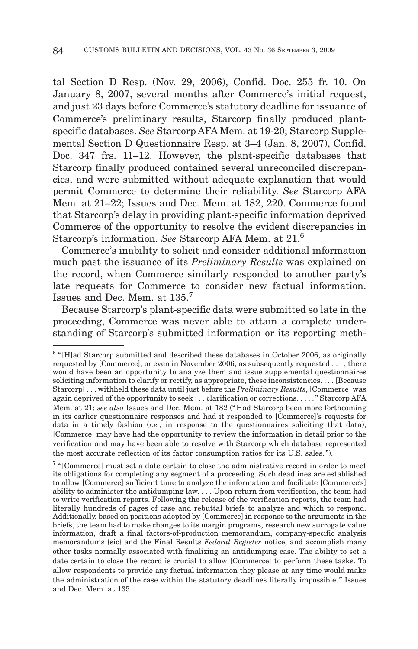tal Section D Resp. (Nov. 29, 2006), Confid. Doc. 255 fr. 10. On January 8, 2007, several months after Commerce's initial request, and just 23 days before Commerce's statutory deadline for issuance of Commerce's preliminary results, Starcorp finally produced plantspecific databases. *See* Starcorp AFA Mem. at 19-20; Starcorp Supplemental Section D Questionnaire Resp. at 3–4 (Jan. 8, 2007), Confid. Doc. 347 frs. 11–12. However, the plant-specific databases that Starcorp finally produced contained several unreconciled discrepancies, and were submitted without adequate explanation that would permit Commerce to determine their reliability. *See* Starcorp AFA Mem. at 21–22; Issues and Dec. Mem. at 182, 220. Commerce found that Starcorp's delay in providing plant-specific information deprived Commerce of the opportunity to resolve the evident discrepancies in Starcorp's information. *See* Starcorp AFA Mem. at 21.6

Commerce's inability to solicit and consider additional information much past the issuance of its *Preliminary Results* was explained on the record, when Commerce similarly responded to another party's late requests for Commerce to consider new factual information. Issues and Dec. Mem. at 135.7

Because Starcorp's plant-specific data were submitted so late in the proceeding, Commerce was never able to attain a complete understanding of Starcorp's submitted information or its reporting meth-

 $6$  " [H]ad Starcorp submitted and described these databases in October 2006, as originally requested by [Commerce], or even in November 2006, as subsequently requested ..., there would have been an opportunity to analyze them and issue supplemental questionnaires soliciting information to clarify or rectify, as appropriate, these inconsistencies.... [Because Starcorp]...withheld these data until just before the *Preliminary Results*, [Commerce] was again deprived of the opportunity to seek . . . clarification or corrections....." Starcorp AFA Mem. at 21; *see also* Issues and Dec. Mem. at 182 ("Had Starcorp been more forthcoming in its earlier questionnaire responses and had it responded to [Commerce]'s requests for data in a timely fashion (*i.e.*, in response to the questionnaires soliciting that data), [Commerce] may have had the opportunity to review the information in detail prior to the verification and may have been able to resolve with Starcorp which database represented the most accurate reflection of its factor consumption ratios for its U.S. sales. ").

 $7$  " [Commerce] must set a date certain to close the administrative record in order to meet its obligations for completing any segment of a proceeding. Such deadlines are established to allow [Commerce] sufficient time to analyze the information and facilitate [Commerce's] ability to administer the antidumping law. . . . Upon return from verification, the team had to write verification reports. Following the release of the verification reports, the team had literally hundreds of pages of case and rebuttal briefs to analyze and which to respond. Additionally, based on positions adopted by [Commerce] in response to the arguments in the briefs, the team had to make changes to its margin programs, research new surrogate value information, draft a final factors-of-production memorandum, company-specific analysis memorandums {sic} and the Final Results *Federal Register* notice, and accomplish many other tasks normally associated with finalizing an antidumping case. The ability to set a date certain to close the record is crucial to allow [Commerce] to perform these tasks. To allow respondents to provide any factual information they please at any time would make the administration of the case within the statutory deadlines literally impossible. " Issues and Dec. Mem. at 135.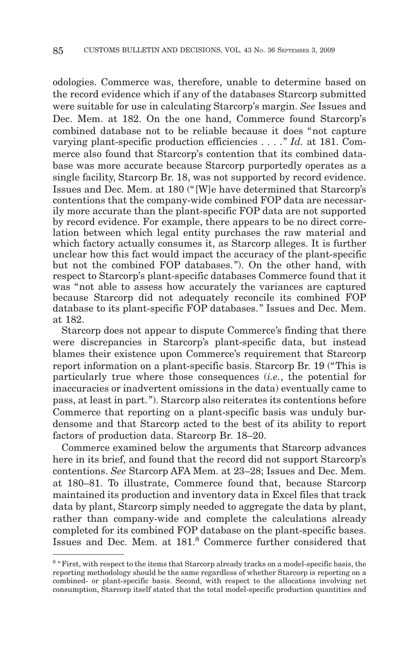odologies. Commerce was, therefore, unable to determine based on the record evidence which if any of the databases Starcorp submitted were suitable for use in calculating Starcorp's margin. *See* Issues and Dec. Mem. at 182. On the one hand, Commerce found Starcorp's combined database not to be reliable because it does "not capture varying plant-specific production efficiencies . . . ." *Id.* at 181. Commerce also found that Starcorp's contention that its combined database was more accurate because Starcorp purportedly operates as a single facility, Starcorp Br. 18, was not supported by record evidence. Issues and Dec. Mem. at 180 (" [W]e have determined that Starcorp's contentions that the company-wide combined FOP data are necessarily more accurate than the plant-specific FOP data are not supported by record evidence. For example, there appears to be no direct correlation between which legal entity purchases the raw material and which factory actually consumes it, as Starcorp alleges. It is further unclear how this fact would impact the accuracy of the plant-specific but not the combined FOP databases. "). On the other hand, with respect to Starcorp's plant-specific databases Commerce found that it was "not able to assess how accurately the variances are captured because Starcorp did not adequately reconcile its combined FOP database to its plant-specific FOP databases. " Issues and Dec. Mem. at 182.

Starcorp does not appear to dispute Commerce's finding that there were discrepancies in Starcorp's plant-specific data, but instead blames their existence upon Commerce's requirement that Starcorp report information on a plant-specific basis. Starcorp Br. 19 ("This is particularly true where those consequences (*i.e.*, the potential for inaccuracies or inadvertent omissions in the data) eventually came to pass, at least in part. "). Starcorp also reiterates its contentions before Commerce that reporting on a plant-specific basis was unduly burdensome and that Starcorp acted to the best of its ability to report factors of production data. Starcorp Br. 18–20.

Commerce examined below the arguments that Starcorp advances here in its brief, and found that the record did not support Starcorp's contentions. *See* Starcorp AFA Mem. at 23–28; Issues and Dec. Mem. at 180–81. To illustrate, Commerce found that, because Starcorp maintained its production and inventory data in Excel files that track data by plant, Starcorp simply needed to aggregate the data by plant, rather than company-wide and complete the calculations already completed for its combined FOP database on the plant-specific bases. Issues and Dec. Mem. at 181.<sup>8</sup> Commerce further considered that

<sup>&</sup>lt;sup>8</sup> "First, with respect to the items that Starcorp already tracks on a model-specific basis, the reporting methodology should be the same regardless of whether Starcorp is reporting on a combined- or plant-specific basis. Second, with respect to the allocations involving net consumption, Starcorp itself stated that the total model-specific production quantities and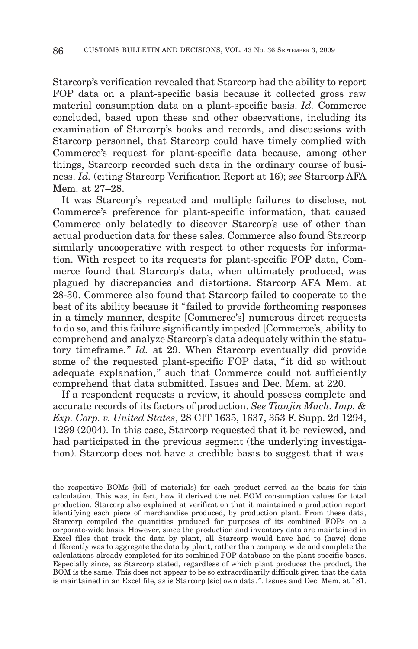Starcorp's verification revealed that Starcorp had the ability to report FOP data on a plant-specific basis because it collected gross raw material consumption data on a plant-specific basis. *Id.* Commerce concluded, based upon these and other observations, including its examination of Starcorp's books and records, and discussions with Starcorp personnel, that Starcorp could have timely complied with Commerce's request for plant-specific data because, among other things, Starcorp recorded such data in the ordinary course of business. *Id.* (citing Starcorp Verification Report at 16); *see* Starcorp AFA Mem. at 27–28.

It was Starcorp's repeated and multiple failures to disclose, not Commerce's preference for plant-specific information, that caused Commerce only belatedly to discover Starcorp's use of other than actual production data for these sales. Commerce also found Starcorp similarly uncooperative with respect to other requests for information. With respect to its requests for plant-specific FOP data, Commerce found that Starcorp's data, when ultimately produced, was plagued by discrepancies and distortions. Starcorp AFA Mem. at 28-30. Commerce also found that Starcorp failed to cooperate to the best of its ability because it " failed to provide forthcoming responses in a timely manner, despite [Commerce's] numerous direct requests to do so, and this failure significantly impeded [Commerce's] ability to comprehend and analyze Starcorp's data adequately within the statutory timeframe." *Id.* at 29. When Starcorp eventually did provide some of the requested plant-specific FOP data, " it did so without adequate explanation," such that Commerce could not sufficiently comprehend that data submitted. Issues and Dec. Mem. at 220.

If a respondent requests a review, it should possess complete and accurate records of its factors of production. *See Tianjin Mach. Imp. & Exp. Corp. v. United States*, 28 CIT 1635, 1637, 353 F. Supp. 2d 1294, 1299 (2004). In this case, Starcorp requested that it be reviewed, and had participated in the previous segment (the underlying investigation). Starcorp does not have a credible basis to suggest that it was

the respective BOMs {bill of materials} for each product served as the basis for this calculation. This was, in fact, how it derived the net BOM consumption values for total production. Starcorp also explained at verification that it maintained a production report identifying each piece of merchandise produced, by production plant. From these data, Starcorp compiled the quantities produced for purposes of its combined FOPs on a corporate-wide basis. However, since the production and inventory data are maintained in Excel files that track the data by plant, all Starcorp would have had to {have} done differently was to aggregate the data by plant, rather than company wide and complete the calculations already completed for its combined FOP database on the plant-specific bases. Especially since, as Starcorp stated, regardless of which plant produces the product, the BOM is the same. This does not appear to be so extraordinarily difficult given that the data is maintained in an Excel file, as is Starcorp [sic] own data. ". Issues and Dec. Mem. at 181.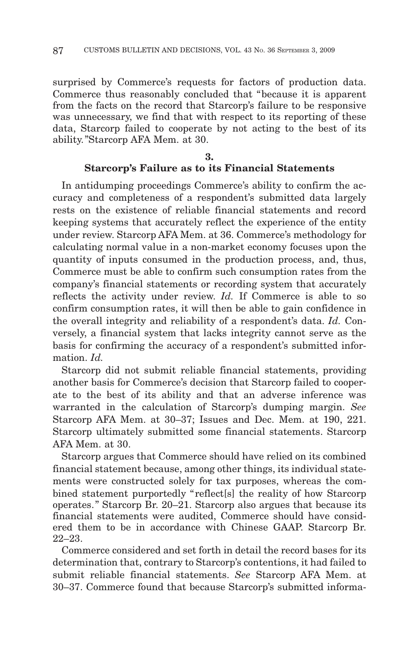surprised by Commerce's requests for factors of production data. Commerce thus reasonably concluded that "because it is apparent from the facts on the record that Starcorp's failure to be responsive was unnecessary, we find that with respect to its reporting of these data, Starcorp failed to cooperate by not acting to the best of its ability. "Starcorp AFA Mem. at 30.

# **3. Starcorp's Failure as to its Financial Statements**

In antidumping proceedings Commerce's ability to confirm the accuracy and completeness of a respondent's submitted data largely rests on the existence of reliable financial statements and record keeping systems that accurately reflect the experience of the entity under review. Starcorp AFA Mem. at 36. Commerce's methodology for calculating normal value in a non-market economy focuses upon the quantity of inputs consumed in the production process, and, thus, Commerce must be able to confirm such consumption rates from the company's financial statements or recording system that accurately reflects the activity under review. *Id.* If Commerce is able to so confirm consumption rates, it will then be able to gain confidence in the overall integrity and reliability of a respondent's data. *Id.* Conversely, a financial system that lacks integrity cannot serve as the basis for confirming the accuracy of a respondent's submitted information. *Id.*

Starcorp did not submit reliable financial statements, providing another basis for Commerce's decision that Starcorp failed to cooperate to the best of its ability and that an adverse inference was warranted in the calculation of Starcorp's dumping margin. *See* Starcorp AFA Mem. at 30–37; Issues and Dec. Mem. at 190, 221. Starcorp ultimately submitted some financial statements. Starcorp AFA Mem. at 30.

Starcorp argues that Commerce should have relied on its combined financial statement because, among other things, its individual statements were constructed solely for tax purposes, whereas the combined statement purportedly "reflect[s] the reality of how Starcorp operates. " Starcorp Br. 20–21. Starcorp also argues that because its financial statements were audited, Commerce should have considered them to be in accordance with Chinese GAAP. Starcorp Br. 22–23.

Commerce considered and set forth in detail the record bases for its determination that, contrary to Starcorp's contentions, it had failed to submit reliable financial statements. *See* Starcorp AFA Mem. at 30–37. Commerce found that because Starcorp's submitted informa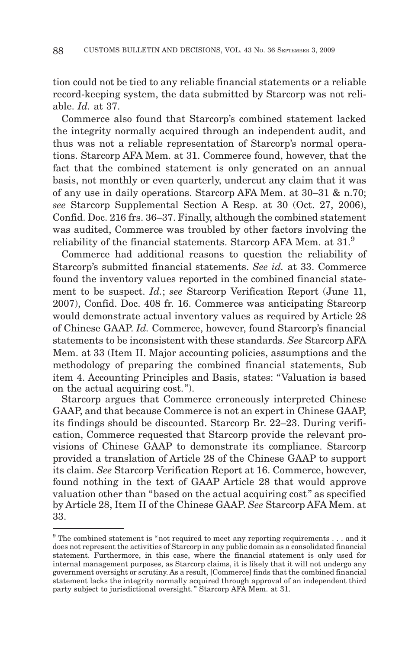tion could not be tied to any reliable financial statements or a reliable record-keeping system, the data submitted by Starcorp was not reliable. *Id.* at 37.

Commerce also found that Starcorp's combined statement lacked the integrity normally acquired through an independent audit, and thus was not a reliable representation of Starcorp's normal operations. Starcorp AFA Mem. at 31. Commerce found, however, that the fact that the combined statement is only generated on an annual basis, not monthly or even quarterly, undercut any claim that it was of any use in daily operations. Starcorp AFA Mem. at 30–31 & n.70; *see* Starcorp Supplemental Section A Resp. at 30 (Oct. 27, 2006), Confid. Doc. 216 frs. 36–37. Finally, although the combined statement was audited, Commerce was troubled by other factors involving the reliability of the financial statements. Starcorp AFA Mem. at 31.<sup>9</sup>

Commerce had additional reasons to question the reliability of Starcorp's submitted financial statements. *See id.* at 33. Commerce found the inventory values reported in the combined financial statement to be suspect. *Id.*; *see* Starcorp Verification Report (June 11, 2007), Confid. Doc. 408 fr. 16. Commerce was anticipating Starcorp would demonstrate actual inventory values as required by Article 28 of Chinese GAAP. *Id.* Commerce, however, found Starcorp's financial statements to be inconsistent with these standards. *See* Starcorp AFA Mem. at 33 (Item II. Major accounting policies, assumptions and the methodology of preparing the combined financial statements, Sub item 4. Accounting Principles and Basis, states: "Valuation is based on the actual acquiring cost. ").

Starcorp argues that Commerce erroneously interpreted Chinese GAAP, and that because Commerce is not an expert in Chinese GAAP, its findings should be discounted. Starcorp Br. 22–23. During verification, Commerce requested that Starcorp provide the relevant provisions of Chinese GAAP to demonstrate its compliance. Starcorp provided a translation of Article 28 of the Chinese GAAP to support its claim. *See* Starcorp Verification Report at 16. Commerce, however, found nothing in the text of GAAP Article 28 that would approve valuation other than "based on the actual acquiring cost " as specified by Article 28, Item II of the Chinese GAAP. *See* Starcorp AFA Mem. at 33.

 $9$  The combined statement is "not required to meet any reporting requirements . . . and it does not represent the activities of Starcorp in any public domain as a consolidated financial statement. Furthermore, in this case, where the financial statement is only used for internal management purposes, as Starcorp claims, it is likely that it will not undergo any government oversight or scrutiny. As a result, [Commerce] finds that the combined financial statement lacks the integrity normally acquired through approval of an independent third party subject to jurisdictional oversight. " Starcorp AFA Mem. at 31.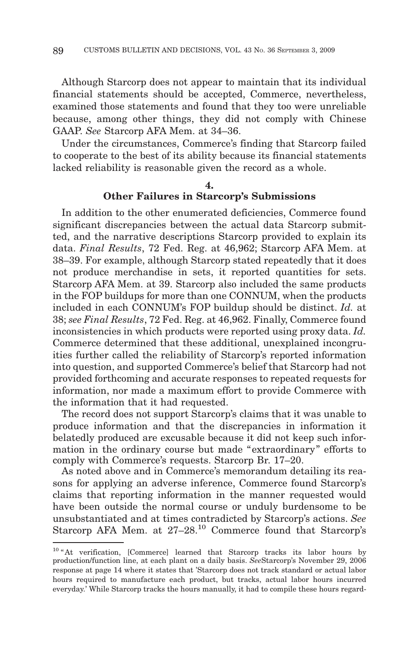Although Starcorp does not appear to maintain that its individual financial statements should be accepted, Commerce, nevertheless, examined those statements and found that they too were unreliable because, among other things, they did not comply with Chinese GAAP. *See* Starcorp AFA Mem. at 34–36.

Under the circumstances, Commerce's finding that Starcorp failed to cooperate to the best of its ability because its financial statements lacked reliability is reasonable given the record as a whole.

#### **4. Other Failures in Starcorp's Submissions**

In addition to the other enumerated deficiencies, Commerce found significant discrepancies between the actual data Starcorp submitted, and the narrative descriptions Starcorp provided to explain its data. *Final Results*, 72 Fed. Reg. at 46,962; Starcorp AFA Mem. at 38–39. For example, although Starcorp stated repeatedly that it does not produce merchandise in sets, it reported quantities for sets. Starcorp AFA Mem. at 39. Starcorp also included the same products in the FOP buildups for more than one CONNUM, when the products included in each CONNUM's FOP buildup should be distinct. *Id.* at 38; *see Final Results*, 72 Fed. Reg. at 46,962. Finally, Commerce found inconsistencies in which products were reported using proxy data. *Id.* Commerce determined that these additional, unexplained incongruities further called the reliability of Starcorp's reported information into question, and supported Commerce's belief that Starcorp had not provided forthcoming and accurate responses to repeated requests for information, nor made a maximum effort to provide Commerce with the information that it had requested.

The record does not support Starcorp's claims that it was unable to produce information and that the discrepancies in information it belatedly produced are excusable because it did not keep such information in the ordinary course but made "extraordinary" efforts to comply with Commerce's requests. Starcorp Br. 17–20.

As noted above and in Commerce's memorandum detailing its reasons for applying an adverse inference, Commerce found Starcorp's claims that reporting information in the manner requested would have been outside the normal course or unduly burdensome to be unsubstantiated and at times contradicted by Starcorp's actions. *See* Starcorp AFA Mem. at 27–28.<sup>10</sup> Commerce found that Starcorp's

<sup>&</sup>lt;sup>10</sup> "At verification, [Commerce] learned that Starcorp tracks its labor hours by production/function line, at each plant on a daily basis. *See*Starcorp's November 29, 2006 response at page 14 where it states that 'Starcorp does not track standard or actual labor hours required to manufacture each product, but tracks, actual labor hours incurred everyday.' While Starcorp tracks the hours manually, it had to compile these hours regard-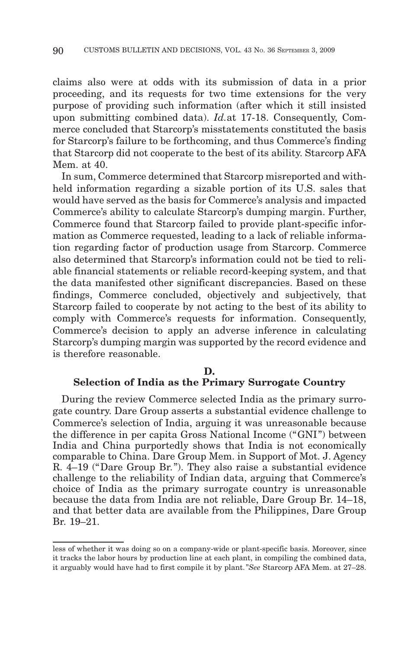claims also were at odds with its submission of data in a prior proceeding, and its requests for two time extensions for the very purpose of providing such information (after which it still insisted upon submitting combined data). *Id.*at 17-18. Consequently, Commerce concluded that Starcorp's misstatements constituted the basis for Starcorp's failure to be forthcoming, and thus Commerce's finding that Starcorp did not cooperate to the best of its ability. Starcorp AFA Mem. at 40.

In sum, Commerce determined that Starcorp misreported and withheld information regarding a sizable portion of its U.S. sales that would have served as the basis for Commerce's analysis and impacted Commerce's ability to calculate Starcorp's dumping margin. Further, Commerce found that Starcorp failed to provide plant-specific information as Commerce requested, leading to a lack of reliable information regarding factor of production usage from Starcorp. Commerce also determined that Starcorp's information could not be tied to reliable financial statements or reliable record-keeping system, and that the data manifested other significant discrepancies. Based on these findings, Commerce concluded, objectively and subjectively, that Starcorp failed to cooperate by not acting to the best of its ability to comply with Commerce's requests for information. Consequently, Commerce's decision to apply an adverse inference in calculating Starcorp's dumping margin was supported by the record evidence and is therefore reasonable.

#### **D.**

## **Selection of India as the Primary Surrogate Country**

During the review Commerce selected India as the primary surrogate country. Dare Group asserts a substantial evidence challenge to Commerce's selection of India, arguing it was unreasonable because the difference in per capita Gross National Income ("GNI ") between India and China purportedly shows that India is not economically comparable to China. Dare Group Mem. in Support of Mot. J. Agency R. 4–19 ("Dare Group Br. "). They also raise a substantial evidence challenge to the reliability of Indian data, arguing that Commerce's choice of India as the primary surrogate country is unreasonable because the data from India are not reliable, Dare Group Br. 14–18, and that better data are available from the Philippines, Dare Group Br. 19–21.

less of whether it was doing so on a company-wide or plant-specific basis. Moreover, since it tracks the labor hours by production line at each plant, in compiling the combined data, it arguably would have had to first compile it by plant. "*See* Starcorp AFA Mem. at 27–28.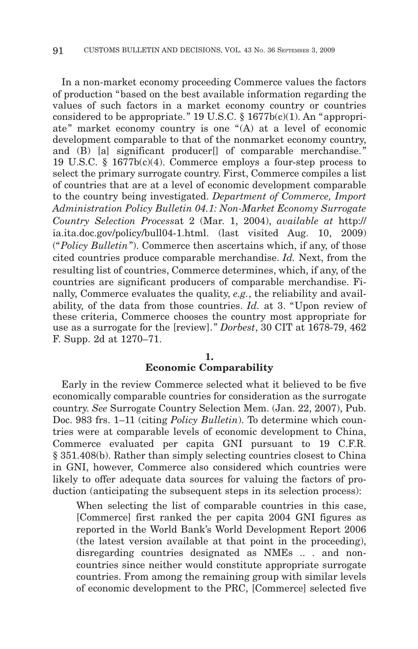In a non-market economy proceeding Commerce values the factors of production "based on the best available information regarding the values of such factors in a market economy country or countries considered to be appropriate." 19 U.S.C.  $\S 1677b(c)(1)$ . An "appropriate" market economy country is one " $(A)$  at a level of economic development comparable to that of the nonmarket economy country, and (B) [a] significant producer[] of comparable merchandise." 19 U.S.C. § 1677b(c)(4). Commerce employs a four-step process to select the primary surrogate country. First, Commerce compiles a list of countries that are at a level of economic development comparable to the country being investigated. *Department of Commerce, Import Administration Policy Bulletin 04.1: Non-Market Economy Surrogate Country Selection Process*at 2 (Mar. 1, 2004), *available at* http:// ia.ita.doc.gov/policy/bull04-1.html. (last visited Aug. 10, 2009) ("*Policy Bulletin*"). Commerce then ascertains which, if any, of those cited countries produce comparable merchandise. *Id.* Next, from the resulting list of countries, Commerce determines, which, if any, of the countries are significant producers of comparable merchandise. Finally, Commerce evaluates the quality, *e.g.*, the reliability and availability, of the data from those countries. *Id.* at 3. "Upon review of these criteria, Commerce chooses the country most appropriate for use as a surrogate for the [review]. " *Dorbest*, 30 CIT at 1678-79, 462 F. Supp. 2d at 1270–71.

#### **1.**

# **Economic Comparability**

Early in the review Commerce selected what it believed to be five economically comparable countries for consideration as the surrogate country. *See* Surrogate Country Selection Mem. (Jan. 22, 2007), Pub. Doc. 983 frs. 1–11 (citing *Policy Bulletin*). To determine which countries were at comparable levels of economic development to China, Commerce evaluated per capita GNI pursuant to 19 C.F.R. § 351.408(b). Rather than simply selecting countries closest to China in GNI, however, Commerce also considered which countries were likely to offer adequate data sources for valuing the factors of production (anticipating the subsequent steps in its selection process):

When selecting the list of comparable countries in this case, [Commerce] first ranked the per capita 2004 GNI figures as reported in the World Bank's World Development Report 2006 (the latest version available at that point in the proceeding), disregarding countries designated as NMEs .. . and noncountries since neither would constitute appropriate surrogate countries. From among the remaining group with similar levels of economic development to the PRC, [Commerce] selected five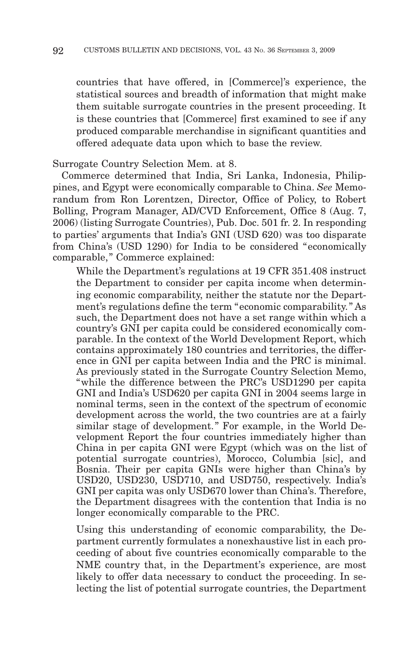countries that have offered, in [Commerce]'s experience, the statistical sources and breadth of information that might make them suitable surrogate countries in the present proceeding. It is these countries that [Commerce] first examined to see if any produced comparable merchandise in significant quantities and offered adequate data upon which to base the review.

## Surrogate Country Selection Mem. at 8.

Commerce determined that India, Sri Lanka, Indonesia, Philippines, and Egypt were economically comparable to China. *See* Memorandum from Ron Lorentzen, Director, Office of Policy, to Robert Bolling, Program Manager, AD/CVD Enforcement, Office 8 (Aug. 7, 2006) (listing Surrogate Countries), Pub. Doc. 501 fr. 2. In responding to parties' arguments that India's GNI (USD 620) was too disparate from China's (USD 1290) for India to be considered "economically comparable," Commerce explained:

While the Department's regulations at 19 CFR 351.408 instruct the Department to consider per capita income when determining economic comparability, neither the statute nor the Department's regulations define the term "economic comparability. " As such, the Department does not have a set range within which a country's GNI per capita could be considered economically comparable. In the context of the World Development Report, which contains approximately 180 countries and territories, the difference in GNI per capita between India and the PRC is minimal. As previously stated in the Surrogate Country Selection Memo, "while the difference between the PRC's USD1290 per capita GNI and India's USD620 per capita GNI in 2004 seems large in nominal terms, seen in the context of the spectrum of economic development across the world, the two countries are at a fairly similar stage of development." For example, in the World Development Report the four countries immediately higher than China in per capita GNI were Egypt (which was on the list of potential surrogate countries), Morocco, Columbia [sic], and Bosnia. Their per capita GNIs were higher than China's by USD20, USD230, USD710, and USD750, respectively. India's GNI per capita was only USD670 lower than China's. Therefore, the Department disagrees with the contention that India is no longer economically comparable to the PRC.

Using this understanding of economic comparability, the Department currently formulates a nonexhaustive list in each proceeding of about five countries economically comparable to the NME country that, in the Department's experience, are most likely to offer data necessary to conduct the proceeding. In selecting the list of potential surrogate countries, the Department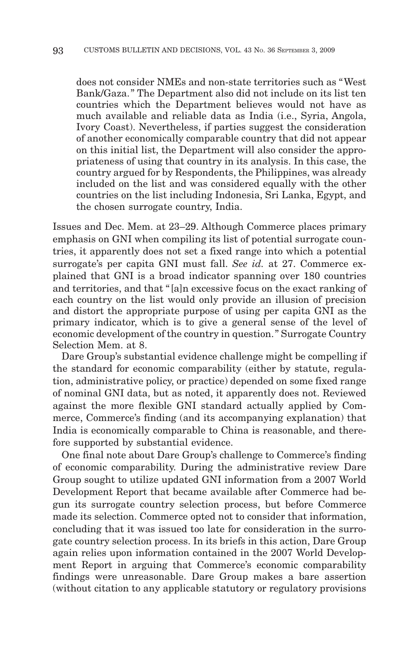does not consider NMEs and non-state territories such as "West Bank/Gaza. " The Department also did not include on its list ten countries which the Department believes would not have as much available and reliable data as India (i.e., Syria, Angola, Ivory Coast). Nevertheless, if parties suggest the consideration of another economically comparable country that did not appear on this initial list, the Department will also consider the appropriateness of using that country in its analysis. In this case, the country argued for by Respondents, the Philippines, was already included on the list and was considered equally with the other countries on the list including Indonesia, Sri Lanka, Egypt, and the chosen surrogate country, India.

Issues and Dec. Mem. at 23–29. Although Commerce places primary emphasis on GNI when compiling its list of potential surrogate countries, it apparently does not set a fixed range into which a potential surrogate's per capita GNI must fall. *See id.* at 27. Commerce explained that GNI is a broad indicator spanning over 180 countries and territories, and that " [a]n excessive focus on the exact ranking of each country on the list would only provide an illusion of precision and distort the appropriate purpose of using per capita GNI as the primary indicator, which is to give a general sense of the level of economic development of the country in question. " Surrogate Country Selection Mem. at 8.

Dare Group's substantial evidence challenge might be compelling if the standard for economic comparability (either by statute, regulation, administrative policy, or practice) depended on some fixed range of nominal GNI data, but as noted, it apparently does not. Reviewed against the more flexible GNI standard actually applied by Commerce, Commerce's finding (and its accompanying explanation) that India is economically comparable to China is reasonable, and therefore supported by substantial evidence.

One final note about Dare Group's challenge to Commerce's finding of economic comparability. During the administrative review Dare Group sought to utilize updated GNI information from a 2007 World Development Report that became available after Commerce had begun its surrogate country selection process, but before Commerce made its selection. Commerce opted not to consider that information, concluding that it was issued too late for consideration in the surrogate country selection process. In its briefs in this action, Dare Group again relies upon information contained in the 2007 World Development Report in arguing that Commerce's economic comparability findings were unreasonable. Dare Group makes a bare assertion (without citation to any applicable statutory or regulatory provisions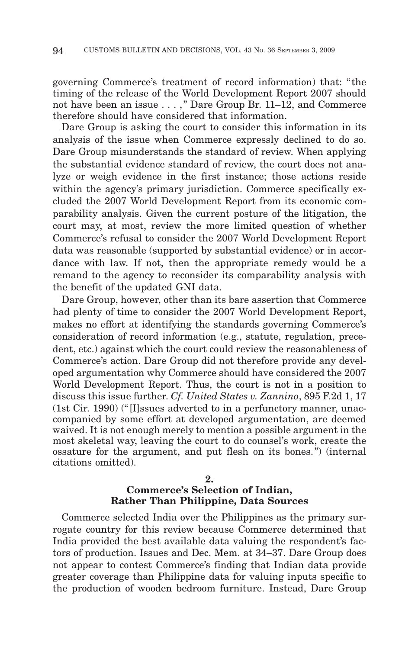governing Commerce's treatment of record information) that: " the timing of the release of the World Development Report 2007 should not have been an issue . . . ," Dare Group Br. 11–12, and Commerce therefore should have considered that information.

Dare Group is asking the court to consider this information in its analysis of the issue when Commerce expressly declined to do so. Dare Group misunderstands the standard of review. When applying the substantial evidence standard of review, the court does not analyze or weigh evidence in the first instance; those actions reside within the agency's primary jurisdiction. Commerce specifically excluded the 2007 World Development Report from its economic comparability analysis. Given the current posture of the litigation, the court may, at most, review the more limited question of whether Commerce's refusal to consider the 2007 World Development Report data was reasonable (supported by substantial evidence) or in accordance with law. If not, then the appropriate remedy would be a remand to the agency to reconsider its comparability analysis with the benefit of the updated GNI data.

Dare Group, however, other than its bare assertion that Commerce had plenty of time to consider the 2007 World Development Report, makes no effort at identifying the standards governing Commerce's consideration of record information (e.g., statute, regulation, precedent, etc.) against which the court could review the reasonableness of Commerce's action. Dare Group did not therefore provide any developed argumentation why Commerce should have considered the 2007 World Development Report. Thus, the court is not in a position to discuss this issue further. *Cf. United States v. Zannino*, 895 F.2d 1, 17 (1st Cir. 1990) (" [I]ssues adverted to in a perfunctory manner, unaccompanied by some effort at developed argumentation, are deemed waived. It is not enough merely to mention a possible argument in the most skeletal way, leaving the court to do counsel's work, create the ossature for the argument, and put flesh on its bones. ") (internal citations omitted).

## **2. Commerce's Selection of Indian, Rather Than Philippine, Data Sources**

Commerce selected India over the Philippines as the primary surrogate country for this review because Commerce determined that India provided the best available data valuing the respondent's factors of production. Issues and Dec. Mem. at 34–37. Dare Group does not appear to contest Commerce's finding that Indian data provide greater coverage than Philippine data for valuing inputs specific to the production of wooden bedroom furniture. Instead, Dare Group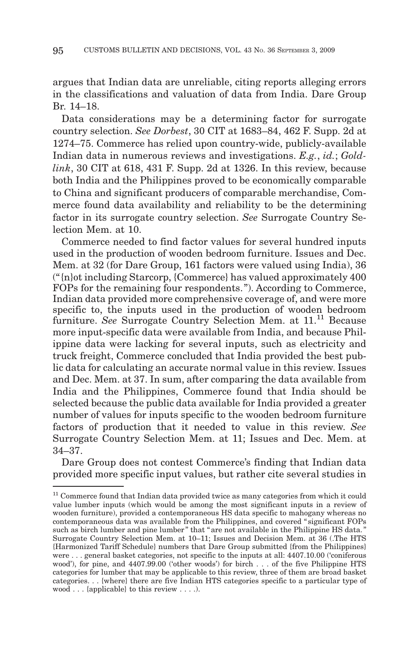argues that Indian data are unreliable, citing reports alleging errors in the classifications and valuation of data from India. Dare Group Br. 14–18.

Data considerations may be a determining factor for surrogate country selection. *See Dorbest*, 30 CIT at 1683–84, 462 F. Supp. 2d at 1274–75. Commerce has relied upon country-wide, publicly-available Indian data in numerous reviews and investigations. *E.g.*, *id.*; *Goldlink*, 30 CIT at 618, 431 F. Supp. 2d at 1326. In this review, because both India and the Philippines proved to be economically comparable to China and significant producers of comparable merchandise, Commerce found data availability and reliability to be the determining factor in its surrogate country selection. *See* Surrogate Country Selection Mem. at 10.

Commerce needed to find factor values for several hundred inputs used in the production of wooden bedroom furniture. Issues and Dec. Mem. at 32 (for Dare Group, 161 factors were valued using India), 36 (" {n}ot including Starcorp, {Commerce} has valued approximately 400 FOPs for the remaining four respondents. "). According to Commerce, Indian data provided more comprehensive coverage of, and were more specific to, the inputs used in the production of wooden bedroom furniture. See Surrogate Country Selection Mem. at 11.<sup>11</sup> Because more input-specific data were available from India, and because Philippine data were lacking for several inputs, such as electricity and truck freight, Commerce concluded that India provided the best public data for calculating an accurate normal value in this review. Issues and Dec. Mem. at 37. In sum, after comparing the data available from India and the Philippines, Commerce found that India should be selected because the public data available for India provided a greater number of values for inputs specific to the wooden bedroom furniture factors of production that it needed to value in this review. *See* Surrogate Country Selection Mem. at 11; Issues and Dec. Mem. at 34–37.

Dare Group does not contest Commerce's finding that Indian data provided more specific input values, but rather cite several studies in

<sup>&</sup>lt;sup>11</sup> Commerce found that Indian data provided twice as many categories from which it could value lumber inputs (which would be among the most significant inputs in a review of wooden furniture), provided a contemporaneous HS data specific to mahogany whereas no contemporaneous data was available from the Philippines, and covered " significant FOPs such as birch lumber and pine lumber" that " are not available in the Philippine HS data." Surrogate Country Selection Mem. at 10–11; Issues and Decision Mem. at 36 (.The HTS {Harmonized Tariff Schedule} numbers that Dare Group submitted {from the Philippines} were . . . general basket categories, not specific to the inputs at all: 4407.10.00 ('coniferous wood'), for pine, and 4407.99.00 ('other woods') for birch . . . of the five Philippine HTS categories for lumber that may be applicable to this review, three of them are broad basket categories. . . {where} there are five Indian HTS categories specific to a particular type of wood . . . {applicable} to this review . . . .).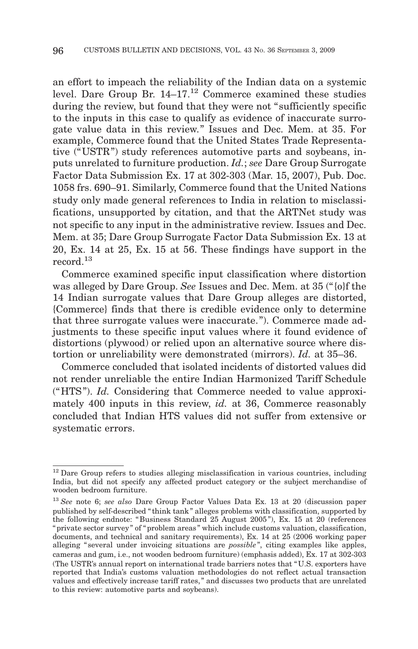an effort to impeach the reliability of the Indian data on a systemic level. Dare Group Br.  $14-17$ .<sup>12</sup> Commerce examined these studies during the review, but found that they were not "sufficiently specific to the inputs in this case to qualify as evidence of inaccurate surrogate value data in this review. " Issues and Dec. Mem. at 35. For example, Commerce found that the United States Trade Representative ("USTR ") study references automotive parts and soybeans, inputs unrelated to furniture production. *Id.*; *see* Dare Group Surrogate Factor Data Submission Ex. 17 at 302-303 (Mar. 15, 2007), Pub. Doc. 1058 frs. 690–91. Similarly, Commerce found that the United Nations study only made general references to India in relation to misclassifications, unsupported by citation, and that the ARTNet study was not specific to any input in the administrative review. Issues and Dec. Mem. at 35; Dare Group Surrogate Factor Data Submission Ex. 13 at 20, Ex. 14 at 25, Ex. 15 at 56. These findings have support in the record.13

Commerce examined specific input classification where distortion was alleged by Dare Group. *See* Issues and Dec. Mem. at 35 (" {o}f the 14 Indian surrogate values that Dare Group alleges are distorted, {Commerce} finds that there is credible evidence only to determine that three surrogate values were inaccurate. "). Commerce made adjustments to these specific input values where it found evidence of distortions (plywood) or relied upon an alternative source where distortion or unreliability were demonstrated (mirrors). *Id.* at 35–36.

Commerce concluded that isolated incidents of distorted values did not render unreliable the entire Indian Harmonized Tariff Schedule ("HTS "). *Id.* Considering that Commerce needed to value approximately 400 inputs in this review, *id.* at 36, Commerce reasonably concluded that Indian HTS values did not suffer from extensive or systematic errors.

 $12$  Dare Group refers to studies alleging misclassification in various countries, including India, but did not specify any affected product category or the subject merchandise of wooden bedroom furniture.

<sup>13</sup> *See* note 6; *see also* Dare Group Factor Values Data Ex. 13 at 20 (discussion paper published by self-described " think tank " alleges problems with classification, supported by the following endnote: " Business Standard 25 August 2005 "), Ex. 15 at 20 (references " private sector survey " of " problem areas " which include customs valuation, classification, documents, and technical and sanitary requirements), Ex. 14 at 25 (2006 working paper alleging " several under invoicing situations are *possible* ", citing examples like apples, cameras and gum, i.e., not wooden bedroom furniture) (emphasis added), Ex. 17 at 302-303 (The USTR's annual report on international trade barriers notes that "U.S. exporters have reported that India's customs valuation methodologies do not reflect actual transaction values and effectively increase tariff rates, " and discusses two products that are unrelated to this review: automotive parts and soybeans).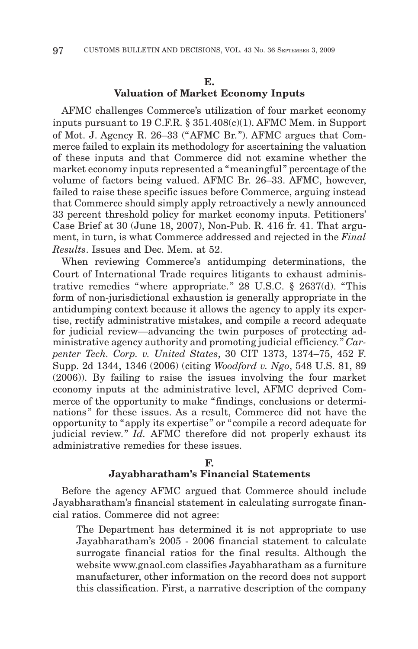#### **E.**

#### **Valuation of Market Economy Inputs**

AFMC challenges Commerce's utilization of four market economy inputs pursuant to 19 C.F.R. § 351.408(c)(1). AFMC Mem. in Support of Mot. J. Agency R. 26–33 ("AFMC Br. "). AFMC argues that Commerce failed to explain its methodology for ascertaining the valuation of these inputs and that Commerce did not examine whether the market economy inputs represented a "meaningful " percentage of the volume of factors being valued. AFMC Br. 26–33. AFMC, however, failed to raise these specific issues before Commerce, arguing instead that Commerce should simply apply retroactively a newly announced 33 percent threshold policy for market economy inputs. Petitioners' Case Brief at 30 (June 18, 2007), Non-Pub. R. 416 fr. 41. That argument, in turn, is what Commerce addressed and rejected in the *Final Results*. Issues and Dec. Mem. at 52.

When reviewing Commerce's antidumping determinations, the Court of International Trade requires litigants to exhaust administrative remedies "where appropriate."  $28 \text{ U.S.C. }$   $\S$   $2637(d)$ . "This form of non-jurisdictional exhaustion is generally appropriate in the antidumping context because it allows the agency to apply its expertise, rectify administrative mistakes, and compile a record adequate for judicial review—advancing the twin purposes of protecting administrative agency authority and promoting judicial efficiency. " *Carpenter Tech. Corp. v. United States*, 30 CIT 1373, 1374–75, 452 F. Supp. 2d 1344, 1346 (2006) (citing *Woodford v. Ngo*, 548 U.S. 81, 89 (2006)). By failing to raise the issues involving the four market economy inputs at the administrative level, AFMC deprived Commerce of the opportunity to make " findings, conclusions or determinations" for these issues. As a result, Commerce did not have the opportunity to "apply its expertise " or "compile a record adequate for judicial review." *Id.* AFMC therefore did not properly exhaust its administrative remedies for these issues.

#### **F.**

#### **Jayabharatham's Financial Statements**

Before the agency AFMC argued that Commerce should include Jayabharatham's financial statement in calculating surrogate financial ratios. Commerce did not agree:

The Department has determined it is not appropriate to use Jayabharatham's 2005 - 2006 financial statement to calculate surrogate financial ratios for the final results. Although the website www.gnaol.com classifies Jayabharatham as a furniture manufacturer, other information on the record does not support this classification. First, a narrative description of the company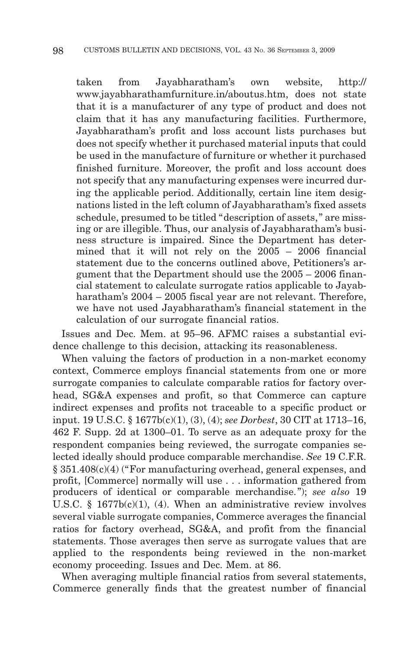taken from Jayabharatham's own website, http:// www.jayabharathamfurniture.in/aboutus.htm, does not state that it is a manufacturer of any type of product and does not claim that it has any manufacturing facilities. Furthermore, Jayabharatham's profit and loss account lists purchases but does not specify whether it purchased material inputs that could be used in the manufacture of furniture or whether it purchased finished furniture. Moreover, the profit and loss account does not specify that any manufacturing expenses were incurred during the applicable period. Additionally, certain line item designations listed in the left column of Jayabharatham's fixed assets schedule, presumed to be titled "description of assets, " are missing or are illegible. Thus, our analysis of Jayabharatham's business structure is impaired. Since the Department has determined that it will not rely on the 2005 – 2006 financial statement due to the concerns outlined above, Petitioners's argument that the Department should use the 2005 – 2006 financial statement to calculate surrogate ratios applicable to Jayabharatham's  $2004 - 2005$  fiscal year are not relevant. Therefore, we have not used Jayabharatham's financial statement in the calculation of our surrogate financial ratios.

Issues and Dec. Mem. at 95–96. AFMC raises a substantial evidence challenge to this decision, attacking its reasonableness.

When valuing the factors of production in a non-market economy context, Commerce employs financial statements from one or more surrogate companies to calculate comparable ratios for factory overhead, SG&A expenses and profit, so that Commerce can capture indirect expenses and profits not traceable to a specific product or input. 19 U.S.C. § 1677b(c)(1), (3), (4); *see Dorbest*, 30 CIT at 1713–16, 462 F. Supp. 2d at 1300–01. To serve as an adequate proxy for the respondent companies being reviewed, the surrogate companies selected ideally should produce comparable merchandise. *See* 19 C.F.R. § 351.408(c)(4) ("For manufacturing overhead, general expenses, and profit, [Commerce] normally will use . . . information gathered from producers of identical or comparable merchandise. "); *see also* 19 U.S.C. § 1677 $b(c)(1)$ , (4). When an administrative review involves several viable surrogate companies, Commerce averages the financial ratios for factory overhead, SG&A, and profit from the financial statements. Those averages then serve as surrogate values that are applied to the respondents being reviewed in the non-market economy proceeding. Issues and Dec. Mem. at 86.

When averaging multiple financial ratios from several statements, Commerce generally finds that the greatest number of financial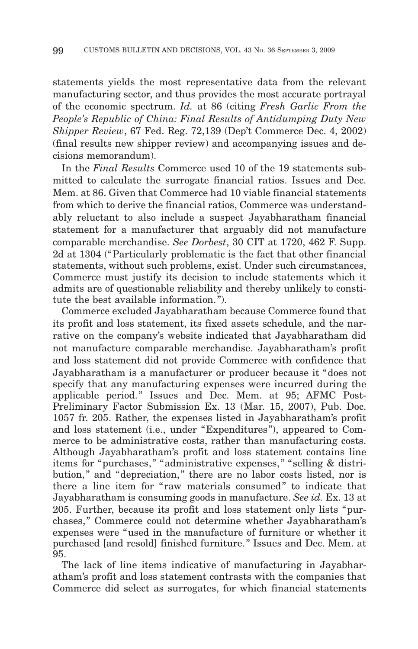statements yields the most representative data from the relevant manufacturing sector, and thus provides the most accurate portrayal of the economic spectrum. *Id.* at 86 (citing *Fresh Garlic From the People's Republic of China: Final Results of Antidumping Duty New Shipper Review*, 67 Fed. Reg. 72,139 (Dep't Commerce Dec. 4, 2002) (final results new shipper review) and accompanying issues and decisions memorandum).

In the *Final Results* Commerce used 10 of the 19 statements submitted to calculate the surrogate financial ratios. Issues and Dec. Mem. at 86. Given that Commerce had 10 viable financial statements from which to derive the financial ratios, Commerce was understandably reluctant to also include a suspect Jayabharatham financial statement for a manufacturer that arguably did not manufacture comparable merchandise. *See Dorbest*, 30 CIT at 1720, 462 F. Supp. 2d at 1304 ("Particularly problematic is the fact that other financial statements, without such problems, exist. Under such circumstances, Commerce must justify its decision to include statements which it admits are of questionable reliability and thereby unlikely to constitute the best available information. ").

Commerce excluded Jayabharatham because Commerce found that its profit and loss statement, its fixed assets schedule, and the narrative on the company's website indicated that Jayabharatham did not manufacture comparable merchandise. Jayabharatham's profit and loss statement did not provide Commerce with confidence that Jayabharatham is a manufacturer or producer because it "does not specify that any manufacturing expenses were incurred during the applicable period." Issues and Dec. Mem. at 95; AFMC Post-Preliminary Factor Submission Ex. 13 (Mar. 15, 2007), Pub. Doc. 1057 fr. 205. Rather, the expenses listed in Jayabharatham's profit and loss statement (i.e., under "Expenditures "), appeared to Commerce to be administrative costs, rather than manufacturing costs. Although Jayabharatham's profit and loss statement contains line items for "purchases, " "administrative expenses, " "selling & distribution," and "depreciation," there are no labor costs listed, nor is there a line item for "raw materials consumed " to indicate that Jayabharatham is consuming goods in manufacture. *See id.* Ex. 13 at 205. Further, because its profit and loss statement only lists "purchases, " Commerce could not determine whether Jayabharatham's expenses were "used in the manufacture of furniture or whether it purchased [and resold] finished furniture. " Issues and Dec. Mem. at 95.

The lack of line items indicative of manufacturing in Jayabharatham's profit and loss statement contrasts with the companies that Commerce did select as surrogates, for which financial statements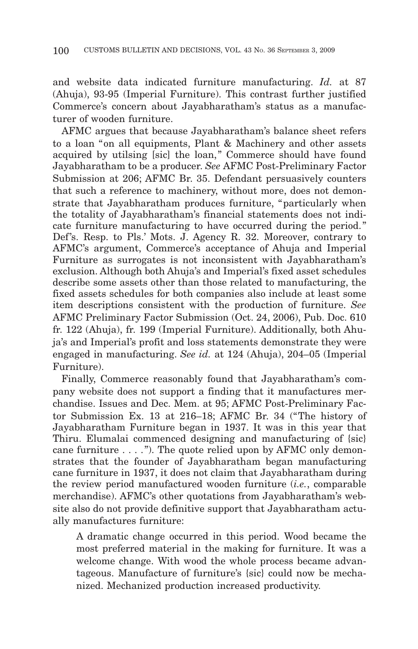and website data indicated furniture manufacturing. *Id.* at 87 (Ahuja), 93-95 (Imperial Furniture). This contrast further justified Commerce's concern about Jayabharatham's status as a manufacturer of wooden furniture.

AFMC argues that because Jayabharatham's balance sheet refers to a loan "on all equipments, Plant & Machinery and other assets acquired by utilsing [sic] the loan," Commerce should have found Jayabharatham to be a producer. *See* AFMC Post-Preliminary Factor Submission at 206; AFMC Br. 35. Defendant persuasively counters that such a reference to machinery, without more, does not demonstrate that Jayabharatham produces furniture, "particularly when the totality of Jayabharatham's financial statements does not indicate furniture manufacturing to have occurred during the period. " Def's. Resp. to Pls.' Mots. J. Agency R. 32. Moreover, contrary to AFMC's argument, Commerce's acceptance of Ahuja and Imperial Furniture as surrogates is not inconsistent with Jayabharatham's exclusion. Although both Ahuja's and Imperial's fixed asset schedules describe some assets other than those related to manufacturing, the fixed assets schedules for both companies also include at least some item descriptions consistent with the production of furniture. *See* AFMC Preliminary Factor Submission (Oct. 24, 2006), Pub. Doc. 610 fr. 122 (Ahuja), fr. 199 (Imperial Furniture). Additionally, both Ahuja's and Imperial's profit and loss statements demonstrate they were engaged in manufacturing. *See id.* at 124 (Ahuja), 204–05 (Imperial Furniture).

Finally, Commerce reasonably found that Jayabharatham's company website does not support a finding that it manufactures merchandise. Issues and Dec. Mem. at 95; AFMC Post-Preliminary Factor Submission Ex. 13 at 216–18; AFMC Br. 34 ("The history of Jayabharatham Furniture began in 1937. It was in this year that Thiru. Elumalai commenced designing and manufacturing of {sic} cane furniture  $\dots$  ."). The quote relied upon by AFMC only demonstrates that the founder of Jayabharatham began manufacturing cane furniture in 1937, it does not claim that Jayabharatham during the review period manufactured wooden furniture (*i.e.*, comparable merchandise). AFMC's other quotations from Jayabharatham's website also do not provide definitive support that Jayabharatham actually manufactures furniture:

A dramatic change occurred in this period. Wood became the most preferred material in the making for furniture. It was a welcome change. With wood the whole process became advantageous. Manufacture of furniture's {sic} could now be mechanized. Mechanized production increased productivity.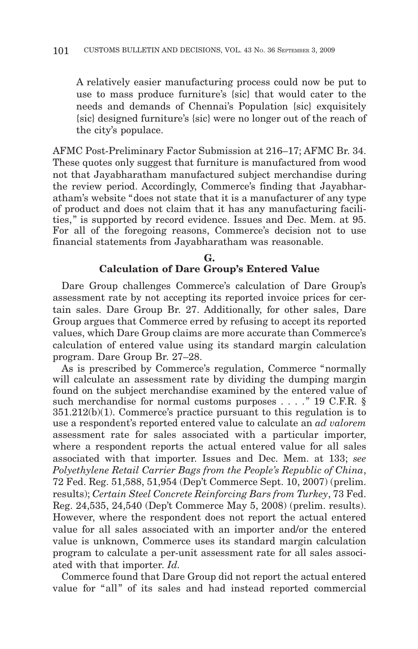A relatively easier manufacturing process could now be put to use to mass produce furniture's {sic} that would cater to the needs and demands of Chennai's Population {sic} exquisitely {sic} designed furniture's {sic} were no longer out of the reach of the city's populace.

AFMC Post-Preliminary Factor Submission at 216–17; AFMC Br. 34. These quotes only suggest that furniture is manufactured from wood not that Jayabharatham manufactured subject merchandise during the review period. Accordingly, Commerce's finding that Jayabharatham's website "does not state that it is a manufacturer of any type of product and does not claim that it has any manufacturing facilities, " is supported by record evidence. Issues and Dec. Mem. at 95. For all of the foregoing reasons, Commerce's decision not to use financial statements from Jayabharatham was reasonable.

# **G. Calculation of Dare Group's Entered Value**

Dare Group challenges Commerce's calculation of Dare Group's assessment rate by not accepting its reported invoice prices for certain sales. Dare Group Br. 27. Additionally, for other sales, Dare Group argues that Commerce erred by refusing to accept its reported values, which Dare Group claims are more accurate than Commerce's calculation of entered value using its standard margin calculation program. Dare Group Br. 27–28.

As is prescribed by Commerce's regulation, Commerce "normally will calculate an assessment rate by dividing the dumping margin found on the subject merchandise examined by the entered value of such merchandise for normal customs purposes . . . . " 19 C.F.R. § 351.212(b)(1). Commerce's practice pursuant to this regulation is to use a respondent's reported entered value to calculate an *ad valorem* assessment rate for sales associated with a particular importer, where a respondent reports the actual entered value for all sales associated with that importer. Issues and Dec. Mem. at 133; *see Polyethylene Retail Carrier Bags from the People's Republic of China*, 72 Fed. Reg. 51,588, 51,954 (Dep't Commerce Sept. 10, 2007) (prelim. results); *Certain Steel Concrete Reinforcing Bars from Turkey*, 73 Fed. Reg. 24,535, 24,540 (Dep't Commerce May 5, 2008) (prelim. results). However, where the respondent does not report the actual entered value for all sales associated with an importer and/or the entered value is unknown, Commerce uses its standard margin calculation program to calculate a per-unit assessment rate for all sales associated with that importer. *Id.*

Commerce found that Dare Group did not report the actual entered value for "all" of its sales and had instead reported commercial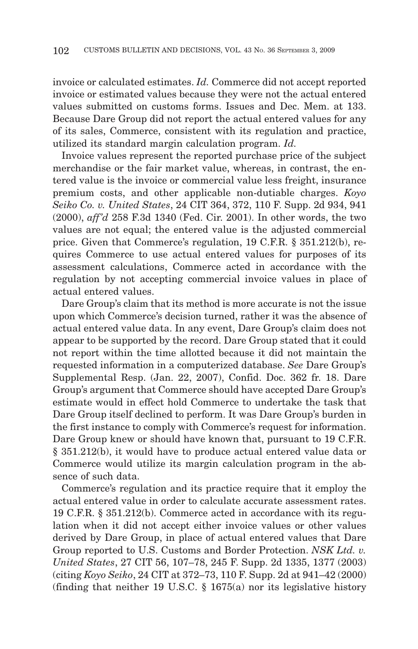invoice or calculated estimates. *Id.* Commerce did not accept reported invoice or estimated values because they were not the actual entered values submitted on customs forms. Issues and Dec. Mem. at 133. Because Dare Group did not report the actual entered values for any of its sales, Commerce, consistent with its regulation and practice, utilized its standard margin calculation program. *Id.*

Invoice values represent the reported purchase price of the subject merchandise or the fair market value, whereas, in contrast, the entered value is the invoice or commercial value less freight, insurance premium costs, and other applicable non-dutiable charges. *Koyo Seiko Co. v. United States*, 24 CIT 364, 372, 110 F. Supp. 2d 934, 941 (2000), *aff'd* 258 F.3d 1340 (Fed. Cir. 2001). In other words, the two values are not equal; the entered value is the adjusted commercial price. Given that Commerce's regulation, 19 C.F.R. § 351.212(b), requires Commerce to use actual entered values for purposes of its assessment calculations, Commerce acted in accordance with the regulation by not accepting commercial invoice values in place of actual entered values.

Dare Group's claim that its method is more accurate is not the issue upon which Commerce's decision turned, rather it was the absence of actual entered value data. In any event, Dare Group's claim does not appear to be supported by the record. Dare Group stated that it could not report within the time allotted because it did not maintain the requested information in a computerized database. *See* Dare Group's Supplemental Resp. (Jan. 22, 2007), Confid. Doc. 362 fr. 18. Dare Group's argument that Commerce should have accepted Dare Group's estimate would in effect hold Commerce to undertake the task that Dare Group itself declined to perform. It was Dare Group's burden in the first instance to comply with Commerce's request for information. Dare Group knew or should have known that, pursuant to 19 C.F.R. § 351.212(b), it would have to produce actual entered value data or Commerce would utilize its margin calculation program in the absence of such data.

Commerce's regulation and its practice require that it employ the actual entered value in order to calculate accurate assessment rates. 19 C.F.R. § 351.212(b). Commerce acted in accordance with its regulation when it did not accept either invoice values or other values derived by Dare Group, in place of actual entered values that Dare Group reported to U.S. Customs and Border Protection. *NSK Ltd. v. United States*, 27 CIT 56, 107–78, 245 F. Supp. 2d 1335, 1377 (2003) (citing *Koyo Seiko*, 24 CIT at 372–73, 110 F. Supp. 2d at 941–42 (2000) (finding that neither 19 U.S.C.  $\S$  1675(a) nor its legislative history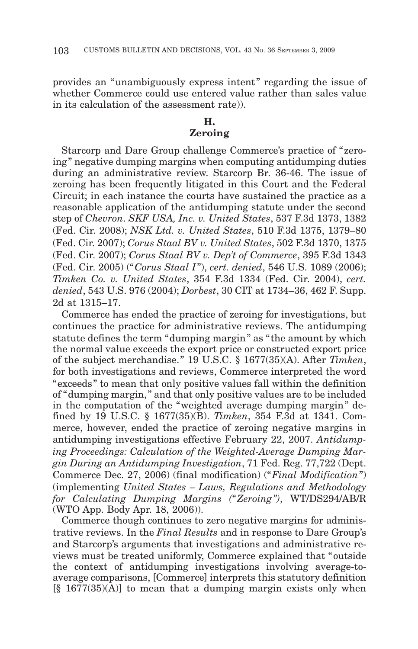provides an "unambiguously express intent" regarding the issue of whether Commerce could use entered value rather than sales value in its calculation of the assessment rate)).

# **H.**

# **Zeroing**

Starcorp and Dare Group challenge Commerce's practice of "zeroing " negative dumping margins when computing antidumping duties during an administrative review. Starcorp Br. 36-46. The issue of zeroing has been frequently litigated in this Court and the Federal Circuit; in each instance the courts have sustained the practice as a reasonable application of the antidumping statute under the second step of *Chevron*. *SKF USA, Inc. v. United States*, 537 F.3d 1373, 1382 (Fed. Cir. 2008); *NSK Ltd. v. United States*, 510 F.3d 1375, 1379–80 (Fed. Cir. 2007); *Corus Staal BV v. United States*, 502 F.3d 1370, 1375 (Fed. Cir. 2007); *Corus Staal BV v. Dep't of Commerce*, 395 F.3d 1343 (Fed. Cir. 2005) ("*Corus Staal I*"), *cert. denied*, 546 U.S. 1089 (2006); *Timken Co. v. United States*, 354 F.3d 1334 (Fed. Cir. 2004), *cert. denied*, 543 U.S. 976 (2004); *Dorbest*, 30 CIT at 1734–36, 462 F. Supp. 2d at 1315–17.

Commerce has ended the practice of zeroing for investigations, but continues the practice for administrative reviews. The antidumping statute defines the term "dumping margin " as " the amount by which the normal value exceeds the export price or constructed export price of the subject merchandise. " 19 U.S.C. § 1677(35)(A). After *Timken*, for both investigations and reviews, Commerce interpreted the word "exceeds " to mean that only positive values fall within the definition of "dumping margin, " and that only positive values are to be included in the computation of the "weighted average dumping margin " defined by 19 U.S.C. § 1677(35)(B). *Timken*, 354 F.3d at 1341. Commerce, however, ended the practice of zeroing negative margins in antidumping investigations effective February 22, 2007. *Antidumping Proceedings: Calculation of the Weighted-Average Dumping Margin During an Antidumping Investigation*, 71 Fed. Reg. 77,722 (Dept. Commerce Dec. 27, 2006) (final modification) ("*Final Modification*") (implementing *United States – Laws, Regulations and Methodology for Calculating Dumping Margins ("Zeroing ")*, WT/DS294/AB/R (WTO App. Body Apr. 18, 2006)).

Commerce though continues to zero negative margins for administrative reviews. In the *Final Results* and in response to Dare Group's and Starcorp's arguments that investigations and administrative reviews must be treated uniformly, Commerce explained that " outside the context of antidumping investigations involving average-toaverage comparisons, [Commerce] interprets this statutory definition  $[\S 1677(35)(A)]$  to mean that a dumping margin exists only when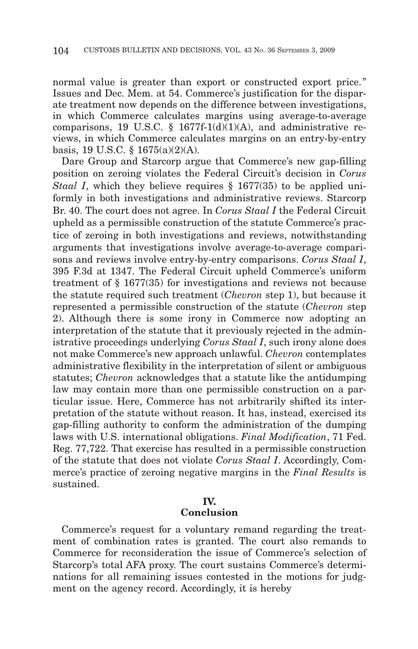normal value is greater than export or constructed export price." Issues and Dec. Mem. at 54. Commerce's justification for the disparate treatment now depends on the difference between investigations, in which Commerce calculates margins using average-to-average comparisons, 19 U.S.C. § 1677f-1(d)(1)(A), and administrative reviews, in which Commerce calculates margins on an entry-by-entry basis, 19 U.S.C. § 1675(a)(2)(A).

Dare Group and Starcorp argue that Commerce's new gap-filling position on zeroing violates the Federal Circuit's decision in *Corus Staal I*, which they believe requires § 1677(35) to be applied uniformly in both investigations and administrative reviews. Starcorp Br. 40. The court does not agree. In *Corus Staal I* the Federal Circuit upheld as a permissible construction of the statute Commerce's practice of zeroing in both investigations and reviews, notwithstanding arguments that investigations involve average-to-average comparisons and reviews involve entry-by-entry comparisons. *Corus Staal I*, 395 F.3d at 1347. The Federal Circuit upheld Commerce's uniform treatment of § 1677(35) for investigations and reviews not because the statute required such treatment (*Chevron* step 1), but because it represented a permissible construction of the statute (*Chevron* step 2). Although there is some irony in Commerce now adopting an interpretation of the statute that it previously rejected in the administrative proceedings underlying *Corus Staal I*, such irony alone does not make Commerce's new approach unlawful. *Chevron* contemplates administrative flexibility in the interpretation of silent or ambiguous statutes; *Chevron* acknowledges that a statute like the antidumping law may contain more than one permissible construction on a particular issue. Here, Commerce has not arbitrarily shifted its interpretation of the statute without reason. It has, instead, exercised its gap-filling authority to conform the administration of the dumping laws with U.S. international obligations. *Final Modification*, 71 Fed. Reg. 77,722. That exercise has resulted in a permissible construction of the statute that does not violate *Corus Staal I*. Accordingly, Commerce's practice of zeroing negative margins in the *Final Results* is sustained.

# **IV.**

## **Conclusion**

Commerce's request for a voluntary remand regarding the treatment of combination rates is granted. The court also remands to Commerce for reconsideration the issue of Commerce's selection of Starcorp's total AFA proxy. The court sustains Commerce's determinations for all remaining issues contested in the motions for judgment on the agency record. Accordingly, it is hereby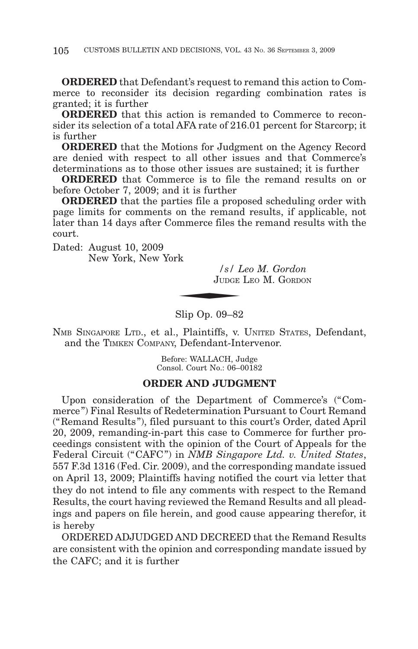**ORDERED** that Defendant's request to remand this action to Commerce to reconsider its decision regarding combination rates is granted; it is further

**ORDERED** that this action is remanded to Commerce to reconsider its selection of a total AFA rate of 216.01 percent for Starcorp; it is further

**ORDERED** that the Motions for Judgment on the Agency Record are denied with respect to all other issues and that Commerce's determinations as to those other issues are sustained; it is further

**ORDERED** that Commerce is to file the remand results on or before October 7, 2009; and it is further

**ORDERED** that the parties file a proposed scheduling order with page limits for comments on the remand results, if applicable, not later than 14 days after Commerce files the remand results with the court.  $\frac{s}{L}$ 

Dated: August 10, 2009 New York, New York

*/s/ Leo M. Gordon* JUDGE LEO M. GORDON

Slip Op. 09–82

NMB SINGAPORE LTD., et al., Plaintiffs, v. UNITED STATES, Defendant, and the TIMKEN COMPANY, Defendant-Intervenor.

> Before: WALLACH, Judge Consol. Court No.: 06–00182

## **ORDER AND JUDGMENT**

Upon consideration of the Department of Commerce's ("Commerce ") Final Results of Redetermination Pursuant to Court Remand ("Remand Results "), filed pursuant to this court's Order, dated April 20, 2009, remanding-in-part this case to Commerce for further proceedings consistent with the opinion of the Court of Appeals for the Federal Circuit ("CAFC ") in *NMB Singapore Ltd. v. United States*, 557 F.3d 1316 (Fed. Cir. 2009), and the corresponding mandate issued on April 13, 2009; Plaintiffs having notified the court via letter that they do not intend to file any comments with respect to the Remand Results, the court having reviewed the Remand Results and all pleadings and papers on file herein, and good cause appearing therefor, it is hereby

ORDERED ADJUDGED AND DECREED that the Remand Results are consistent with the opinion and corresponding mandate issued by the CAFC; and it is further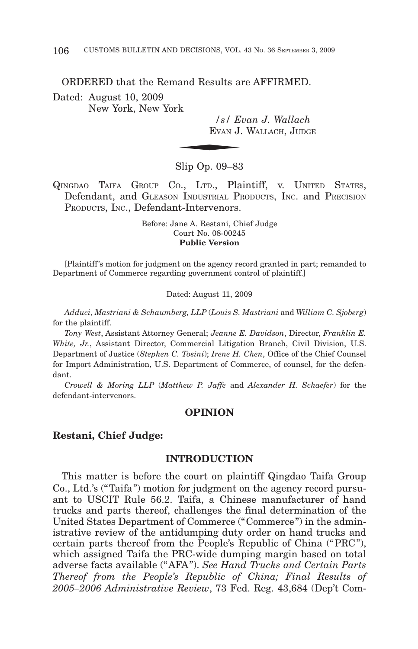ORDERED that the Remand Results are AFFIRMED.

Dated: August 10, 2009 New York, New York

*/s/ Evan J. Wallach* and Results and<br> $\frac{1}{s}$  / E<br> $\frac{1}{s}$  Evan J. EVAN J. WALLACH, JUDGE

Slip Op. 09–83

QINGDAO TAIFA GROUP CO., LTD., Plaintiff, v. UNITED STATES, Defendant, and GLEASON INDUSTRIAL PRODUCTS, INC. and PRECISION PRODUCTS, INC., Defendant-Intervenors.

> Before: Jane A. Restani, Chief Judge Court No. 08-00245 **Public Version**

[Plaintiff 's motion for judgment on the agency record granted in part; remanded to Department of Commerce regarding government control of plaintiff.]

Dated: August 11, 2009

*Adduci, Mastriani & Schaumberg, LLP* (*Louis S. Mastriani* and *William C. Sjoberg*) for the plaintiff.

*Tony West*, Assistant Attorney General; *Jeanne E. Davidson*, Director, *Franklin E. White, Jr.*, Assistant Director, Commercial Litigation Branch, Civil Division, U.S. Department of Justice (*Stephen C. Tosini*); *Irene H. Chen*, Office of the Chief Counsel for Import Administration, U.S. Department of Commerce, of counsel, for the defendant.

*Crowell & Moring LLP* (*Matthew P. Jaffe* and *Alexander H. Schaefer*) for the defendant-intervenors.

## **OPINION**

#### **Restani, Chief Judge:**

## **INTRODUCTION**

This matter is before the court on plaintiff Qingdao Taifa Group Co., Ltd.'s ("Taifa ") motion for judgment on the agency record pursuant to USCIT Rule 56.2. Taifa, a Chinese manufacturer of hand trucks and parts thereof, challenges the final determination of the United States Department of Commerce ("Commerce ") in the administrative review of the antidumping duty order on hand trucks and certain parts thereof from the People's Republic of China ("PRC "), which assigned Taifa the PRC-wide dumping margin based on total adverse facts available ("AFA "). *See Hand Trucks and Certain Parts Thereof from the People's Republic of China; Final Results of 2005–2006 Administrative Review*, 73 Fed. Reg. 43,684 (Dep't Com-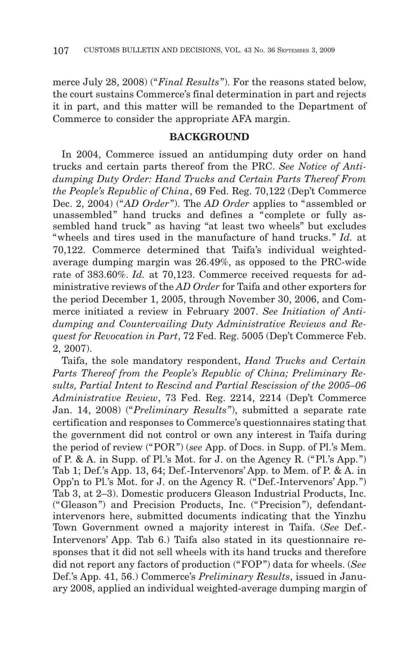merce July 28, 2008) ("*Final Results*"). For the reasons stated below, the court sustains Commerce's final determination in part and rejects it in part, and this matter will be remanded to the Department of Commerce to consider the appropriate AFA margin.

## **BACKGROUND**

In 2004, Commerce issued an antidumping duty order on hand trucks and certain parts thereof from the PRC. *See Notice of Antidumping Duty Order: Hand Trucks and Certain Parts Thereof From the People's Republic of China*, 69 Fed. Reg. 70,122 (Dep't Commerce Dec. 2, 2004) ("*AD Order*"). The *AD Order* applies to "assembled or unassembled" hand trucks and defines a "complete or fully assembled hand truck" as having "at least two wheels" but excludes "wheels and tires used in the manufacture of hand trucks. " *Id.* at 70,122. Commerce determined that Taifa's individual weightedaverage dumping margin was 26.49%, as opposed to the PRC-wide rate of 383.60%. *Id.* at 70,123. Commerce received requests for administrative reviews of the *AD Order* for Taifa and other exporters for the period December 1, 2005, through November 30, 2006, and Commerce initiated a review in February 2007. *See Initiation of Antidumping and Countervailing Duty Administrative Reviews and Request for Revocation in Part*, 72 Fed. Reg. 5005 (Dep't Commerce Feb. 2, 2007).

Taifa, the sole mandatory respondent, *Hand Trucks and Certain Parts Thereof from the People's Republic of China; Preliminary Results, Partial Intent to Rescind and Partial Rescission of the 2005–06 Administrative Review*, 73 Fed. Reg. 2214, 2214 (Dep't Commerce Jan. 14, 2008) ("*Preliminary Results*"), submitted a separate rate certification and responses to Commerce's questionnaires stating that the government did not control or own any interest in Taifa during the period of review ("POR ") (*see* App. of Docs. in Supp. of Pl.'s Mem. of P. & A. in Supp. of Pl.'s Mot. for J. on the Agency R. ("Pl.'s App. ") Tab 1; Def.'s App. 13, 64; Def.-Intervenors' App. to Mem. of P. & A. in Opp'n to Pl.'s Mot. for J. on the Agency R. ("Def.-Intervenors' App. ") Tab 3, at 2–3). Domestic producers Gleason Industrial Products, Inc. ("Gleason ") and Precision Products, Inc. ("Precision "), defendantintervenors here, submitted documents indicating that the Yinzhu Town Government owned a majority interest in Taifa. (*See* Def.- Intervenors' App. Tab 6.) Taifa also stated in its questionnaire responses that it did not sell wheels with its hand trucks and therefore did not report any factors of production ("FOP ") data for wheels. (*See* Def.'s App. 41, 56.) Commerce's *Preliminary Results*, issued in January 2008, applied an individual weighted-average dumping margin of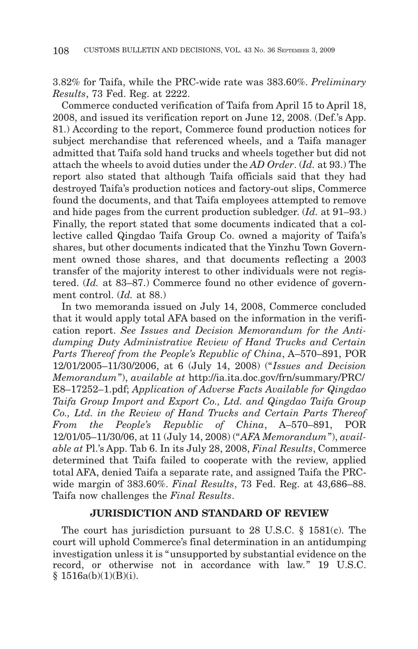3.82% for Taifa, while the PRC-wide rate was 383.60%. *Preliminary Results*, 73 Fed. Reg. at 2222.

Commerce conducted verification of Taifa from April 15 to April 18, 2008, and issued its verification report on June 12, 2008. (Def.'s App. 81.) According to the report, Commerce found production notices for subject merchandise that referenced wheels, and a Taifa manager admitted that Taifa sold hand trucks and wheels together but did not attach the wheels to avoid duties under the *AD Order*. (*Id.* at 93.) The report also stated that although Taifa officials said that they had destroyed Taifa's production notices and factory-out slips, Commerce found the documents, and that Taifa employees attempted to remove and hide pages from the current production subledger. (*Id.* at 91–93.) Finally, the report stated that some documents indicated that a collective called Qingdao Taifa Group Co. owned a majority of Taifa's shares, but other documents indicated that the Yinzhu Town Government owned those shares, and that documents reflecting a 2003 transfer of the majority interest to other individuals were not registered. (*Id.* at 83–87.) Commerce found no other evidence of government control. (*Id.* at 88.)

In two memoranda issued on July 14, 2008, Commerce concluded that it would apply total AFA based on the information in the verification report. *See Issues and Decision Memorandum for the Antidumping Duty Administrative Review of Hand Trucks and Certain Parts Thereof from the People's Republic of China*, A–570–891, POR 12/01/2005–11/30/2006, at 6 (July 14, 2008) ("*Issues and Decision Memorandum*"), *available at* http://ia.ita.doc.gov/frn/summary/PRC/ E8–17252–1.pdf; *Application of Adverse Facts Available for Qingdao Taifa Group Import and Export Co., Ltd. and Qingdao Taifa Group Co., Ltd. in the Review of Hand Trucks and Certain Parts Thereof From the People's Republic of China*, A–570–891, POR 12/01/05–11/30/06, at 11 (July 14, 2008) ("*AFA Memorandum*"), *available at* Pl.'s App. Tab 6. In its July 28, 2008, *Final Results*, Commerce determined that Taifa failed to cooperate with the review, applied total AFA, denied Taifa a separate rate, and assigned Taifa the PRCwide margin of 383.60%. *Final Results*, 73 Fed. Reg. at 43,686–88. Taifa now challenges the *Final Results*.

## **JURISDICTION AND STANDARD OF REVIEW**

The court has jurisdiction pursuant to 28 U.S.C. § 1581(c). The court will uphold Commerce's final determination in an antidumping investigation unless it is "unsupported by substantial evidence on the record, or otherwise not in accordance with law." 19 U.S.C.  $§ 1516a(b)(1)(B)(i).$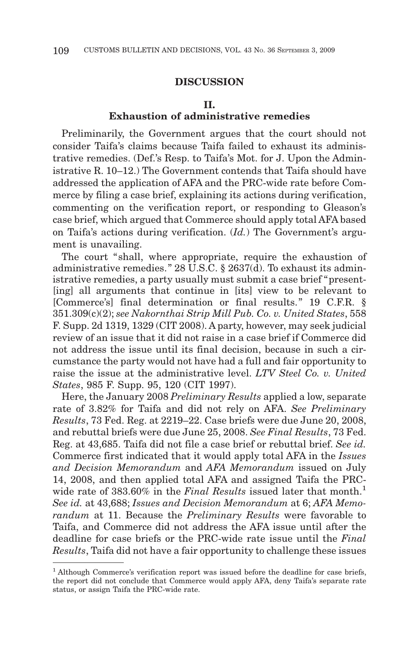#### **DISCUSSION**

#### **II.**

## **Exhaustion of administrative remedies**

Preliminarily, the Government argues that the court should not consider Taifa's claims because Taifa failed to exhaust its administrative remedies. (Def.'s Resp. to Taifa's Mot. for J. Upon the Administrative R. 10–12.) The Government contends that Taifa should have addressed the application of AFA and the PRC-wide rate before Commerce by filing a case brief, explaining its actions during verification, commenting on the verification report, or responding to Gleason's case brief, which argued that Commerce should apply total AFA based on Taifa's actions during verification. (*Id.*) The Government's argument is unavailing.

The court "shall, where appropriate, require the exhaustion of administrative remedies. " 28 U.S.C. § 2637(d). To exhaust its administrative remedies, a party usually must submit a case brief "present- [ing] all arguments that continue in [its] view to be relevant to [Commerce's] final determination or final results." 19 C.F.R. § 351.309(c)(2); *see Nakornthai Strip Mill Pub. Co. v. United States*, 558 F. Supp. 2d 1319, 1329 (CIT 2008). A party, however, may seek judicial review of an issue that it did not raise in a case brief if Commerce did not address the issue until its final decision, because in such a circumstance the party would not have had a full and fair opportunity to raise the issue at the administrative level. *LTV Steel Co. v. United States*, 985 F. Supp. 95, 120 (CIT 1997).

Here, the January 2008 *Preliminary Results* applied a low, separate rate of 3.82% for Taifa and did not rely on AFA. *See Preliminary Results*, 73 Fed. Reg. at 2219–22. Case briefs were due June 20, 2008, and rebuttal briefs were due June 25, 2008. *See Final Results*, 73 Fed. Reg. at 43,685. Taifa did not file a case brief or rebuttal brief. *See id.* Commerce first indicated that it would apply total AFA in the *Issues and Decision Memorandum* and *AFA Memorandum* issued on July 14, 2008, and then applied total AFA and assigned Taifa the PRCwide rate of 383.60% in the *Final Results* issued later that month.<sup>1</sup> *See id.* at 43,688; *Issues and Decision Memorandum* at 6; *AFA Memorandum* at 11. Because the *Preliminary Results* were favorable to Taifa, and Commerce did not address the AFA issue until after the deadline for case briefs or the PRC-wide rate issue until the *Final Results*, Taifa did not have a fair opportunity to challenge these issues

<sup>&</sup>lt;sup>1</sup> Although Commerce's verification report was issued before the deadline for case briefs, the report did not conclude that Commerce would apply AFA, deny Taifa's separate rate status, or assign Taifa the PRC-wide rate.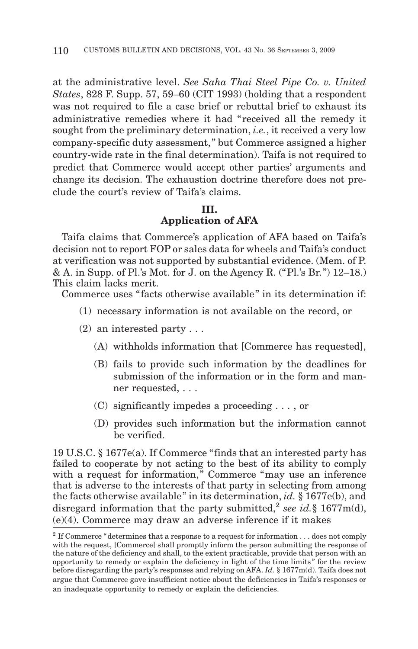at the administrative level. *See Saha Thai Steel Pipe Co. v. United States*, 828 F. Supp. 57, 59–60 (CIT 1993) (holding that a respondent was not required to file a case brief or rebuttal brief to exhaust its administrative remedies where it had "received all the remedy it sought from the preliminary determination, *i.e.*, it received a very low company-specific duty assessment, " but Commerce assigned a higher country-wide rate in the final determination). Taifa is not required to predict that Commerce would accept other parties' arguments and change its decision. The exhaustion doctrine therefore does not preclude the court's review of Taifa's claims.

## **III.**

## **Application of AFA**

Taifa claims that Commerce's application of AFA based on Taifa's decision not to report FOP or sales data for wheels and Taifa's conduct at verification was not supported by substantial evidence. (Mem. of P. & A. in Supp. of Pl.'s Mot. for J. on the Agency R. ("Pl.'s Br.")  $12-18$ .) This claim lacks merit.

Commerce uses "facts otherwise available" in its determination if:

- (1) necessary information is not available on the record, or
- (2) an interested party...
	- (A) withholds information that [Commerce has requested],
	- (B) fails to provide such information by the deadlines for submission of the information or in the form and manner requested,...
	- (C) significantly impedes a proceeding . . . , or
	- (D) provides such information but the information cannot be verified.

19 U.S.C. § 1677e(a). If Commerce " finds that an interested party has failed to cooperate by not acting to the best of its ability to comply with a request for information," Commerce "may use an inference that is adverse to the interests of that party in selecting from among the facts otherwise available " in its determination, *id.* § 1677e(b), and disregard information that the party submitted,<sup>2</sup> see id.§ 1677m(d), (e)(4). Commerce may draw an adverse inference if it makes

<sup>&</sup>lt;sup>2</sup> If Commerce " determines that a response to a request for information . . . does not comply with the request, [Commerce] shall promptly inform the person submitting the response of the nature of the deficiency and shall, to the extent practicable, provide that person with an opportunity to remedy or explain the deficiency in light of the time limits " for the review before disregarding the party's responses and relying on AFA. *Id.* § 1677m(d). Taifa does not argue that Commerce gave insufficient notice about the deficiencies in Taifa's responses or an inadequate opportunity to remedy or explain the deficiencies.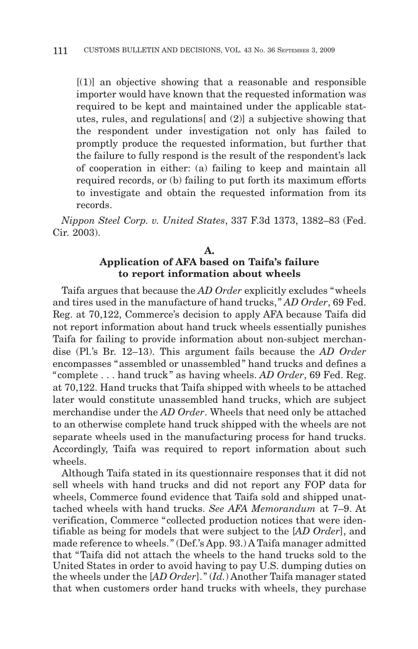$[(1)]$  an objective showing that a reasonable and responsible importer would have known that the requested information was required to be kept and maintained under the applicable statutes, rules, and regulations[ and (2)] a subjective showing that the respondent under investigation not only has failed to promptly produce the requested information, but further that the failure to fully respond is the result of the respondent's lack of cooperation in either: (a) failing to keep and maintain all required records, or (b) failing to put forth its maximum efforts to investigate and obtain the requested information from its records.

*Nippon Steel Corp. v. United States*, 337 F.3d 1373, 1382–83 (Fed. Cir. 2003).

## **A. Application of AFA based on Taifa's failure to report information about wheels**

Taifa argues that because the *AD Order* explicitly excludes "wheels and tires used in the manufacture of hand trucks, " *AD Order*, 69 Fed. Reg. at 70,122, Commerce's decision to apply AFA because Taifa did not report information about hand truck wheels essentially punishes Taifa for failing to provide information about non-subject merchandise (Pl.'s Br. 12–13). This argument fails because the *AD Order* encompasses "assembled or unassembled " hand trucks and defines a "complete... hand truck " as having wheels. *AD Order*, 69 Fed. Reg. at 70,122. Hand trucks that Taifa shipped with wheels to be attached later would constitute unassembled hand trucks, which are subject merchandise under the *AD Order*. Wheels that need only be attached to an otherwise complete hand truck shipped with the wheels are not separate wheels used in the manufacturing process for hand trucks. Accordingly, Taifa was required to report information about such wheels.

Although Taifa stated in its questionnaire responses that it did not sell wheels with hand trucks and did not report any FOP data for wheels, Commerce found evidence that Taifa sold and shipped unattached wheels with hand trucks. *See AFA Memorandum* at 7–9. At verification, Commerce "collected production notices that were identifiable as being for models that were subject to the [*AD Order*], and made reference to wheels. " (Def.'s App. 93.) A Taifa manager admitted that "Taifa did not attach the wheels to the hand trucks sold to the United States in order to avoid having to pay U.S. dumping duties on the wheels under the [*AD Order*]. " (*Id.*) Another Taifa manager stated that when customers order hand trucks with wheels, they purchase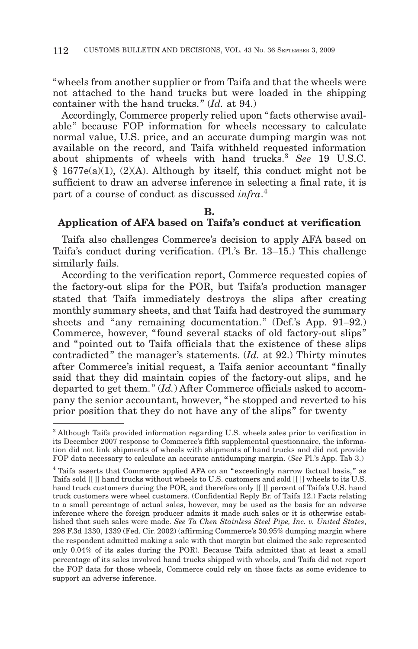"wheels from another supplier or from Taifa and that the wheels were not attached to the hand trucks but were loaded in the shipping container with the hand trucks. " (*Id.* at 94.)

Accordingly, Commerce properly relied upon " facts otherwise available" because FOP information for wheels necessary to calculate normal value, U.S. price, and an accurate dumping margin was not available on the record, and Taifa withheld requested information about shipments of wheels with hand trucks.3 *See* 19 U.S.C. § 1677e(a)(1), (2)(A). Although by itself, this conduct might not be sufficient to draw an adverse inference in selecting a final rate, it is part of a course of conduct as discussed *infra*. 4

#### **B.**

## **Application of AFA based on Taifa's conduct at verification**

Taifa also challenges Commerce's decision to apply AFA based on Taifa's conduct during verification. (Pl.'s Br. 13–15.) This challenge similarly fails.

According to the verification report, Commerce requested copies of the factory-out slips for the POR, but Taifa's production manager stated that Taifa immediately destroys the slips after creating monthly summary sheets, and that Taifa had destroyed the summary sheets and "any remaining documentation." (Def.'s App. 91–92.) Commerce, however, "found several stacks of old factory-out slips" and "pointed out to Taifa officials that the existence of these slips contradicted " the manager's statements. (*Id.* at 92.) Thirty minutes after Commerce's initial request, a Taifa senior accountant " finally said that they did maintain copies of the factory-out slips, and he departed to get them. " (*Id.*) After Commerce officials asked to accompany the senior accountant, however, "he stopped and reverted to his prior position that they do not have any of the slips" for twenty

<sup>&</sup>lt;sup>3</sup> Although Taifa provided information regarding U.S. wheels sales prior to verification in its December 2007 response to Commerce's fifth supplemental questionnaire, the information did not link shipments of wheels with shipments of hand trucks and did not provide FOP data necessary to calculate an accurate antidumping margin. (*See* Pl.'s App. Tab 3.)

<sup>4</sup> Taifa asserts that Commerce applied AFA on an " exceedingly narrow factual basis, " as Taifa sold [[ ]] hand trucks without wheels to U.S. customers and sold [[ ]] wheels to its U.S. hand truck customers during the POR, and therefore only [[ ]] percent of Taifa's U.S. hand truck customers were wheel customers. (Confidential Reply Br. of Taifa 12.) Facts relating to a small percentage of actual sales, however, may be used as the basis for an adverse inference where the foreign producer admits it made such sales or it is otherwise established that such sales were made. *See Ta Chen Stainless Steel Pipe, Inc. v. United States*, 298 F.3d 1330, 1339 (Fed. Cir. 2002) (affirming Commerce's 30.95% dumping margin where the respondent admitted making a sale with that margin but claimed the sale represented only 0.04% of its sales during the POR). Because Taifa admitted that at least a small percentage of its sales involved hand trucks shipped with wheels, and Taifa did not report the FOP data for those wheels, Commerce could rely on those facts as some evidence to support an adverse inference.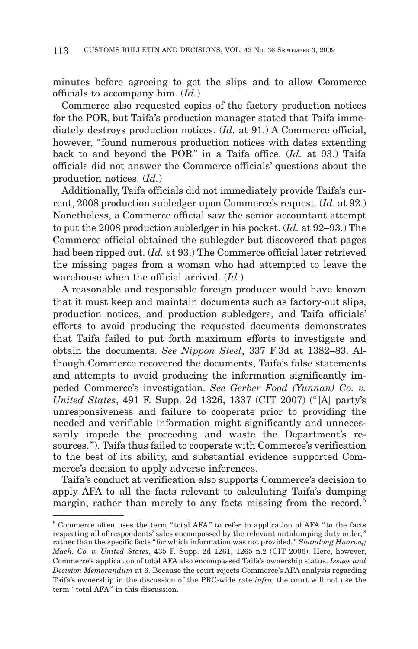minutes before agreeing to get the slips and to allow Commerce officials to accompany him. (*Id.*)

Commerce also requested copies of the factory production notices for the POR, but Taifa's production manager stated that Taifa immediately destroys production notices. (*Id.* at 91.) A Commerce official, however, "found numerous production notices with dates extending back to and beyond the POR" in a Taifa office. (*Id.* at 93.) Taifa officials did not answer the Commerce officials' questions about the production notices. (*Id.*)

Additionally, Taifa officials did not immediately provide Taifa's current, 2008 production subledger upon Commerce's request. (*Id.* at 92.) Nonetheless, a Commerce official saw the senior accountant attempt to put the 2008 production subledger in his pocket. (*Id.* at 92–93.) The Commerce official obtained the sublegder but discovered that pages had been ripped out. (*Id.* at 93.) The Commerce official later retrieved the missing pages from a woman who had attempted to leave the warehouse when the official arrived. (*Id.*)

A reasonable and responsible foreign producer would have known that it must keep and maintain documents such as factory-out slips, production notices, and production subledgers, and Taifa officials' efforts to avoid producing the requested documents demonstrates that Taifa failed to put forth maximum efforts to investigate and obtain the documents. *See Nippon Steel*, 337 F.3d at 1382–83. Although Commerce recovered the documents, Taifa's false statements and attempts to avoid producing the information significantly impeded Commerce's investigation. *See Gerber Food (Yunnan) Co. v. United States*, 491 F. Supp. 2d 1326, 1337 (CIT 2007) (" [A] party's unresponsiveness and failure to cooperate prior to providing the needed and verifiable information might significantly and unnecessarily impede the proceeding and waste the Department's resources. "). Taifa thus failed to cooperate with Commerce's verification to the best of its ability, and substantial evidence supported Commerce's decision to apply adverse inferences.

Taifa's conduct at verification also supports Commerce's decision to apply AFA to all the facts relevant to calculating Taifa's dumping margin, rather than merely to any facts missing from the record.<sup>5</sup>

<sup>&</sup>lt;sup>5</sup> Commerce often uses the term "total AFA" to refer to application of AFA "to the facts respecting all of respondents' sales encompassed by the relevant antidumping duty order, " rather than the specific facts " for which information was not provided. " *Shandong Huarong Mach. Co. v. United States*, 435 F. Supp. 2d 1261, 1265 n.2 (CIT 2006). Here, however, Commerce's application of total AFA also encompassed Taifa's ownership status. *Issues and Decision Memorandum* at 6. Because the court rejects Commerce's AFA analysis regarding Taifa's ownership in the discussion of the PRC-wide rate *infra*, the court will not use the term " total AFA " in this discussion.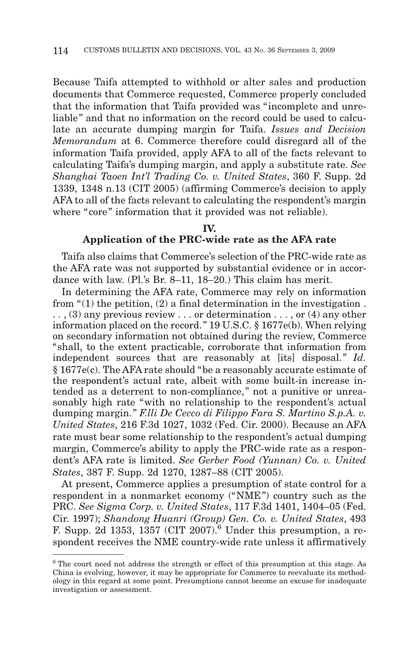Because Taifa attempted to withhold or alter sales and production documents that Commerce requested, Commerce properly concluded that the information that Taifa provided was " incomplete and unreliable " and that no information on the record could be used to calculate an accurate dumping margin for Taifa. *Issues and Decision Memorandum* at 6. Commerce therefore could disregard all of the information Taifa provided, apply AFA to all of the facts relevant to calculating Taifa's dumping margin, and apply a substitute rate. *See Shanghai Taoen Int'l Trading Co. v. United States*, 360 F. Supp. 2d 1339, 1348 n.13 (CIT 2005) (affirming Commerce's decision to apply AFA to all of the facts relevant to calculating the respondent's margin where "core" information that it provided was not reliable).

#### **IV.**

### **Application of the PRC-wide rate as the AFA rate**

Taifa also claims that Commerce's selection of the PRC-wide rate as the AFA rate was not supported by substantial evidence or in accordance with law. (Pl.'s Br. 8–11, 18–20.) This claim has merit.

In determining the AFA rate, Commerce may rely on information from  $\degree(1)$  the petition, (2) a final determination in the investigation.  $\ldots$ , (3) any previous review . . . or determination . . . , or (4) any other information placed on the record. " 19 U.S.C. § 1677e(b). When relying on secondary information not obtained during the review, Commerce "shall, to the extent practicable, corroborate that information from independent sources that are reasonably at [its] disposal." *Id.* § 1677e(c). The AFA rate should "be a reasonably accurate estimate of the respondent's actual rate, albeit with some built-in increase intended as a deterrent to non-compliance, " not a punitive or unreasonably high rate "with no relationship to the respondent's actual dumping margin. " *F.lli De Cecco di Filippo Fara S. Martino S.p.A. v. United States*, 216 F.3d 1027, 1032 (Fed. Cir. 2000). Because an AFA rate must bear some relationship to the respondent's actual dumping margin, Commerce's ability to apply the PRC-wide rate as a respondent's AFA rate is limited. *See Gerber Food (Yunnan) Co. v. United States*, 387 F. Supp. 2d 1270, 1287–88 (CIT 2005).

At present, Commerce applies a presumption of state control for a respondent in a nonmarket economy ("NME") country such as the PRC. *See Sigma Corp. v. United States*, 117 F.3d 1401, 1404–05 (Fed. Cir. 1997); *Shandong Huanri (Group) Gen. Co. v. United States*, 493 F. Supp. 2d 1353, 1357 (CIT 2007).<sup>6</sup> Under this presumption, a respondent receives the NME country-wide rate unless it affirmatively

<sup>6</sup> The court need not address the strength or effect of this presumption at this stage. As China is evolving, however, it may be appropriate for Commerce to reevaluate its methodology in this regard at some point. Presumptions cannot become an excuse for inadequate investigation or assessment.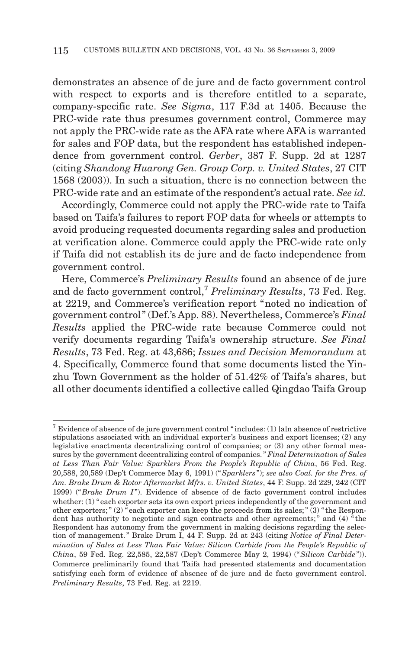demonstrates an absence of de jure and de facto government control with respect to exports and is therefore entitled to a separate, company-specific rate. *See Sigma*, 117 F.3d at 1405. Because the PRC-wide rate thus presumes government control, Commerce may not apply the PRC-wide rate as the AFA rate where AFA is warranted for sales and FOP data, but the respondent has established independence from government control. *Gerber*, 387 F. Supp. 2d at 1287 (citing *Shandong Huarong Gen. Group Corp. v. United States*, 27 CIT 1568 (2003)). In such a situation, there is no connection between the PRC-wide rate and an estimate of the respondent's actual rate. *See id.*

Accordingly, Commerce could not apply the PRC-wide rate to Taifa based on Taifa's failures to report FOP data for wheels or attempts to avoid producing requested documents regarding sales and production at verification alone. Commerce could apply the PRC-wide rate only if Taifa did not establish its de jure and de facto independence from government control.

Here, Commerce's *Preliminary Results* found an absence of de jure and de facto government control,7 *Preliminary Results*, 73 Fed. Reg. at 2219, and Commerce's verification report "noted no indication of government control " (Def.'s App. 88). Nevertheless, Commerce's *Final Results* applied the PRC-wide rate because Commerce could not verify documents regarding Taifa's ownership structure. *See Final Results*, 73 Fed. Reg. at 43,686; *Issues and Decision Memorandum* at 4. Specifically, Commerce found that some documents listed the Yinzhu Town Government as the holder of 51.42% of Taifa's shares, but all other documents identified a collective called Qingdao Taifa Group

 $7$  Evidence of absence of de jure government control "includes: (1) [a]n absence of restrictive stipulations associated with an individual exporter's business and export licenses; (2) any legislative enactments decentralizing control of companies; or (3) any other formal measures by the government decentralizing control of companies. " *Final Determination of Sales at Less Than Fair Value: Sparklers From the People's Republic of China*, 56 Fed. Reg. 20,588, 20,589 (Dep't Commerce May 6, 1991) ("*Sparklers* "); *see also Coal. for the Pres. of Am. Brake Drum & Rotor Aftermarket Mfrs. v. United States*, 44 F. Supp. 2d 229, 242 (CIT 1999) ("*Brake Drum I* "). Evidence of absence of de facto government control includes whether: (1) " each exporter sets its own export prices independently of the government and other exporters; " (2) " each exporter can keep the proceeds from its sales; " (3) " the Respondent has authority to negotiate and sign contracts and other agreements; " and (4) " the Respondent has autonomy from the government in making decisions regarding the selection of management. " Brake Drum I, 44 F. Supp. 2d at 243 (citing *Notice of Final Determination of Sales at Less Than Fair Value: Silicon Carbide from the People's Republic of China*, 59 Fed. Reg. 22,585, 22,587 (Dep't Commerce May 2, 1994) ("*Silicon Carbide* ")). Commerce preliminarily found that Taifa had presented statements and documentation satisfying each form of evidence of absence of de jure and de facto government control. *Preliminary Results*, 73 Fed. Reg. at 2219.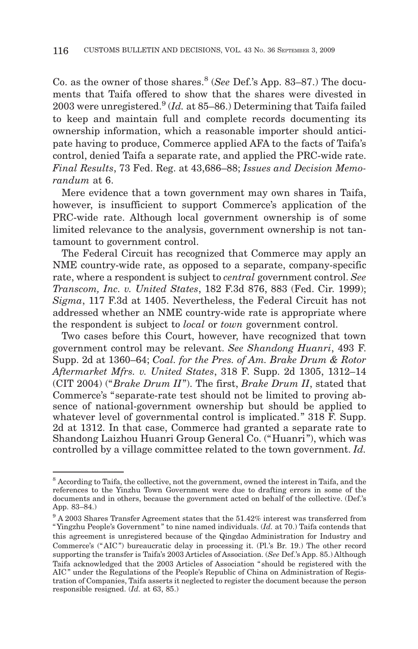Co. as the owner of those shares.8 (*See* Def.'s App. 83–87.) The documents that Taifa offered to show that the shares were divested in 2003 were unregistered.<sup>9</sup> (*Id.* at 85–86.) Determining that Taifa failed to keep and maintain full and complete records documenting its ownership information, which a reasonable importer should anticipate having to produce, Commerce applied AFA to the facts of Taifa's control, denied Taifa a separate rate, and applied the PRC-wide rate. *Final Results*, 73 Fed. Reg. at 43,686–88; *Issues and Decision Memorandum* at 6.

Mere evidence that a town government may own shares in Taifa, however, is insufficient to support Commerce's application of the PRC-wide rate. Although local government ownership is of some limited relevance to the analysis, government ownership is not tantamount to government control.

The Federal Circuit has recognized that Commerce may apply an NME country-wide rate, as opposed to a separate, company-specific rate, where a respondent is subject to *central* government control. *See Transcom, Inc. v. United States*, 182 F.3d 876, 883 (Fed. Cir. 1999); *Sigma*, 117 F.3d at 1405. Nevertheless, the Federal Circuit has not addressed whether an NME country-wide rate is appropriate where the respondent is subject to *local* or *town* government control.

Two cases before this Court, however, have recognized that town government control may be relevant. *See Shandong Huanri*, 493 F. Supp. 2d at 1360–64; *Coal. for the Pres. of Am. Brake Drum & Rotor Aftermarket Mfrs. v. United States*, 318 F. Supp. 2d 1305, 1312–14 (CIT 2004) ("*Brake Drum II*"). The first, *Brake Drum II*, stated that Commerce's "separate-rate test should not be limited to proving absence of national-government ownership but should be applied to whatever level of governmental control is implicated." 318 F. Supp. 2d at 1312. In that case, Commerce had granted a separate rate to Shandong Laizhou Huanri Group General Co. ("Huanri "), which was controlled by a village committee related to the town government. *Id.*

<sup>8</sup> According to Taifa, the collective, not the government, owned the interest in Taifa, and the references to the Yinzhu Town Government were due to drafting errors in some of the documents and in others, because the government acted on behalf of the collective. (Def.'s App. 83–84.)

 $9$  A 2003 Shares Transfer Agreement states that the 51.42% interest was transferred from " Yingzhu People's Government " to nine named individuals. (*Id.* at 70.) Taifa contends that this agreement is unregistered because of the Qingdao Administration for Industry and Commerce's (" AIC ") bureaucratic delay in processing it. (Pl.'s Br. 19.) The other record supporting the transfer is Taifa's 2003 Articles of Association. (*See* Def.'s App. 85.) Although Taifa acknowledged that the 2003 Articles of Association " should be registered with the AIC " under the Regulations of the People's Republic of China on Administration of Registration of Companies, Taifa asserts it neglected to register the document because the person responsible resigned. (*Id.* at 63, 85.)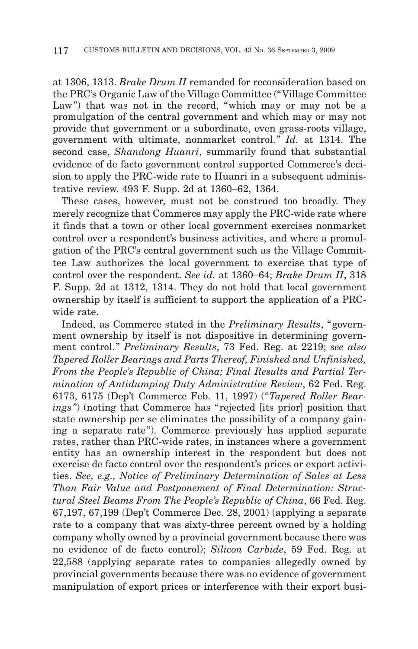at 1306, 1313. *Brake Drum II* remanded for reconsideration based on the PRC's Organic Law of the Village Committee ("Village Committee Law") that was not in the record, "which may or may not be a promulgation of the central government and which may or may not provide that government or a subordinate, even grass-roots village, government with ultimate, nonmarket control." *Id.* at 1314. The second case, *Shandong Huanri*, summarily found that substantial evidence of de facto government control supported Commerce's decision to apply the PRC-wide rate to Huanri in a subsequent administrative review. 493 F. Supp. 2d at 1360–62, 1364.

These cases, however, must not be construed too broadly. They merely recognize that Commerce may apply the PRC-wide rate where it finds that a town or other local government exercises nonmarket control over a respondent's business activities, and where a promulgation of the PRC's central government such as the Village Committee Law authorizes the local government to exercise that type of control over the respondent. *See id.* at 1360–64; *Brake Drum II*, 318 F. Supp. 2d at 1312, 1314. They do not hold that local government ownership by itself is sufficient to support the application of a PRCwide rate.

Indeed, as Commerce stated in the *Preliminary Results*, "government ownership by itself is not dispositive in determining government control. " *Preliminary Results*, 73 Fed. Reg. at 2219; *see also Tapered Roller Bearings and Parts Thereof, Finished and Unfinished, From the People's Republic of China; Final Results and Partial Termination of Antidumping Duty Administrative Review*, 62 Fed. Reg. 6173, 6175 (Dep't Commerce Feb. 11, 1997) (*"Tapered Roller Bearings "*) (noting that Commerce has "rejected [its prior] position that state ownership per se eliminates the possibility of a company gaining a separate rate "). Commerce previously has applied separate rates, rather than PRC-wide rates, in instances where a government entity has an ownership interest in the respondent but does not exercise de facto control over the respondent's prices or export activities. *See, e.g., Notice of Preliminary Determination of Sales at Less Than Fair Value and Postponement of Final Determination: Structural Steel Beams From The People's Republic of China*, 66 Fed. Reg. 67,197, 67,199 (Dep't Commerce Dec. 28, 2001) (applying a separate rate to a company that was sixty-three percent owned by a holding company wholly owned by a provincial government because there was no evidence of de facto control); *Silicon Carbide*, 59 Fed. Reg. at 22,588 (applying separate rates to companies allegedly owned by provincial governments because there was no evidence of government manipulation of export prices or interference with their export busi-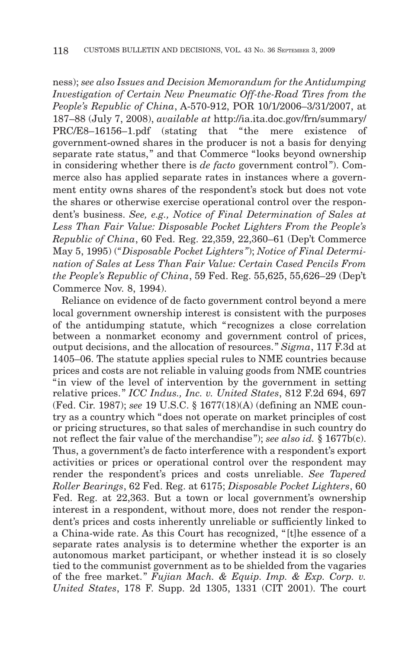ness); *see also Issues and Decision Memorandum for the Antidumping Investigation of Certain New Pneumatic Off-the-Road Tires from the People's Republic of China*, A-570-912, POR 10/1/2006–3/31/2007, at 187–88 (July 7, 2008), *available at* http://ia.ita.doc.gov/frn/summary/ PRC/E8–16156–1.pdf (stating that "the mere existence of government-owned shares in the producer is not a basis for denying separate rate status," and that Commerce "looks beyond ownership" in considering whether there is *de facto* government control "). Commerce also has applied separate rates in instances where a government entity owns shares of the respondent's stock but does not vote the shares or otherwise exercise operational control over the respondent's business. *See, e.g., Notice of Final Determination of Sales at Less Than Fair Value: Disposable Pocket Lighters From the People's Republic of China*, 60 Fed. Reg. 22,359, 22,360–61 (Dep't Commerce May 5, 1995) (*"Disposable Pocket Lighters "*); *Notice of Final Determination of Sales at Less Than Fair Value: Certain Cased Pencils From the People's Republic of China*, 59 Fed. Reg. 55,625, 55,626–29 (Dep't Commerce Nov. 8, 1994).

Reliance on evidence of de facto government control beyond a mere local government ownership interest is consistent with the purposes of the antidumping statute, which "recognizes a close correlation between a nonmarket economy and government control of prices, output decisions, and the allocation of resources. " *Sigma*, 117 F.3d at 1405–06. The statute applies special rules to NME countries because prices and costs are not reliable in valuing goods from NME countries " in view of the level of intervention by the government in setting relative prices. " *ICC Indus., Inc. v. United States*, 812 F.2d 694, 697 (Fed. Cir. 1987); *see* 19 U.S.C. § 1677(18)(A) (defining an NME country as a country which "does not operate on market principles of cost or pricing structures, so that sales of merchandise in such country do not reflect the fair value of the merchandise "); *see also id.* § 1677b(c). Thus, a government's de facto interference with a respondent's export activities or prices or operational control over the respondent may render the respondent's prices and costs unreliable. *See Tapered Roller Bearings*, 62 Fed. Reg. at 6175; *Disposable Pocket Lighters*, 60 Fed. Reg. at 22,363. But a town or local government's ownership interest in a respondent, without more, does not render the respondent's prices and costs inherently unreliable or sufficiently linked to a China-wide rate. As this Court has recognized, " [t]he essence of a separate rates analysis is to determine whether the exporter is an autonomous market participant, or whether instead it is so closely tied to the communist government as to be shielded from the vagaries of the free market. " *Fujian Mach. & Equip. Imp. & Exp. Corp. v. United States*, 178 F. Supp. 2d 1305, 1331 (CIT 2001). The court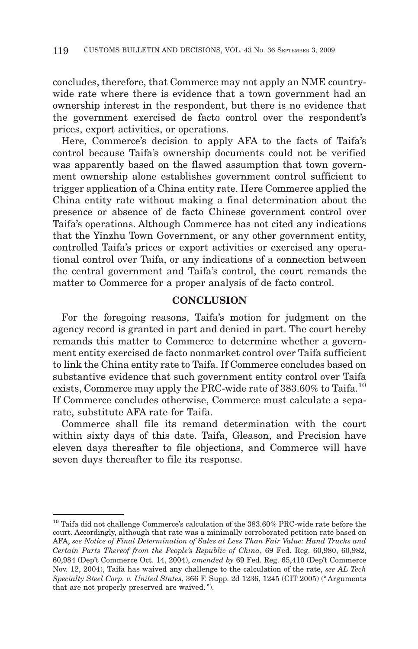concludes, therefore, that Commerce may not apply an NME countrywide rate where there is evidence that a town government had an ownership interest in the respondent, but there is no evidence that the government exercised de facto control over the respondent's prices, export activities, or operations.

Here, Commerce's decision to apply AFA to the facts of Taifa's control because Taifa's ownership documents could not be verified was apparently based on the flawed assumption that town government ownership alone establishes government control sufficient to trigger application of a China entity rate. Here Commerce applied the China entity rate without making a final determination about the presence or absence of de facto Chinese government control over Taifa's operations. Although Commerce has not cited any indications that the Yinzhu Town Government, or any other government entity, controlled Taifa's prices or export activities or exercised any operational control over Taifa, or any indications of a connection between the central government and Taifa's control, the court remands the matter to Commerce for a proper analysis of de facto control.

## **CONCLUSION**

For the foregoing reasons, Taifa's motion for judgment on the agency record is granted in part and denied in part. The court hereby remands this matter to Commerce to determine whether a government entity exercised de facto nonmarket control over Taifa sufficient to link the China entity rate to Taifa. If Commerce concludes based on substantive evidence that such government entity control over Taifa exists, Commerce may apply the PRC-wide rate of  $383.60\%$  to Taifa.<sup>10</sup> If Commerce concludes otherwise, Commerce must calculate a separate, substitute AFA rate for Taifa.

Commerce shall file its remand determination with the court within sixty days of this date. Taifa, Gleason, and Precision have eleven days thereafter to file objections, and Commerce will have seven days thereafter to file its response.

 $^{10}$  Taifa did not challenge Commerce's calculation of the  $383.60\%$  PRC-wide rate before the court. Accordingly, although that rate was a minimally corroborated petition rate based on AFA, *see Notice of Final Determination of Sales at Less Than Fair Value: Hand Trucks and Certain Parts Thereof from the People's Republic of China*, 69 Fed. Reg. 60,980, 60,982, 60,984 (Dep't Commerce Oct. 14, 2004), *amended by* 69 Fed. Reg. 65,410 (Dep't Commerce Nov. 12, 2004), Taifa has waived any challenge to the calculation of the rate, *see AL Tech Specialty Steel Corp. v. United States*, 366 F. Supp. 2d 1236, 1245 (CIT 2005) (" Arguments that are not properly preserved are waived. ").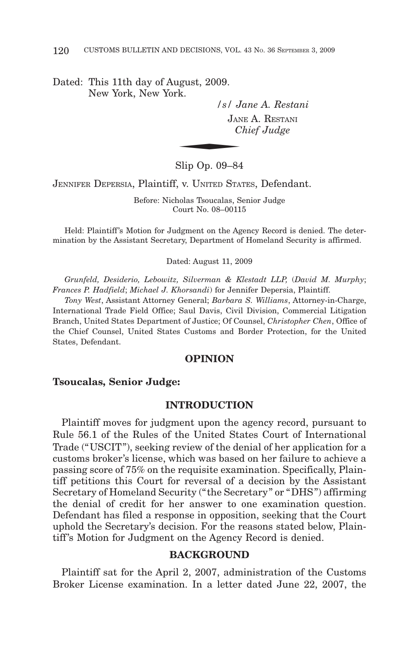Dated: This 11th day of August, 2009. New York, New York. Example 18  $\frac{1}{s}$  /  $\frac{1}{s}$  /  $\frac{1}{s}$  /  $\frac{1}{s}$  /  $\frac{1}{s}$  /  $\frac{1}{s}$  /  $\frac{1}{s}$  /  $\frac{1}{s}$  /  $\frac{1}{s}$  /  $\frac{1}{s}$  /  $\frac{1}{s}$  /  $\frac{1}{s}$  /  $\frac{1}{s}$  /  $\frac{1}{s}$  /  $\frac{1}{s}$  /  $\frac{1}{s}$  /  $\frac{1}{s}$  /  $\frac{1}{$ 

*/s/ Jane A. Restani* JANE A. RESTANI *Chief Judge*

Slip Op. 09–84

JENNIFER DEPERSIA, Plaintiff, v. UNITED STATES, Defendant.

Before: Nicholas Tsoucalas, Senior Judge Court No. 08–00115

Held: Plaintiff 's Motion for Judgment on the Agency Record is denied. The determination by the Assistant Secretary, Department of Homeland Security is affirmed.

Dated: August 11, 2009

*Grunfeld, Desiderio, Lebowitz, Silverman & Klestadt LLP,* (*David M. Murphy*; *Frances P. Hadfield*; *Michael J. Khorsandi*) for Jennifer Depersia, Plaintiff.

*Tony West*, Assistant Attorney General; *Barbara S. Williams*, Attorney-in-Charge, International Trade Field Office; Saul Davis, Civil Division, Commercial Litigation Branch, United States Department of Justice; Of Counsel, *Christopher Chen*, Office of the Chief Counsel, United States Customs and Border Protection, for the United States, Defendant.

### **OPINION**

#### **Tsoucalas, Senior Judge:**

#### **INTRODUCTION**

Plaintiff moves for judgment upon the agency record, pursuant to Rule 56.1 of the Rules of the United States Court of International Trade ("USCIT "), seeking review of the denial of her application for a customs broker's license, which was based on her failure to achieve a passing score of 75% on the requisite examination. Specifically, Plaintiff petitions this Court for reversal of a decision by the Assistant Secretary of Homeland Security (" the Secretary " or "DHS ") affirming the denial of credit for her answer to one examination question. Defendant has filed a response in opposition, seeking that the Court uphold the Secretary's decision. For the reasons stated below, Plaintiff's Motion for Judgment on the Agency Record is denied.

## **BACKGROUND**

Plaintiff sat for the April 2, 2007, administration of the Customs Broker License examination. In a letter dated June 22, 2007, the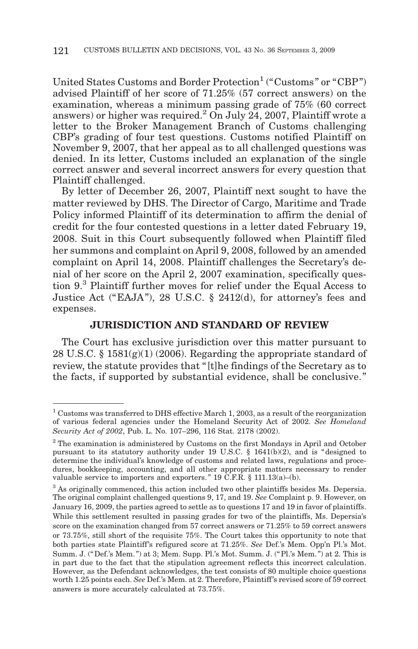United States Customs and Border Protection<sup>1</sup> ("Customs" or "CBP") advised Plaintiff of her score of 71.25% (57 correct answers) on the examination, whereas a minimum passing grade of 75% (60 correct answers) or higher was required.<sup>2</sup> On July 24, 2007, Plaintiff wrote a letter to the Broker Management Branch of Customs challenging CBP's grading of four test questions. Customs notified Plaintiff on November 9, 2007, that her appeal as to all challenged questions was denied. In its letter, Customs included an explanation of the single correct answer and several incorrect answers for every question that Plaintiff challenged.

By letter of December 26, 2007, Plaintiff next sought to have the matter reviewed by DHS. The Director of Cargo, Maritime and Trade Policy informed Plaintiff of its determination to affirm the denial of credit for the four contested questions in a letter dated February 19, 2008. Suit in this Court subsequently followed when Plaintiff filed her summons and complaint on April 9, 2008, followed by an amended complaint on April 14, 2008. Plaintiff challenges the Secretary's denial of her score on the April 2, 2007 examination, specifically question 9.3 Plaintiff further moves for relief under the Equal Access to Justice Act ("EAJA "), 28 U.S.C. § 2412(d), for attorney's fees and expenses.

## **JURISDICTION AND STANDARD OF REVIEW**

The Court has exclusive jurisdiction over this matter pursuant to 28 U.S.C. § 1581 $(g)(1)$  (2006). Regarding the appropriate standard of review, the statute provides that " [t]he findings of the Secretary as to the facts, if supported by substantial evidence, shall be conclusive. "

<sup>&</sup>lt;sup>1</sup> Customs was transferred to DHS effective March 1, 2003, as a result of the reorganization of various federal agencies under the Homeland Security Act of 2002. *See Homeland Security Act of 2002*, Pub. L. No. 107–296, 116 Stat. 2178 (2002).

<sup>&</sup>lt;sup>2</sup> The examination is administered by Customs on the first Mondays in April and October pursuant to its statutory authority under 19 U.S.C.  $\S$  1641(b)(2), and is "designed to determine the individual's knowledge of customs and related laws, regulations and procedures, bookkeeping, accounting, and all other appropriate matters necessary to render valuable service to importers and exporters. " 19 C.F.R. § 111.13(a)–(b).

<sup>&</sup>lt;sup>3</sup> As originally commenced, this action included two other plaintiffs besides Ms. Depersia. The original complaint challenged questions 9, 17, and 19. *See* Complaint p. 9. However, on January 16, 2009, the parties agreed to settle as to questions 17 and 19 in favor of plaintiffs. While this settlement resulted in passing grades for two of the plaintiffs, Ms. Depersia's score on the examination changed from 57 correct answers or 71.25% to 59 correct answers or 73.75%, still short of the requisite 75%. The Court takes this opportunity to note that both parties state Plaintiff's refigured score at 71.25%. See Def.'s Mem. Opp'n Pl.'s Mot. Summ. J. (" Def.'s Mem. ") at 3; Mem. Supp. Pl.'s Mot. Summ. J. ("Pl.'s Mem. ") at 2. This is in part due to the fact that the stipulation agreement reflects this incorrect calculation. However, as the Defendant acknowledges, the test consists of 80 multiple choice questions worth 1.25 points each. *See* Def.'s Mem. at 2. Therefore, Plaintiff's revised score of 59 correct answers is more accurately calculated at 73.75%.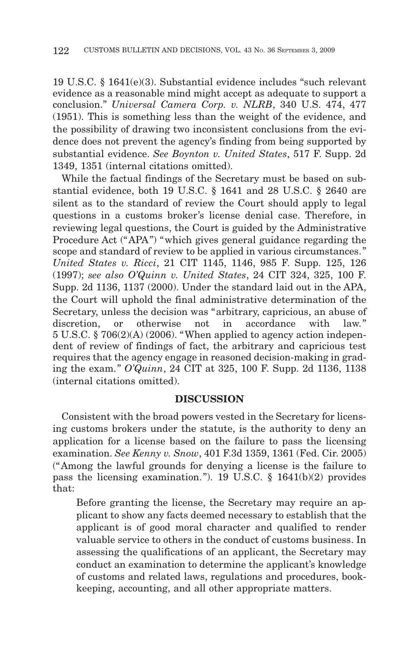19 U.S.C. § 1641(e)(3). Substantial evidence includes "such relevant evidence as a reasonable mind might accept as adequate to support a conclusion." *Universal Camera Corp. v. NLRB*, 340 U.S. 474, 477 (1951). This is something less than the weight of the evidence, and the possibility of drawing two inconsistent conclusions from the evidence does not prevent the agency's finding from being supported by substantial evidence. *See Boynton v. United States*, 517 F. Supp. 2d 1349, 1351 (internal citations omitted).

While the factual findings of the Secretary must be based on substantial evidence, both 19 U.S.C. § 1641 and 28 U.S.C. § 2640 are silent as to the standard of review the Court should apply to legal questions in a customs broker's license denial case. Therefore, in reviewing legal questions, the Court is guided by the Administrative Procedure Act ("APA") "which gives general guidance regarding the scope and standard of review to be applied in various circumstances. " *United States v. Ricci*, 21 CIT 1145, 1146, 985 F. Supp. 125, 126 (1997); *see also O'Quinn v. United States*, 24 CIT 324, 325, 100 F. Supp. 2d 1136, 1137 (2000). Under the standard laid out in the APA, the Court will uphold the final administrative determination of the Secretary, unless the decision was "arbitrary, capricious, an abuse of discretion, or otherwise not in accordance with law." 5 U.S.C. § 706(2)(A) (2006). "When applied to agency action independent of review of findings of fact, the arbitrary and capricious test requires that the agency engage in reasoned decision-making in grading the exam. " *O'Quinn*, 24 CIT at 325, 100 F. Supp. 2d 1136, 1138 (internal citations omitted).

## **DISCUSSION**

Consistent with the broad powers vested in the Secretary for licensing customs brokers under the statute, is the authority to deny an application for a license based on the failure to pass the licensing examination. *See Kenny v. Snow*, 401 F.3d 1359, 1361 (Fed. Cir. 2005) ("Among the lawful grounds for denying a license is the failure to pass the licensing examination. "). 19 U.S.C. § 1641(b)(2) provides that:

Before granting the license, the Secretary may require an applicant to show any facts deemed necessary to establish that the applicant is of good moral character and qualified to render valuable service to others in the conduct of customs business. In assessing the qualifications of an applicant, the Secretary may conduct an examination to determine the applicant's knowledge of customs and related laws, regulations and procedures, bookkeeping, accounting, and all other appropriate matters.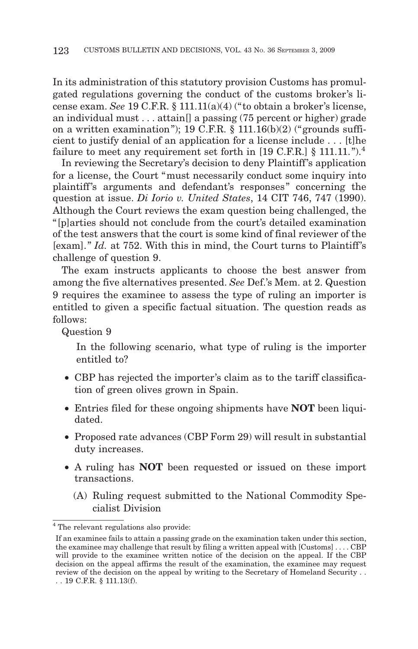In its administration of this statutory provision Customs has promulgated regulations governing the conduct of the customs broker's license exam. *See* 19 C.F.R. § 111.11(a)(4) (" to obtain a broker's license, an individual must  $\dots$  attain  $\alpha$  a passing (75 percent or higher) grade on a written examination"); 19 C.F.R.  $\S$  111.16(b)(2) ("grounds sufficient to justify denial of an application for a license include . . . [t]he failure to meet any requirement set forth in  $[19 \text{ C.F.R.}] \$  111.11.").<sup>4</sup>

In reviewing the Secretary's decision to deny Plaintiff 's application for a license, the Court "must necessarily conduct some inquiry into plaintiff's arguments and defendant's responses" concerning the question at issue. *Di Iorio v. United States*, 14 CIT 746, 747 (1990). Although the Court reviews the exam question being challenged, the " [p]arties should not conclude from the court's detailed examination of the test answers that the court is some kind of final reviewer of the [exam]." *Id.* at 752. With this in mind, the Court turns to Plaintiff's challenge of question 9.

The exam instructs applicants to choose the best answer from among the five alternatives presented. *See* Def.'s Mem. at 2. Question 9 requires the examinee to assess the type of ruling an importer is entitled to given a specific factual situation. The question reads as follows:

Question 9

In the following scenario, what type of ruling is the importer entitled to?

- CBP has rejected the importer's claim as to the tariff classification of green olives grown in Spain.
- Entries filed for these ongoing shipments have **NOT** been liquidated.
- Proposed rate advances (CBP Form 29) will result in substantial duty increases.
- A ruling has **NOT** been requested or issued on these import transactions.
	- (A) Ruling request submitted to the National Commodity Specialist Division

<sup>4</sup> The relevant regulations also provide:

If an examinee fails to attain a passing grade on the examination taken under this section, the examinee may challenge that result by filing a written appeal with [Customs] . . . . CBP will provide to the examinee written notice of the decision on the appeal. If the CBP decision on the appeal affirms the result of the examination, the examinee may request review of the decision on the appeal by writing to the Secretary of Homeland Security . . . . 19 C.F.R. § 111.13(f).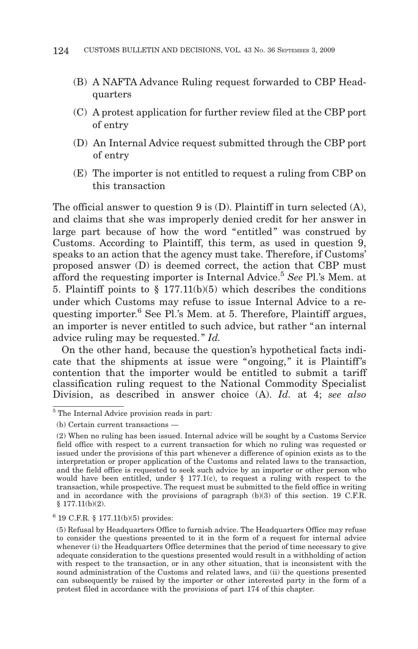- (B) A NAFTA Advance Ruling request forwarded to CBP Headquarters
- (C) A protest application for further review filed at the CBP port of entry
- (D) An Internal Advice request submitted through the CBP port of entry
- (E) The importer is not entitled to request a ruling from CBP on this transaction

The official answer to question 9 is (D). Plaintiff in turn selected (A), and claims that she was improperly denied credit for her answer in large part because of how the word "entitled" was construed by Customs. According to Plaintiff, this term, as used in question 9, speaks to an action that the agency must take. Therefore, if Customs' proposed answer (D) is deemed correct, the action that CBP must afford the requesting importer is Internal Advice.5 *See* Pl.'s Mem. at 5. Plaintiff points to  $\S$  177.11(b)(5) which describes the conditions under which Customs may refuse to issue Internal Advice to a requesting importer.<sup>6</sup> See Pl.'s Mem. at 5. Therefore, Plaintiff argues, an importer is never entitled to such advice, but rather "an internal advice ruling may be requested. " *Id.*

On the other hand, because the question's hypothetical facts indicate that the shipments at issue were "ongoing," it is Plaintiff's contention that the importer would be entitled to submit a tariff classification ruling request to the National Commodity Specialist Division, as described in answer choice (A). *Id.* at 4; *see also*

 $6$  19 C.F.R. § 177.11(b)(5) provides:

<sup>5</sup> The Internal Advice provision reads in part:

<sup>(</sup>b) Certain current transactions —

<sup>(2)</sup> When no ruling has been issued. Internal advice will be sought by a Customs Service field office with respect to a current transaction for which no ruling was requested or issued under the provisions of this part whenever a difference of opinion exists as to the interpretation or proper application of the Customs and related laws to the transaction, and the field office is requested to seek such advice by an importer or other person who would have been entitled, under § 177.1(c), to request a ruling with respect to the transaction, while prospective. The request must be submitted to the field office in writing and in accordance with the provisions of paragraph  $(b)(3)$  of this section. 19 C.F.R. § 177.11(b)(2).

<sup>(5)</sup> Refusal by Headquarters Office to furnish advice. The Headquarters Office may refuse to consider the questions presented to it in the form of a request for internal advice whenever (i) the Headquarters Office determines that the period of time necessary to give adequate consideration to the questions presented would result in a withholding of action with respect to the transaction, or in any other situation, that is inconsistent with the sound administration of the Customs and related laws, and (ii) the questions presented can subsequently be raised by the importer or other interested party in the form of a protest filed in accordance with the provisions of part 174 of this chapter.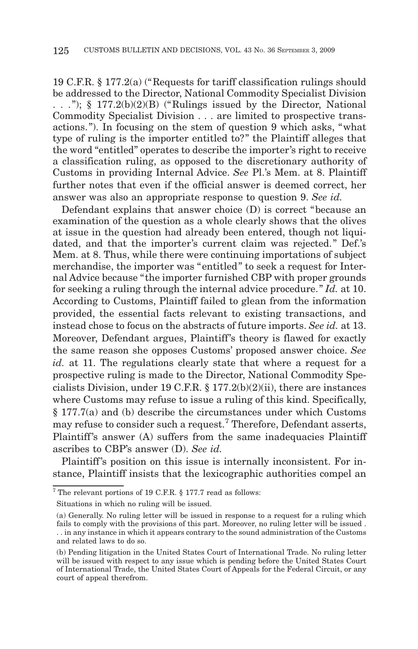19 C.F.R. § 177.2(a) ("Requests for tariff classification rulings should be addressed to the Director, National Commodity Specialist Division . . .");  $\S$  177.2(b)(2)(B) ("Rulings issued by the Director, National Commodity Specialist Division . . . are limited to prospective transactions. "). In focusing on the stem of question 9 which asks, "what type of ruling is the importer entitled to?" the Plaintiff alleges that the word "entitled" operates to describe the importer's right to receive a classification ruling, as opposed to the discretionary authority of Customs in providing Internal Advice. *See* Pl.'s Mem. at 8. Plaintiff further notes that even if the official answer is deemed correct, her answer was also an appropriate response to question 9. *See id.*

Defendant explains that answer choice (D) is correct "because an examination of the question as a whole clearly shows that the olives at issue in the question had already been entered, though not liquidated, and that the importer's current claim was rejected." Def.'s Mem. at 8. Thus, while there were continuing importations of subject merchandise, the importer was "entitled" to seek a request for Internal Advice because " the importer furnished CBP with proper grounds for seeking a ruling through the internal advice procedure. " *Id.* at 10. According to Customs, Plaintiff failed to glean from the information provided, the essential facts relevant to existing transactions, and instead chose to focus on the abstracts of future imports. *See id.* at 13. Moreover, Defendant argues, Plaintiff's theory is flawed for exactly the same reason she opposes Customs' proposed answer choice. *See id.* at 11. The regulations clearly state that where a request for a prospective ruling is made to the Director, National Commodity Specialists Division, under 19 C.F.R. § 177.2(b)(2)(ii), there are instances where Customs may refuse to issue a ruling of this kind. Specifically, § 177.7(a) and (b) describe the circumstances under which Customs may refuse to consider such a request.<sup>7</sup> Therefore, Defendant asserts, Plaintiff's answer (A) suffers from the same inadequacies Plaintiff ascribes to CBP's answer (D). *See id.*

Plaintiff's position on this issue is internally inconsistent. For instance, Plaintiff insists that the lexicographic authorities compel an

<sup>7</sup> The relevant portions of 19 C.F.R. § 177.7 read as follows:

Situations in which no ruling will be issued.

<sup>(</sup>a) Generally. No ruling letter will be issued in response to a request for a ruling which fails to comply with the provisions of this part. Moreover, no ruling letter will be issued . . . in any instance in which it appears contrary to the sound administration of the Customs and related laws to do so.

<sup>(</sup>b) Pending litigation in the United States Court of International Trade. No ruling letter will be issued with respect to any issue which is pending before the United States Court of International Trade, the United States Court of Appeals for the Federal Circuit, or any court of appeal therefrom.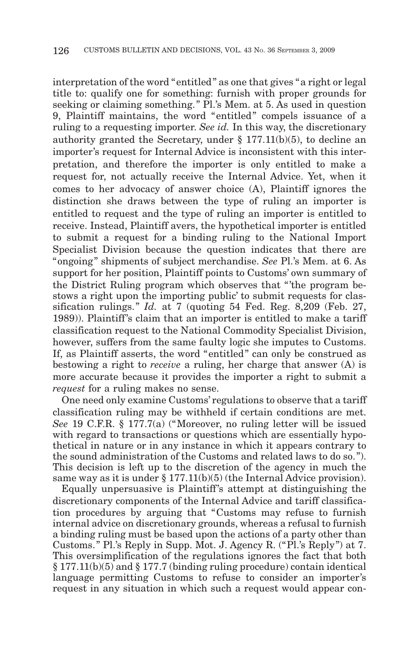interpretation of the word "entitled " as one that gives "a right or legal title to: qualify one for something: furnish with proper grounds for seeking or claiming something." Pl.'s Mem. at 5. As used in question 9, Plaintiff maintains, the word "entitled" compels issuance of a ruling to a requesting importer. *See id.* In this way, the discretionary authority granted the Secretary, under § 177.11(b)(5), to decline an importer's request for Internal Advice is inconsistent with this interpretation, and therefore the importer is only entitled to make a request for, not actually receive the Internal Advice. Yet, when it comes to her advocacy of answer choice (A), Plaintiff ignores the distinction she draws between the type of ruling an importer is entitled to request and the type of ruling an importer is entitled to receive. Instead, Plaintiff avers, the hypothetical importer is entitled to submit a request for a binding ruling to the National Import Specialist Division because the question indicates that there are "ongoing " shipments of subject merchandise. *See* Pl.'s Mem. at 6. As support for her position, Plaintiff points to Customs' own summary of the District Ruling program which observes that "'the program bestows a right upon the importing public' to submit requests for classification rulings."  $Id$ . at  $7$  (quoting 54 Fed. Reg.  $8,209$  (Feb. 27, 1989)). Plaintiff's claim that an importer is entitled to make a tariff classification request to the National Commodity Specialist Division, however, suffers from the same faulty logic she imputes to Customs. If, as Plaintiff asserts, the word "entitled" can only be construed as bestowing a right to *receive* a ruling, her charge that answer (A) is more accurate because it provides the importer a right to submit a *request* for a ruling makes no sense.

One need only examine Customs' regulations to observe that a tariff classification ruling may be withheld if certain conditions are met. *See* 19 C.F.R. § 177.7(a) ("Moreover, no ruling letter will be issued with regard to transactions or questions which are essentially hypothetical in nature or in any instance in which it appears contrary to the sound administration of the Customs and related laws to do so. "). This decision is left up to the discretion of the agency in much the same way as it is under § 177.11(b)(5) (the Internal Advice provision).

Equally unpersuasive is Plaintiff 's attempt at distinguishing the discretionary components of the Internal Advice and tariff classification procedures by arguing that "Customs may refuse to furnish internal advice on discretionary grounds, whereas a refusal to furnish a binding ruling must be based upon the actions of a party other than Customs. " Pl.'s Reply in Supp. Mot. J. Agency R. ("Pl.'s Reply ") at 7. This oversimplification of the regulations ignores the fact that both § 177.11(b)(5) and § 177.7 (binding ruling procedure) contain identical language permitting Customs to refuse to consider an importer's request in any situation in which such a request would appear con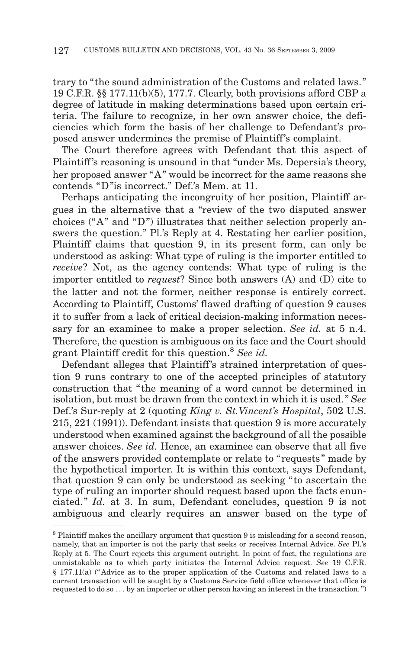trary to "the sound administration of the Customs and related laws." 19 C.F.R. §§ 177.11(b)(5), 177.7. Clearly, both provisions afford CBP a degree of latitude in making determinations based upon certain criteria. The failure to recognize, in her own answer choice, the deficiencies which form the basis of her challenge to Defendant's proposed answer undermines the premise of Plaintiff's complaint.

The Court therefore agrees with Defendant that this aspect of Plaintiff's reasoning is unsound in that "under Ms. Depersia's theory, her proposed answer "A" would be incorrect for the same reasons she contends "D" is incorrect." Def.'s Mem. at 11.

Perhaps anticipating the incongruity of her position, Plaintiff argues in the alternative that a "review of the two disputed answer choices ("A" and "D") illustrates that neither selection properly answers the question." Pl.'s Reply at 4. Restating her earlier position, Plaintiff claims that question 9, in its present form, can only be understood as asking: What type of ruling is the importer entitled to *receive*? Not, as the agency contends: What type of ruling is the importer entitled to *request*? Since both answers (A) and (D) cite to the latter and not the former, neither response is entirely correct. According to Plaintiff, Customs' flawed drafting of question 9 causes it to suffer from a lack of critical decision-making information necessary for an examinee to make a proper selection. *See id.* at 5 n.4. Therefore, the question is ambiguous on its face and the Court should grant Plaintiff credit for this question.8 *See id.*

Defendant alleges that Plaintiff's strained interpretation of question 9 runs contrary to one of the accepted principles of statutory construction that " the meaning of a word cannot be determined in isolation, but must be drawn from the context in which it is used. " *See* Def.'s Sur-reply at 2 (quoting *King v. St.Vincent's Hospital*, 502 U.S. 215, 221 (1991)). Defendant insists that question 9 is more accurately understood when examined against the background of all the possible answer choices. *See id.* Hence, an examinee can observe that all five of the answers provided contemplate or relate to "requests " made by the hypothetical importer. It is within this context, says Defendant, that question 9 can only be understood as seeking " to ascertain the type of ruling an importer should request based upon the facts enunciated. " *Id.* at 3. In sum, Defendant concludes, question 9 is not ambiguous and clearly requires an answer based on the type of

<sup>8</sup> Plaintiff makes the ancillary argument that question 9 is misleading for a second reason, namely, that an importer is not the party that seeks or receives Internal Advice. *See* Pl.'s Reply at 5. The Court rejects this argument outright. In point of fact, the regulations are unmistakable as to which party initiates the Internal Advice request. *See* 19 C.F.R. § 177.11(a) ("Advice as to the proper application of the Customs and related laws to a current transaction will be sought by a Customs Service field office whenever that office is requested to do so . . . by an importer or other person having an interest in the transaction. ")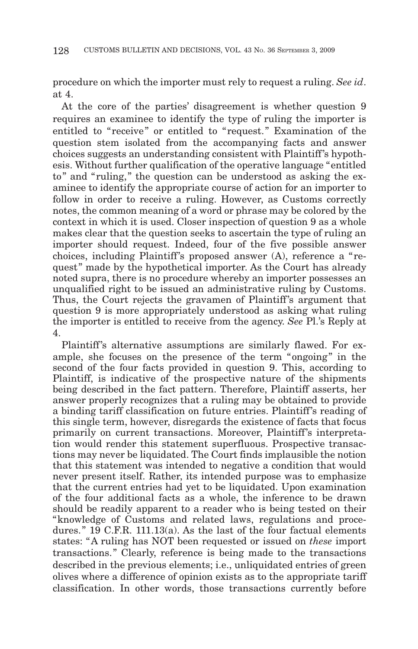procedure on which the importer must rely to request a ruling. *See id*. at 4.

At the core of the parties' disagreement is whether question 9 requires an examinee to identify the type of ruling the importer is entitled to "receive" or entitled to "request." Examination of the question stem isolated from the accompanying facts and answer choices suggests an understanding consistent with Plaintiff 's hypothesis. Without further qualification of the operative language "entitled to" and "ruling," the question can be understood as asking the examinee to identify the appropriate course of action for an importer to follow in order to receive a ruling. However, as Customs correctly notes, the common meaning of a word or phrase may be colored by the context in which it is used. Closer inspection of question 9 as a whole makes clear that the question seeks to ascertain the type of ruling an importer should request. Indeed, four of the five possible answer choices, including Plaintiff's proposed answer (A), reference a "request" made by the hypothetical importer. As the Court has already noted supra, there is no procedure whereby an importer possesses an unqualified right to be issued an administrative ruling by Customs. Thus, the Court rejects the gravamen of Plaintiff's argument that question 9 is more appropriately understood as asking what ruling the importer is entitled to receive from the agency. *See* Pl.'s Reply at 4.

Plaintiff's alternative assumptions are similarly flawed. For example, she focuses on the presence of the term "ongoing" in the second of the four facts provided in question 9. This, according to Plaintiff, is indicative of the prospective nature of the shipments being described in the fact pattern. Therefore, Plaintiff asserts, her answer properly recognizes that a ruling may be obtained to provide a binding tariff classification on future entries. Plaintiff's reading of this single term, however, disregards the existence of facts that focus primarily on current transactions. Moreover, Plaintiff's interpretation would render this statement superfluous. Prospective transactions may never be liquidated. The Court finds implausible the notion that this statement was intended to negative a condition that would never present itself. Rather, its intended purpose was to emphasize that the current entries had yet to be liquidated. Upon examination of the four additional facts as a whole, the inference to be drawn should be readily apparent to a reader who is being tested on their "knowledge of Customs and related laws, regulations and procedures." 19 C.F.R. 111.13(a). As the last of the four factual elements states: "A ruling has NOT been requested or issued on *these* import transactions. " Clearly, reference is being made to the transactions described in the previous elements; i.e., unliquidated entries of green olives where a difference of opinion exists as to the appropriate tariff classification. In other words, those transactions currently before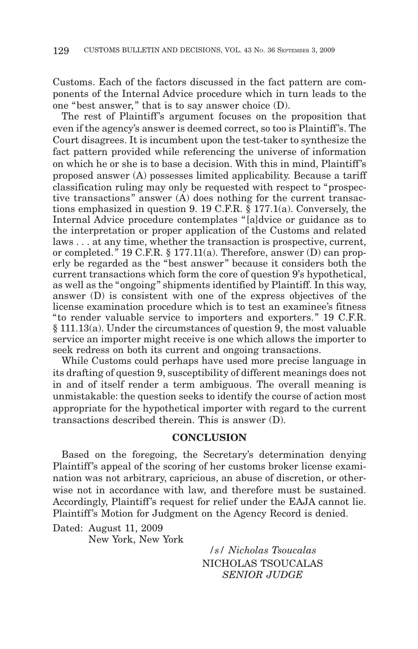Customs. Each of the factors discussed in the fact pattern are components of the Internal Advice procedure which in turn leads to the one "best answer, " that is to say answer choice (D).

The rest of Plaintiff's argument focuses on the proposition that even if the agency's answer is deemed correct, so too is Plaintiff 's. The Court disagrees. It is incumbent upon the test-taker to synthesize the fact pattern provided while referencing the universe of information on which he or she is to base a decision. With this in mind, Plaintiff 's proposed answer (A) possesses limited applicability. Because a tariff classification ruling may only be requested with respect to "prospective transactions" answer (A) does nothing for the current transactions emphasized in question 9. 19 C.F.R. § 177.1(a). Conversely, the Internal Advice procedure contemplates " [a]dvice or guidance as to the interpretation or proper application of the Customs and related laws . . . at any time, whether the transaction is prospective, current, or completed. " 19 C.F.R. § 177.11(a). Therefore, answer (D) can properly be regarded as the "best answer " because it considers both the current transactions which form the core of question 9's hypothetical, as well as the "ongoing " shipments identified by Plaintiff. In this way, answer (D) is consistent with one of the express objectives of the license examination procedure which is to test an examinee's fitness " to render valuable service to importers and exporters. " 19 C.F.R. § 111.13(a). Under the circumstances of question 9, the most valuable service an importer might receive is one which allows the importer to seek redress on both its current and ongoing transactions.

While Customs could perhaps have used more precise language in its drafting of question 9, susceptibility of different meanings does not in and of itself render a term ambiguous. The overall meaning is unmistakable: the question seeks to identify the course of action most appropriate for the hypothetical importer with regard to the current transactions described therein. This is answer (D).

## **CONCLUSION**

Based on the foregoing, the Secretary's determination denying Plaintiff's appeal of the scoring of her customs broker license examination was not arbitrary, capricious, an abuse of discretion, or otherwise not in accordance with law, and therefore must be sustained. Accordingly, Plaintiff's request for relief under the EAJA cannot lie. Plaintiff's Motion for Judgment on the Agency Record is denied.

Dated: August 11, 2009 New York, New York

> */s/ Nicholas Tsoucalas* NICHOLAS TSOUCALAS *SENIOR JUDGE*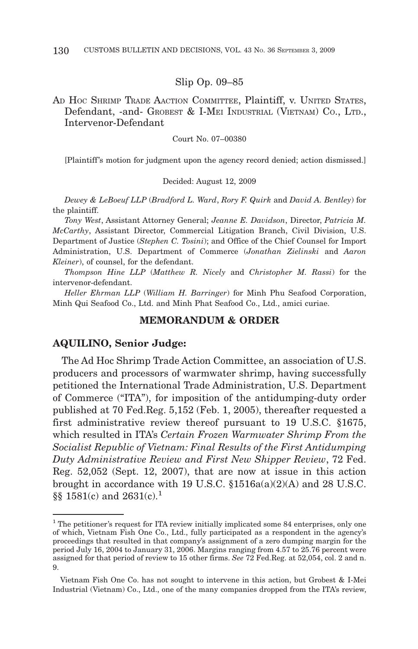#### Slip Op. 09–85

AD HOC SHRIMP TRADE AACTION COMMITTEE, Plaintiff, v. UNITED STATES, Defendant, -and- GROBEST & I-MEI INDUSTRIAL (VIETNAM) CO., LTD., Intervenor-Defendant

Court No. 07–00380

[Plaintiff 's motion for judgment upon the agency record denied; action dismissed.]

#### Decided: August 12, 2009

*Dewey & LeBoeuf LLP* (*Bradford L. Ward*, *Rory F. Quirk* and *David A. Bentley*) for the plaintiff.

*Tony West*, Assistant Attorney General; *Jeanne E. Davidson*, Director, *Patricia M. McCarthy*, Assistant Director, Commercial Litigation Branch, Civil Division, U.S. Department of Justice (*Stephen C. Tosini*); and Office of the Chief Counsel for Import Administration, U.S. Department of Commerce (*Jonathan Zielinski* and *Aaron Kleiner*), of counsel, for the defendant.

*Thompson Hine LLP* (*Matthew R. Nicely* and *Christopher M. Rassi*) for the intervenor-defendant.

*Heller Ehrman LLP* (*William H. Barringer*) for Minh Phu Seafood Corporation, Minh Qui Seafood Co., Ltd. and Minh Phat Seafood Co., Ltd., amici curiae.

#### **MEMORANDUM & ORDER**

### **AQUILINO, Senior Judge:**

The Ad Hoc Shrimp Trade Action Committee, an association of U.S. producers and processors of warmwater shrimp, having successfully petitioned the International Trade Administration, U.S. Department of Commerce ("ITA"), for imposition of the antidumping-duty order published at 70 Fed.Reg. 5,152 (Feb. 1, 2005), thereafter requested a first administrative review thereof pursuant to 19 U.S.C. §1675, which resulted in ITA's *Certain Frozen Warmwater Shrimp From the Socialist Republic of Vietnam: Final Results of the First Antidumping Duty Administrative Review and First New Shipper Review*, 72 Fed. Reg. 52,052 (Sept. 12, 2007), that are now at issue in this action brought in accordance with 19 U.S.C.  $$1516a(a)(2)(A)$  and 28 U.S.C. §§ 1581(c) and  $2631(c)$ .<sup>1</sup>

<sup>&</sup>lt;sup>1</sup> The petitioner's request for ITA review initially implicated some 84 enterprises, only one of which, Vietnam Fish One Co., Ltd., fully participated as a respondent in the agency's proceedings that resulted in that company's assignment of a zero dumping margin for the period July 16, 2004 to January 31, 2006. Margins ranging from 4.57 to 25.76 percent were assigned for that period of review to 15 other firms. *See* 72 Fed.Reg. at 52,054, col. 2 and n. 9.

Vietnam Fish One Co. has not sought to intervene in this action, but Grobest & I-Mei Industrial (Vietnam) Co., Ltd., one of the many companies dropped from the ITA's review,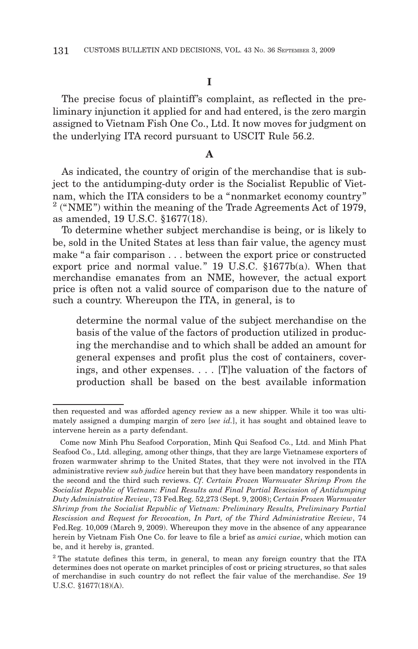#### **I**

The precise focus of plaintiff's complaint, as reflected in the preliminary injunction it applied for and had entered, is the zero margin assigned to Vietnam Fish One Co., Ltd. It now moves for judgment on the underlying ITA record pursuant to USCIT Rule 56.2.

#### **A**

As indicated, the country of origin of the merchandise that is subject to the antidumping-duty order is the Socialist Republic of Vietnam, which the ITA considers to be a "nonmarket economy country "  $2$  ("NME") within the meaning of the Trade Agreements Act of 1979, as amended, 19 U.S.C. §1677(18).

To determine whether subject merchandise is being, or is likely to be, sold in the United States at less than fair value, the agency must make "a fair comparison . . . between the export price or constructed export price and normal value." 19 U.S.C.  $$1677b(a)$ . When that merchandise emanates from an NME, however, the actual export price is often not a valid source of comparison due to the nature of such a country. Whereupon the ITA, in general, is to

determine the normal value of the subject merchandise on the basis of the value of the factors of production utilized in producing the merchandise and to which shall be added an amount for general expenses and profit plus the cost of containers, coverings, and other expenses. . . . [T]he valuation of the factors of production shall be based on the best available information

then requested and was afforded agency review as a new shipper. While it too was ultimately assigned a dumping margin of zero [*see id.*], it has sought and obtained leave to intervene herein as a party defendant.

Come now Minh Phu Seafood Corporation, Minh Qui Seafood Co., Ltd. and Minh Phat Seafood Co., Ltd. alleging, among other things, that they are large Vietnamese exporters of frozen warmwater shrimp to the United States, that they were not involved in the ITA administrative review *sub judice* herein but that they have been mandatory respondents in the second and the third such reviews. *Cf*. *Certain Frozen Warmwater Shrimp From the Socialist Republic of Vietnam: Final Results and Final Partial Rescission of Antidumping Duty Administrative Review*, 73 Fed.Reg. 52,273 (Sept. 9, 2008); *Certain Frozen Warmwater Shrimp from the Socialist Republic of Vietnam: Preliminary Results, Preliminary Partial Rescission and Request for Revocation, In Part, of the Third Administrative Review*, 74 Fed.Reg. 10,009 (March 9, 2009). Whereupon they move in the absence of any appearance herein by Vietnam Fish One Co. for leave to file a brief as *amici curiae*, which motion can be, and it hereby is, granted.

 $2$ <sup>2</sup> The statute defines this term, in general, to mean any foreign country that the ITA determines does not operate on market principles of cost or pricing structures, so that sales of merchandise in such country do not reflect the fair value of the merchandise. *See* 19 U.S.C. §1677(18)(A).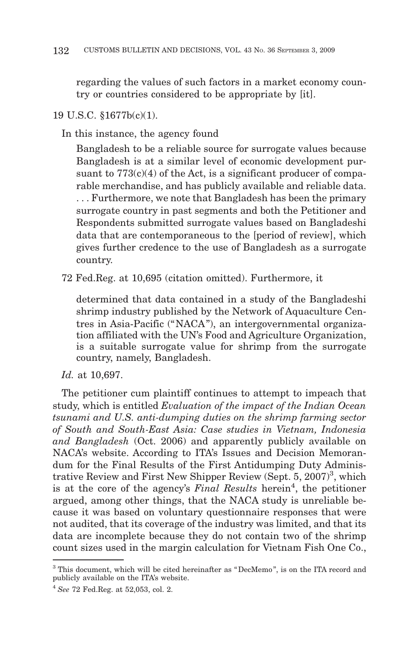regarding the values of such factors in a market economy country or countries considered to be appropriate by [it].

## 19 U.S.C. §1677b(c)(1).

## In this instance, the agency found

Bangladesh to be a reliable source for surrogate values because Bangladesh is at a similar level of economic development pursuant to  $773(c)(4)$  of the Act, is a significant producer of comparable merchandise, and has publicly available and reliable data. . . . Furthermore, we note that Bangladesh has been the primary surrogate country in past segments and both the Petitioner and Respondents submitted surrogate values based on Bangladeshi data that are contemporaneous to the [period of review], which gives further credence to the use of Bangladesh as a surrogate country.

72 Fed.Reg. at 10,695 (citation omitted). Furthermore, it

determined that data contained in a study of the Bangladeshi shrimp industry published by the Network of Aquaculture Centres in Asia-Pacific ("NACA "), an intergovernmental organization affiliated with the UN's Food and Agriculture Organization, is a suitable surrogate value for shrimp from the surrogate country, namely, Bangladesh.

*Id.* at 10,697.

The petitioner cum plaintiff continues to attempt to impeach that study, which is entitled *Evaluation of the impact of the Indian Ocean tsunami and U.S. anti-dumping duties on the shrimp farming sector of South and South-East Asia: Case studies in Vietnam, Indonesia and Bangladesh* (Oct. 2006) and apparently publicly available on NACA's website. According to ITA's Issues and Decision Memorandum for the Final Results of the First Antidumping Duty Administrative Review and First New Shipper Review (Sept. 5, 2007)<sup>3</sup>, which is at the core of the agency's *Final Results* herein<sup>4</sup>, the petitioner argued, among other things, that the NACA study is unreliable because it was based on voluntary questionnaire responses that were not audited, that its coverage of the industry was limited, and that its data are incomplete because they do not contain two of the shrimp count sizes used in the margin calculation for Vietnam Fish One Co.,

<sup>&</sup>lt;sup>3</sup> This document, which will be cited hereinafter as "DecMemo", is on the ITA record and publicly available on the ITA's website.

<sup>4</sup> *See* 72 Fed.Reg. at 52,053, col. 2.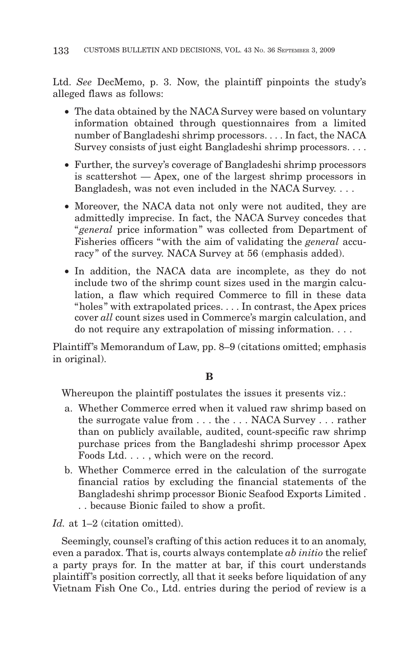Ltd. *See* DecMemo, p. 3. Now, the plaintiff pinpoints the study's alleged flaws as follows:

- The data obtained by the NACA Survey were based on voluntary information obtained through questionnaires from a limited number of Bangladeshi shrimp processors. . . . In fact, the NACA Survey consists of just eight Bangladeshi shrimp processors....
- Further, the survey's coverage of Bangladeshi shrimp processors is scattershot — Apex, one of the largest shrimp processors in Bangladesh, was not even included in the NACA Survey....
- Moreover, the NACA data not only were not audited, they are admittedly imprecise. In fact, the NACA Survey concedes that "*general* price information " was collected from Department of Fisheries officers "with the aim of validating the *general* accuracy" of the survey. NACA Survey at 56 (emphasis added).
- In addition, the NACA data are incomplete, as they do not include two of the shrimp count sizes used in the margin calculation, a flaw which required Commerce to fill in these data "holes" with extrapolated prices.... In contrast, the Apex prices cover *all* count sizes used in Commerce's margin calculation, and do not require any extrapolation of missing information....

Plaintiff's Memorandum of Law, pp. 8-9 (citations omitted; emphasis in original).

## **B**

Whereupon the plaintiff postulates the issues it presents viz.:

- a. Whether Commerce erred when it valued raw shrimp based on the surrogate value from . . . the . . . NACA Survey . . . rather than on publicly available, audited, count-specific raw shrimp purchase prices from the Bangladeshi shrimp processor Apex Foods Ltd. . . . , which were on the record.
- b. Whether Commerce erred in the calculation of the surrogate financial ratios by excluding the financial statements of the Bangladeshi shrimp processor Bionic Seafood Exports Limited . . . because Bionic failed to show a profit.

*Id.* at 1–2 (citation omitted).

Seemingly, counsel's crafting of this action reduces it to an anomaly, even a paradox. That is, courts always contemplate *ab initio* the relief a party prays for. In the matter at bar, if this court understands plaintiff 's position correctly, all that it seeks before liquidation of any Vietnam Fish One Co., Ltd. entries during the period of review is a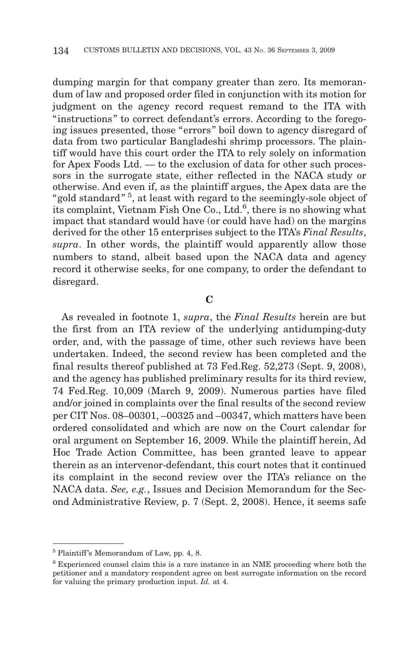dumping margin for that company greater than zero. Its memorandum of law and proposed order filed in conjunction with its motion for judgment on the agency record request remand to the ITA with " instructions " to correct defendant's errors. According to the foregoing issues presented, those " errors " boil down to agency disregard of data from two particular Bangladeshi shrimp processors. The plaintiff would have this court order the ITA to rely solely on information for Apex Foods Ltd. — to the exclusion of data for other such processors in the surrogate state, either reflected in the NACA study or otherwise. And even if, as the plaintiff argues, the Apex data are the "gold standard"<sup>5</sup>, at least with regard to the seemingly-sole object of its complaint, Vietnam Fish One Co., Ltd.<sup>6</sup>, there is no showing what impact that standard would have (or could have had) on the margins derived for the other 15 enterprises subject to the ITA's *Final Results*, *supra*. In other words, the plaintiff would apparently allow those numbers to stand, albeit based upon the NACA data and agency record it otherwise seeks, for one company, to order the defendant to disregard.

**C**

As revealed in footnote 1, *supra*, the *Final Results* herein are but the first from an ITA review of the underlying antidumping-duty order, and, with the passage of time, other such reviews have been undertaken. Indeed, the second review has been completed and the final results thereof published at 73 Fed.Reg. 52,273 (Sept. 9, 2008), and the agency has published preliminary results for its third review, 74 Fed.Reg. 10,009 (March 9, 2009). Numerous parties have filed and/or joined in complaints over the final results of the second review per CIT Nos. 08–00301, –00325 and –00347, which matters have been ordered consolidated and which are now on the Court calendar for oral argument on September 16, 2009. While the plaintiff herein, Ad Hoc Trade Action Committee, has been granted leave to appear therein as an intervenor-defendant, this court notes that it continued its complaint in the second review over the ITA's reliance on the NACA data. *See, e.g.*, Issues and Decision Memorandum for the Second Administrative Review, p. 7 (Sept. 2, 2008). Hence, it seems safe

<sup>&</sup>lt;sup>5</sup> Plaintiff's Memorandum of Law, pp. 4, 8.

 $6$  Experienced counsel claim this is a rare instance in an NME proceeding where both the petitioner and a mandatory respondent agree on best surrogate information on the record for valuing the primary production input. *Id.* at 4.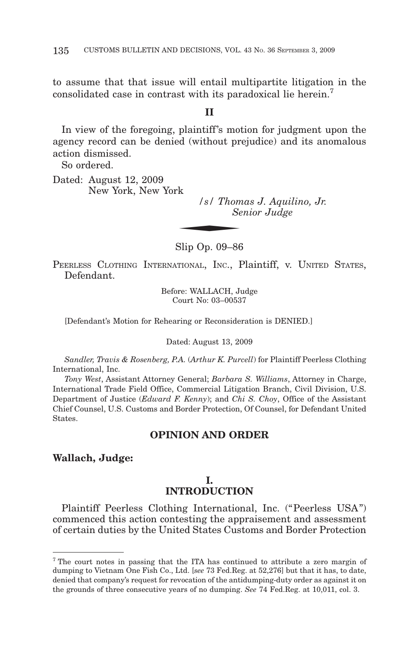to assume that that issue will entail multipartite litigation in the consolidated case in contrast with its paradoxical lie herein.7

## **II**

In view of the foregoing, plaintiff's motion for judgment upon the agency record can be denied (without prejudice) and its anomalous action dismissed.

So ordered.

Dated: August 12, 2009 New York, New York

*/s/ Thomas J. Aquilino, Jr.*  $\frac{1}{s}$  /s/ Thom Se *Senior Judge*

Slip Op. 09–86

PEERLESS CLOTHING INTERNATIONAL, INC., Plaintiff, v. UNITED STATES, Defendant.

> Before: WALLACH, Judge Court No: 03–00537

[Defendant's Motion for Rehearing or Reconsideration is DENIED.]

Dated: August 13, 2009

*Sandler, Travis & Rosenberg, P.A.* (*Arthur K. Purcell*) for Plaintiff Peerless Clothing International, Inc.

*Tony West*, Assistant Attorney General; *Barbara S. Williams*, Attorney in Charge, International Trade Field Office, Commercial Litigation Branch, Civil Division, U.S. Department of Justice (*Edward F. Kenny*); and *Chi S. Choy*, Office of the Assistant Chief Counsel, U.S. Customs and Border Protection, Of Counsel, for Defendant United States.

## **OPINION AND ORDER**

## **Wallach, Judge:**

## **I. INTRODUCTION**

Plaintiff Peerless Clothing International, Inc. ("Peerless USA ") commenced this action contesting the appraisement and assessment of certain duties by the United States Customs and Border Protection

<sup>&</sup>lt;sup>7</sup> The court notes in passing that the ITA has continued to attribute a zero margin of dumping to Vietnam One Fish Co., Ltd. [*see* 73 Fed.Reg. at 52,276] but that it has, to date, denied that company's request for revocation of the antidumping-duty order as against it on the grounds of three consecutive years of no dumping. *See* 74 Fed.Reg. at 10,011, col. 3.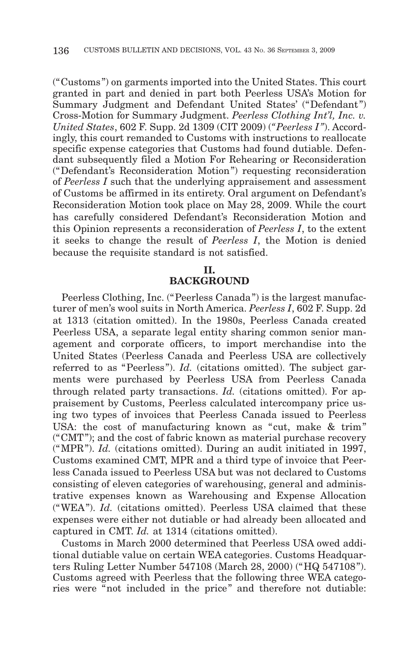("Customs ") on garments imported into the United States. This court granted in part and denied in part both Peerless USA's Motion for Summary Judgment and Defendant United States' ("Defendant") Cross-Motion for Summary Judgment. *Peerless Clothing Int'l, Inc. v. United States*, 602 F. Supp. 2d 1309 (CIT 2009) (*"Peerless I "*). Accordingly, this court remanded to Customs with instructions to reallocate specific expense categories that Customs had found dutiable. Defendant subsequently filed a Motion For Rehearing or Reconsideration ("Defendant's Reconsideration Motion ") requesting reconsideration of *Peerless I* such that the underlying appraisement and assessment of Customs be affirmed in its entirety. Oral argument on Defendant's Reconsideration Motion took place on May 28, 2009. While the court has carefully considered Defendant's Reconsideration Motion and this Opinion represents a reconsideration of *Peerless I*, to the extent it seeks to change the result of *Peerless I*, the Motion is denied because the requisite standard is not satisfied.

**II.**

## **BACKGROUND**

Peerless Clothing, Inc. ("Peerless Canada ") is the largest manufacturer of men's wool suits in North America. *Peerless I*, 602 F. Supp. 2d at 1313 (citation omitted). In the 1980s, Peerless Canada created Peerless USA, a separate legal entity sharing common senior management and corporate officers, to import merchandise into the United States (Peerless Canada and Peerless USA are collectively referred to as "Peerless"). *Id.* (citations omitted). The subject garments were purchased by Peerless USA from Peerless Canada through related party transactions. *Id.* (citations omitted). For appraisement by Customs, Peerless calculated intercompany price using two types of invoices that Peerless Canada issued to Peerless USA: the cost of manufacturing known as "cut, make & trim" ("CMT "); and the cost of fabric known as material purchase recovery ("MPR "). *Id.* (citations omitted). During an audit initiated in 1997, Customs examined CMT, MPR and a third type of invoice that Peerless Canada issued to Peerless USA but was not declared to Customs consisting of eleven categories of warehousing, general and administrative expenses known as Warehousing and Expense Allocation ("WEA"). *Id.* (citations omitted). Peerless USA claimed that these expenses were either not dutiable or had already been allocated and captured in CMT. *Id.* at 1314 (citations omitted).

Customs in March 2000 determined that Peerless USA owed additional dutiable value on certain WEA categories. Customs Headquarters Ruling Letter Number 547108 (March 28, 2000) ("HQ 547108 "). Customs agreed with Peerless that the following three WEA categories were "not included in the price " and therefore not dutiable: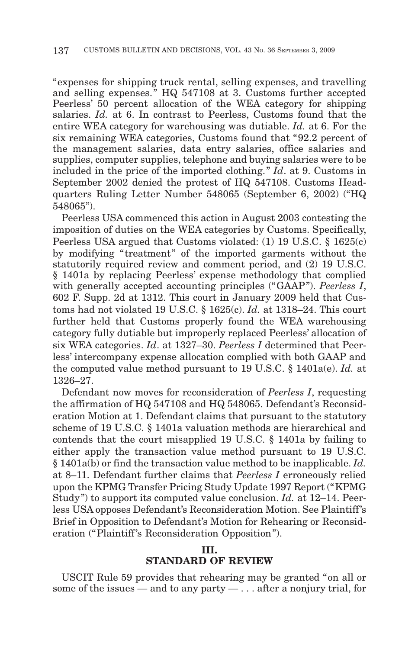"expenses for shipping truck rental, selling expenses, and travelling and selling expenses." HQ 547108 at 3. Customs further accepted Peerless' 50 percent allocation of the WEA category for shipping salaries. *Id.* at 6. In contrast to Peerless, Customs found that the entire WEA category for warehousing was dutiable. *Id.* at 6. For the six remaining WEA categories, Customs found that "92.2 percent of the management salaries, data entry salaries, office salaries and supplies, computer supplies, telephone and buying salaries were to be included in the price of the imported clothing. " *Id*. at 9. Customs in September 2002 denied the protest of HQ 547108. Customs Headquarters Ruling Letter Number 548065 (September 6, 2002) ("HQ 548065").

Peerless USA commenced this action in August 2003 contesting the imposition of duties on the WEA categories by Customs. Specifically, Peerless USA argued that Customs violated: (1) 19 U.S.C. § 1625(c) by modifying "treatment" of the imported garments without the statutorily required review and comment period, and (2) 19 U.S.C. § 1401a by replacing Peerless' expense methodology that complied with generally accepted accounting principles ("GAAP"). *Peerless I*, 602 F. Supp. 2d at 1312. This court in January 2009 held that Customs had not violated 19 U.S.C. § 1625(c). *Id.* at 1318–24. This court further held that Customs properly found the WEA warehousing category fully dutiable but improperly replaced Peerless' allocation of six WEA categories. *Id*. at 1327–30. *Peerless I* determined that Peerless' intercompany expense allocation complied with both GAAP and the computed value method pursuant to 19 U.S.C. § 1401a(e). *Id.* at 1326–27.

Defendant now moves for reconsideration of *Peerless I*, requesting the affirmation of HQ 547108 and HQ 548065. Defendant's Reconsideration Motion at 1. Defendant claims that pursuant to the statutory scheme of 19 U.S.C. § 1401a valuation methods are hierarchical and contends that the court misapplied 19 U.S.C. § 1401a by failing to either apply the transaction value method pursuant to 19 U.S.C. § 1401a(b) or find the transaction value method to be inapplicable. *Id.* at 8–11. Defendant further claims that *Peerless I* erroneously relied upon the KPMG Transfer Pricing Study Update 1997 Report ("KPMG Study ") to support its computed value conclusion. *Id.* at 12–14. Peerless USA opposes Defendant's Reconsideration Motion. See Plaintiff 's Brief in Opposition to Defendant's Motion for Rehearing or Reconsideration ("Plaintiff's Reconsideration Opposition").

## **STANDARD OF REVIEW**

USCIT Rule 59 provides that rehearing may be granted "on all or some of the issues — and to any party —  $\dots$  after a nonjury trial, for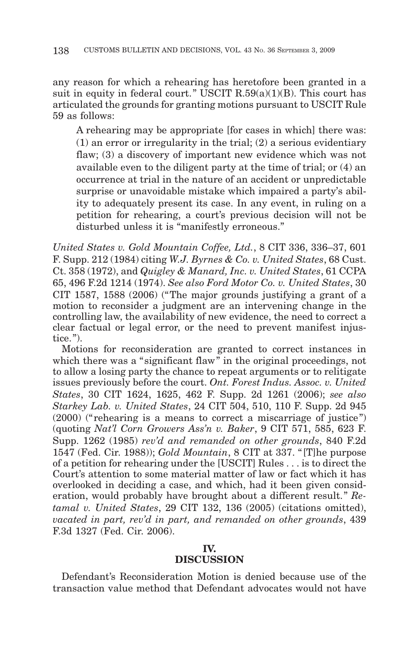any reason for which a rehearing has heretofore been granted in a suit in equity in federal court." USCIT  $R.59(a)(1)(B)$ . This court has articulated the grounds for granting motions pursuant to USCIT Rule 59 as follows:

A rehearing may be appropriate [for cases in which] there was: (1) an error or irregularity in the trial; (2) a serious evidentiary flaw; (3) a discovery of important new evidence which was not available even to the diligent party at the time of trial; or (4) an occurrence at trial in the nature of an accident or unpredictable surprise or unavoidable mistake which impaired a party's ability to adequately present its case. In any event, in ruling on a petition for rehearing, a court's previous decision will not be disturbed unless it is "manifestly erroneous."

*United States v. Gold Mountain Coffee, Ltd.*, 8 CIT 336, 336–37, 601 F. Supp. 212 (1984) citing *W.J. Byrnes & Co. v. United States*, 68 Cust. Ct. 358 (1972), and *Quigley & Manard, Inc. v. United States*, 61 CCPA 65, 496 F.2d 1214 (1974). *See also Ford Motor Co. v. United States*, 30 CIT 1587, 1588 (2006) ("The major grounds justifying a grant of a motion to reconsider a judgment are an intervening change in the controlling law, the availability of new evidence, the need to correct a clear factual or legal error, or the need to prevent manifest injustice. ").

Motions for reconsideration are granted to correct instances in which there was a "significant flaw" in the original proceedings, not to allow a losing party the chance to repeat arguments or to relitigate issues previously before the court. *Ont. Forest Indus. Assoc. v. United States*, 30 CIT 1624, 1625, 462 F. Supp. 2d 1261 (2006); *see also Starkey Lab. v. United States*, 24 CIT 504, 510, 110 F. Supp. 2d 945 (2000) ("rehearing is a means to correct a miscarriage of justice ") (quoting *Nat'l Corn Growers Ass'n v. Baker*, 9 CIT 571, 585, 623 F. Supp. 1262 (1985) *rev'd and remanded on other grounds*, 840 F.2d 1547 (Fed. Cir. 1988)); *Gold Mountain*, 8 CIT at 337. " [T]he purpose of a petition for rehearing under the [USCIT] Rules . . . is to direct the Court's attention to some material matter of law or fact which it has overlooked in deciding a case, and which, had it been given consideration, would probably have brought about a different result. " *Retamal v. United States*, 29 CIT 132, 136 (2005) (citations omitted), *vacated in part, rev'd in part, and remanded on other grounds*, 439 F.3d 1327 (Fed. Cir. 2006).

# **DISCUSSION**

Defendant's Reconsideration Motion is denied because use of the transaction value method that Defendant advocates would not have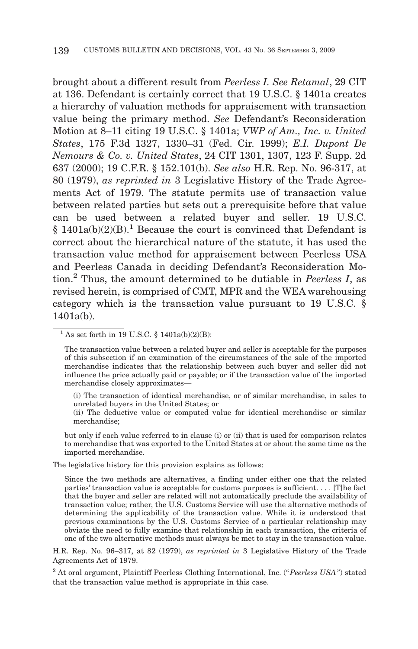brought about a different result from *Peerless I. See Retamal*, 29 CIT at 136. Defendant is certainly correct that 19 U.S.C. § 1401a creates a hierarchy of valuation methods for appraisement with transaction value being the primary method. *See* Defendant's Reconsideration Motion at 8–11 citing 19 U.S.C. § 1401a; *VWP of Am., Inc. v. United States*, 175 F.3d 1327, 1330–31 (Fed. Cir. 1999); *E.I. Dupont De Nemours & Co. v. United States*, 24 CIT 1301, 1307, 123 F. Supp. 2d 637 (2000); 19 C.F.R. § 152.101(b). *See also* H.R. Rep. No. 96-317, at 80 (1979), *as reprinted in* 3 Legislative History of the Trade Agreements Act of 1979. The statute permits use of transaction value between related parties but sets out a prerequisite before that value can be used between a related buyer and seller. 19 U.S.C.  $§ 1401a(b)(2)(B).$ <sup>1</sup> Because the court is convinced that Defendant is correct about the hierarchical nature of the statute, it has used the transaction value method for appraisement between Peerless USA and Peerless Canada in deciding Defendant's Reconsideration Motion.2 Thus, the amount determined to be dutiable in *Peerless I*, as revised herein, is comprised of CMT, MPR and the WEA warehousing category which is the transaction value pursuant to 19 U.S.C. § 1401a(b).

- (i) The transaction of identical merchandise, or of similar merchandise, in sales to unrelated buyers in the United States; or
- (ii) The deductive value or computed value for identical merchandise or similar merchandise;

but only if each value referred to in clause (i) or (ii) that is used for comparison relates to merchandise that was exported to the United States at or about the same time as the imported merchandise.

The legislative history for this provision explains as follows:

H.R. Rep. No. 96–317, at 82 (1979), *as reprinted in* 3 Legislative History of the Trade Agreements Act of 1979.

 $^1$  As set forth in 19 U.S.C. § 1401a(b)(2)(B):

The transaction value between a related buyer and seller is acceptable for the purposes of this subsection if an examination of the circumstances of the sale of the imported merchandise indicates that the relationship between such buyer and seller did not influence the price actually paid or payable; or if the transaction value of the imported merchandise closely approximates—

Since the two methods are alternatives, a finding under either one that the related parties' transaction value is acceptable for customs purposes is sufficient.... [T]he fact that the buyer and seller are related will not automatically preclude the availability of transaction value; rather, the U.S. Customs Service will use the alternative methods of determining the applicability of the transaction value. While it is understood that previous examinations by the U.S. Customs Service of a particular relationship may obviate the need to fully examine that relationship in each transaction, the criteria of one of the two alternative methods must always be met to stay in the transaction value.

<sup>2</sup> At oral argument, Plaintiff Peerless Clothing International, Inc. ("*Peerless USA*") stated that the transaction value method is appropriate in this case.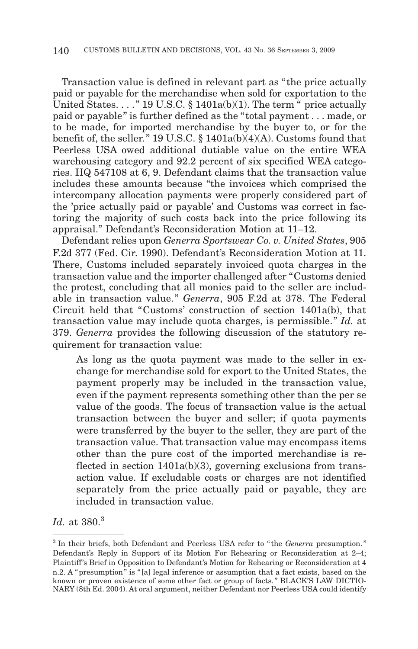Transaction value is defined in relevant part as " the price actually paid or payable for the merchandise when sold for exportation to the United States. . . . " 19 U.S.C.  $\S$  1401a(b)(1). The term " price actually paid or payable " is further defined as the " total payment... made, or to be made, for imported merchandise by the buyer to, or for the benefit of, the seller." 19 U.S.C.  $\S$  1401a(b)(4)(A). Customs found that Peerless USA owed additional dutiable value on the entire WEA warehousing category and 92.2 percent of six specified WEA categories. HQ 547108 at 6, 9. Defendant claims that the transaction value includes these amounts because "the invoices which comprised the intercompany allocation payments were properly considered part of the 'price actually paid or payable' and Customs was correct in factoring the majority of such costs back into the price following its appraisal." Defendant's Reconsideration Motion at 11–12.

Defendant relies upon *Generra Sportswear Co. v. United States*, 905 F.2d 377 (Fed. Cir. 1990). Defendant's Reconsideration Motion at 11. There, Customs included separately invoiced quota charges in the transaction value and the importer challenged after "Customs denied the protest, concluding that all monies paid to the seller are includable in transaction value. " *Generra*, 905 F.2d at 378. The Federal Circuit held that "Customs' construction of section 1401a(b), that transaction value may include quota charges, is permissible. " *Id.* at 379. *Generra* provides the following discussion of the statutory requirement for transaction value:

As long as the quota payment was made to the seller in exchange for merchandise sold for export to the United States, the payment properly may be included in the transaction value, even if the payment represents something other than the per se value of the goods. The focus of transaction value is the actual transaction between the buyer and seller; if quota payments were transferred by the buyer to the seller, they are part of the transaction value. That transaction value may encompass items other than the pure cost of the imported merchandise is reflected in section  $1401a(b)(3)$ , governing exclusions from transaction value. If excludable costs or charges are not identified separately from the price actually paid or payable, they are included in transaction value.

*Id.* at 380.<sup>3</sup>

<sup>3</sup> In their briefs, both Defendant and Peerless USA refer to " the *Generra* presumption. " Defendant's Reply in Support of its Motion For Rehearing or Reconsideration at 2–4; Plaintiff's Brief in Opposition to Defendant's Motion for Rehearing or Reconsideration at 4 n.2. A " presumption " is " [a] legal inference or assumption that a fact exists, based on the known or proven existence of some other fact or group of facts. " BLACK'S LAW DICTIO-NARY (8th Ed. 2004). At oral argument, neither Defendant nor Peerless USA could identify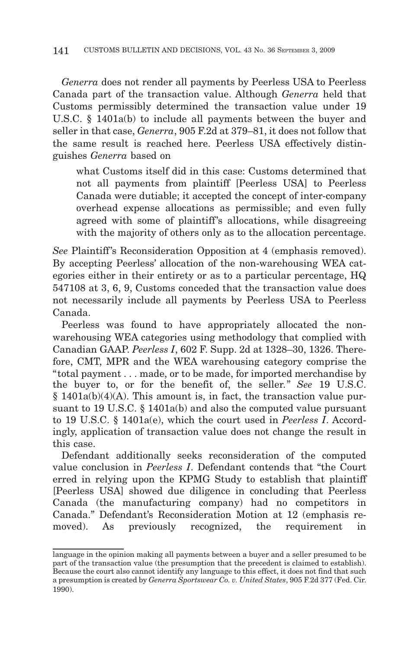*Generra* does not render all payments by Peerless USA to Peerless Canada part of the transaction value. Although *Generra* held that Customs permissibly determined the transaction value under 19 U.S.C. § 1401a(b) to include all payments between the buyer and seller in that case, *Generra*, 905 F.2d at 379–81, it does not follow that the same result is reached here. Peerless USA effectively distinguishes *Generra* based on

what Customs itself did in this case: Customs determined that not all payments from plaintiff [Peerless USA] to Peerless Canada were dutiable; it accepted the concept of inter-company overhead expense allocations as permissible; and even fully agreed with some of plaintiff's allocations, while disagreeing with the majority of others only as to the allocation percentage.

See Plaintiff's Reconsideration Opposition at 4 (emphasis removed). By accepting Peerless' allocation of the non-warehousing WEA categories either in their entirety or as to a particular percentage, HQ 547108 at 3, 6, 9, Customs conceded that the transaction value does not necessarily include all payments by Peerless USA to Peerless Canada.

Peerless was found to have appropriately allocated the nonwarehousing WEA categories using methodology that complied with Canadian GAAP. *Peerless I*, 602 F. Supp. 2d at 1328–30, 1326. Therefore, CMT, MPR and the WEA warehousing category comprise the " total payment... made, or to be made, for imported merchandise by the buyer to, or for the benefit of, the seller." See 19 U.S.C. § 1401a(b)(4)(A). This amount is, in fact, the transaction value pursuant to 19 U.S.C. § 1401a(b) and also the computed value pursuant to 19 U.S.C. § 1401a(e), which the court used in *Peerless I*. Accordingly, application of transaction value does not change the result in this case.

Defendant additionally seeks reconsideration of the computed value conclusion in *Peerless I*. Defendant contends that "the Court erred in relying upon the KPMG Study to establish that plaintiff [Peerless USA] showed due diligence in concluding that Peerless Canada (the manufacturing company) had no competitors in Canada." Defendant's Reconsideration Motion at 12 (emphasis removed). As previously recognized, the requirement in

language in the opinion making all payments between a buyer and a seller presumed to be part of the transaction value (the presumption that the precedent is claimed to establish). Because the court also cannot identify any language to this effect, it does not find that such a presumption is created by *Generra Sportswear Co. v. United States*, 905 F.2d 377 (Fed. Cir. 1990).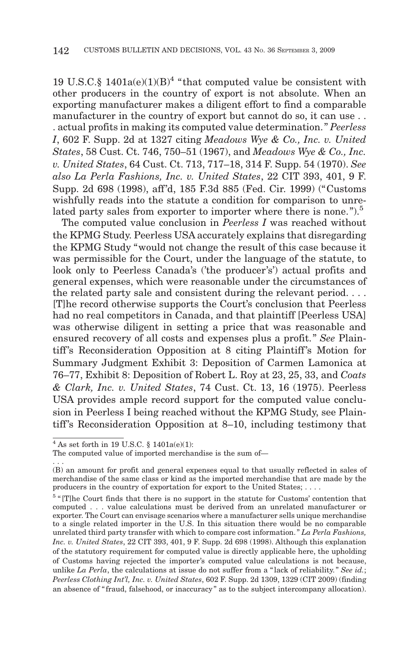19 U.S.C.§  $1401a(e)(1)(B)^4$  "that computed value be consistent with other producers in the country of export is not absolute. When an exporting manufacturer makes a diligent effort to find a comparable manufacturer in the country of export but cannot do so, it can use . . . actual profits in making its computed value determination. " *Peerless I*, 602 F. Supp. 2d at 1327 citing *Meadows Wye & Co., Inc. v. United States*, 58 Cust. Ct. 746, 750–51 (1967), and *Meadows Wye & Co., Inc. v. United States*, 64 Cust. Ct. 713, 717–18, 314 F. Supp. 54 (1970). *See also La Perla Fashions, Inc. v. United States*, 22 CIT 393, 401, 9 F. Supp. 2d 698 (1998), aff 'd, 185 F.3d 885 (Fed. Cir. 1999) ("Customs wishfully reads into the statute a condition for comparison to unrelated party sales from exporter to importer where there is none.").<sup>5</sup>

The computed value conclusion in *Peerless I* was reached without the KPMG Study. Peerless USA accurately explains that disregarding the KPMG Study "would not change the result of this case because it was permissible for the Court, under the language of the statute, to look only to Peerless Canada's ('the producer's') actual profits and general expenses, which were reasonable under the circumstances of the related party sale and consistent during the relevant period.... [T]he record otherwise supports the Court's conclusion that Peerless had no real competitors in Canada, and that plaintiff [Peerless USA] was otherwise diligent in setting a price that was reasonable and ensured recovery of all costs and expenses plus a profit. " *See* Plaintiff's Reconsideration Opposition at 8 citing Plaintiff's Motion for Summary Judgment Exhibit 3: Deposition of Carmen Lamonica at 76–77, Exhibit 8: Deposition of Robert L. Roy at 23, 25, 33, and *Coats & Clark, Inc. v. United States*, 74 Cust. Ct. 13, 16 (1975). Peerless USA provides ample record support for the computed value conclusion in Peerless I being reached without the KPMG Study, see Plaintiff's Reconsideration Opposition at 8–10, including testimony that

 $^4$  As set forth in 19 U.S.C.  $\S$  1401a(e)(1):

The computed value of imported merchandise is the sum of—

<sup>...</sup> (B) an amount for profit and general expenses equal to that usually reflected in sales of merchandise of the same class or kind as the imported merchandise that are made by the producers in the country of exportation for export to the United States;....

<sup>5</sup> " [T]he Court finds that there is no support in the statute for Customs' contention that computed . . . value calculations must be derived from an unrelated manufacturer or exporter. The Court can envisage scenarios where a manufacturer sells unique merchandise to a single related importer in the U.S. In this situation there would be no comparable unrelated third party transfer with which to compare cost information. " *La Perla Fashions, Inc. v. United States*, 22 CIT 393, 401, 9 F. Supp. 2d 698 (1998). Although this explanation of the statutory requirement for computed value is directly applicable here, the upholding of Customs having rejected the importer's computed value calculations is not because, unlike *La Perla*, the calculations at issue do not suffer from a "lack of reliability." See id.; *Peerless Clothing Int'l, Inc. v. United States*, 602 F. Supp. 2d 1309, 1329 (CIT 2009) (finding an absence of " fraud, falsehood, or inaccuracy " as to the subject intercompany allocation).